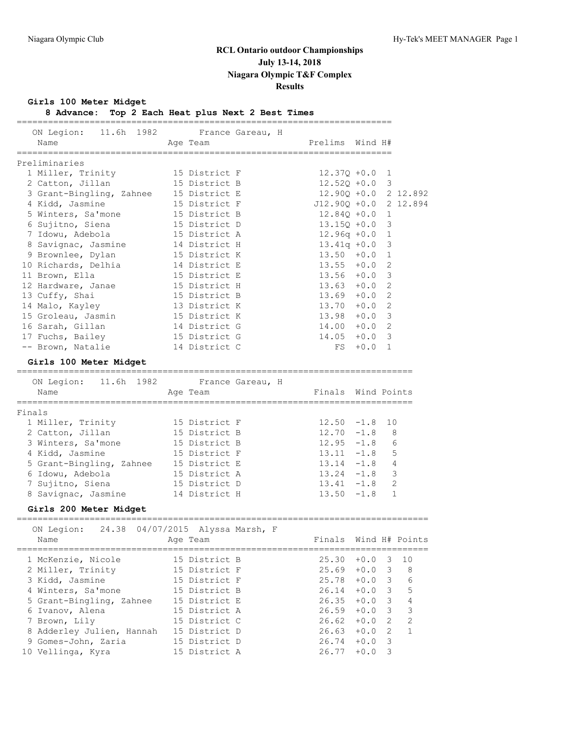**Girls 100 Meter Midget**

**8 Advance: Top 2 Each Heat plus Next 2 Best Times**

| Name                     | ON Legion: 11.6h 1982 France Gareau, H<br>Age Team | Prelims Wind H#    |        |                       |
|--------------------------|----------------------------------------------------|--------------------|--------|-----------------------|
| Preliminaries            |                                                    |                    |        |                       |
| 1 Miller, Trinity        | 15 District F                                      | $12.37Q + 0.0$ 1   |        |                       |
| 2 Catton, Jillan         | 15 District B                                      | $12.52Q + 0.0$ 3   |        |                       |
| 3 Grant-Bingling, Zahnee | 15 District E                                      |                    |        | 12.900 +0.0 2 12.892  |
| 4 Kidd, Jasmine          | 15 District F                                      |                    |        | J12.90Q +0.0 2 12.894 |
| 5 Winters, Sa'mone       | 15 District B                                      | 12.840 +0.0        |        | $\mathbf{1}$          |
| 6 Sujitno, Siena         | 15 District D                                      | $13.150 + 0.0$     |        | 3                     |
| 7 Idowu, Adebola         | 15 District A                                      | $12.96q +0.0$      |        | 1                     |
| 8 Savignac, Jasmine      | 14 District H                                      | $13.41q +0.0$      |        | $\mathcal{S}$         |
| 9 Brownlee, Dylan        | 15 District K                                      | 13.50              | $+0.0$ | $\mathbf 1$           |
| 10 Richards, Delhia      | 14 District E                                      | 13.55              | $+0.0$ | $\overline{2}$        |
| 11 Brown, Ella           | 15 District E                                      | $13.56 + 0.0$      |        | 3                     |
| 12 Hardware, Janae       | 15 District H                                      | $13.63 + 0.0$      |        | $\overline{2}$        |
| 13 Cuffy, Shai           | 15 District B                                      | 13.69              | $+0.0$ | 2                     |
| 14 Malo, Kayley          | 13 District K                                      | 13.70              | $+0.0$ | $\overline{2}$        |
| 15 Groleau, Jasmin       | 15 District K                                      | 13.98              | $+0.0$ | 3                     |
| 16 Sarah, Gillan         | 14 District G                                      | 14.00              | $+0.0$ | 2                     |
| 17 Fuchs, Bailey         | 15 District G                                      | 14.05              | $+0.0$ | 3                     |
| -- Brown, Natalie        | 14 District C                                      | FS                 | $+0.0$ | $\mathbf{1}$          |
| Girls 100 Meter Midget   |                                                    |                    |        |                       |
| ON Legion: 11.6h 1982    | France Gareau, H                                   |                    |        |                       |
| Name                     | Age Team                                           | Finals Wind Points |        |                       |
| Finals                   |                                                    |                    |        |                       |
| 1 Miller, Trinity        | 15 District F                                      | 12.50              | $-1.8$ | 10                    |
| 2 Catton, Jillan         | 15 District B                                      | 12.70              | $-1.8$ | 8                     |
| 3 Winters, Sa'mone       | 15 District B                                      | $12.95 - 1.8$      |        | 6                     |
| 4 Kidd, Jasmine          | 15 District F                                      | 13.11              | $-1.8$ | 5                     |
| 5 Grant-Bingling, Zahnee | 15 District E                                      | 13.14              | $-1.8$ | 4                     |
| 6 Idowu, Adebola         | 15 District A                                      | 13.24              | $-1.8$ | 3                     |
| 7 Sujitno, Siena         | 15 District D                                      | $13.41 - 1.8$      |        | 2                     |
| 8 Savignac, Jasmine      | 14 District H                                      | $13.50 - 1.8$      |        | $\mathbf{1}$          |
| Girls 200 Meter Midget   |                                                    |                    |        |                       |
| ON Legion:<br>Name       | 24.38 04/07/2015 Alyssa Marsh, F<br>Age Team       |                    |        | Finals Wind H# Points |

| 15 District B                                                                                                                                                                                                             | 25.30 |        |                                           |                                |
|---------------------------------------------------------------------------------------------------------------------------------------------------------------------------------------------------------------------------|-------|--------|-------------------------------------------|--------------------------------|
| 15 District F                                                                                                                                                                                                             | 25.69 | $+0.0$ | - 3                                       | -8                             |
| 15 District F                                                                                                                                                                                                             | 25.78 | $+0.0$ | -3                                        | 6                              |
| 15 District B                                                                                                                                                                                                             | 26.14 |        | - 3                                       | 5                              |
| 15 District E                                                                                                                                                                                                             |       |        |                                           | $\overline{4}$                 |
| 15 District A                                                                                                                                                                                                             |       | $+0.0$ | - 3                                       | 3                              |
| 15 District C                                                                                                                                                                                                             |       |        | $\overline{2}$                            | 2                              |
| 15 District D                                                                                                                                                                                                             |       | $+0.0$ | $\overline{2}$                            |                                |
| 15 District D                                                                                                                                                                                                             | 26.74 | $+0.0$ | - 3                                       |                                |
| 15 District A                                                                                                                                                                                                             | 26.77 | $+0.0$ |                                           |                                |
| 1 McKenzie, Nicole<br>2 Miller, Trinity<br>3 Kidd, Jasmine<br>4 Winters, Sa'mone<br>5 Grant-Bingling, Zahnee<br>6 Ivanov, Alena<br>7 Brown, Lily<br>8 Adderley Julien, Hannah<br>9 Gomes-John, Zaria<br>10 Vellinga, Kyra |       |        | $+0.0$<br>26.59<br>$26.62 + 0.0$<br>26.63 | $+0.0$ 3 10<br>$26.35 + 0.0$ 3 |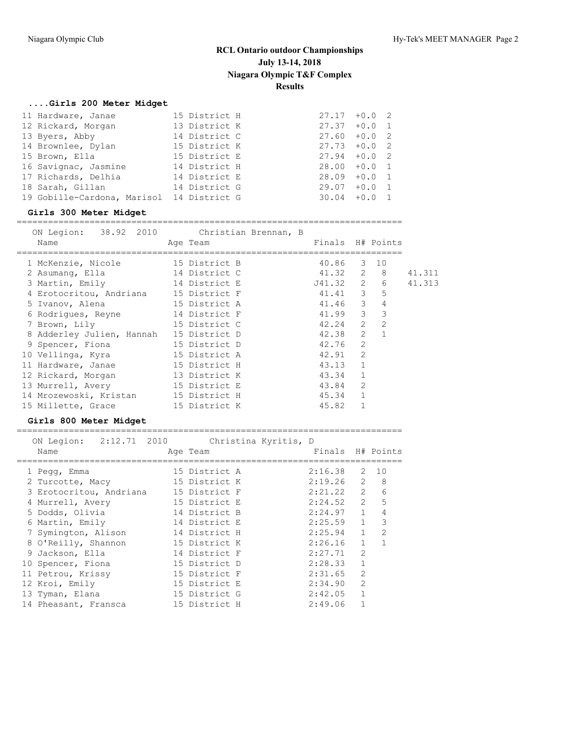### **....Girls 200 Meter Midget**

| 11 Hardware, Janae                        | 15 District H | $27.17 + 0.0$ 2 |
|-------------------------------------------|---------------|-----------------|
| 12 Rickard, Morgan                        | 13 District K | $27.37 + 0.0 1$ |
| 13 Byers, Abby                            | 14 District C | $27.60 + 0.0 2$ |
| 14 Brownlee, Dylan                        | 15 District K | $27.73 + 0.0$ 2 |
| 15 Brown, Ella                            | 15 District E | $27.94 + 0.0$ 2 |
| 16 Savignac, Jasmine                      | 14 District H | $28.00 + 0.0 1$ |
| 17 Richards, Delhia                       | 14 District E | $28.09 + 0.0 1$ |
| 18 Sarah, Gillan                          | 14 District G | $29.07 + 0.0 1$ |
| 19 Gobille-Cardona, Marisol 14 District G |               | $30.04 + 0.0 1$ |

#### **Girls 300 Meter Midget**

==========================================================================

| ON Legion: 38.92 2010 Christian Brennan, B<br>Name | Age Team      | Finals H# Points |              |                         |        |
|----------------------------------------------------|---------------|------------------|--------------|-------------------------|--------|
| 1 McKenzie, Nicole 15 District B                   |               | 40.86            |              | 3 10                    |        |
| 2 Asumang, Ella                                    | 14 District C | 41.32 2 8        |              |                         | 41.311 |
| 3 Martin, Emily                                    | 14 District E | J41.32 2 6       |              |                         | 41.313 |
| 4 Erotocritou, Andriana 15 District F              |               | 41.41 3          |              | 5                       |        |
| 5 Ivanov, Alena                                    | 15 District A | 41.46 3          |              | $\overline{4}$          |        |
| 6 Rodriques, Reyne                                 | 14 District F | $41.99$ 3        |              | $\overline{\mathbf{3}}$ |        |
| 7 Brown, Lily                                      | 15 District C | $42.24$ 2        |              | $\overline{2}$          |        |
| 8 Adderley Julien, Hannah                          | 15 District D | 42.38            | 2            | $\overline{1}$          |        |
| 9 Spencer, Fiona                                   | 15 District D | 42.76            | 2            |                         |        |
| 10 Vellinga, Kyra                                  | 15 District A | 42.91 2          |              |                         |        |
| 11 Hardware, Janae                                 | 15 District H | 43.13            | $\mathbf{1}$ |                         |        |
| 12 Rickard, Morgan                                 | 13 District K | 43.34            | $\mathbf{1}$ |                         |        |
| 13 Murrell, Avery                                  | 15 District E | 43.84            | 2            |                         |        |
| 14 Mrozewoski, Kristan 15 District H               |               | 45.34            | $\mathbf{1}$ |                         |        |
| 15 Millette, Grace                                 | 15 District K | 45.82            |              |                         |        |

### **Girls 800 Meter Midget**

==========================================================================

| ON Legion:              | 2:12.71 2010 |               | Christina Kyritis, D | Finals H# Points |                |                |
|-------------------------|--------------|---------------|----------------------|------------------|----------------|----------------|
| Name                    |              | Age Team      |                      |                  |                |                |
| 1 Pegg, Emma            |              | 15 District A |                      | 2:16.38          | 2              | 10             |
| 2 Turcotte, Macy        |              | 15 District K |                      | 2:19.26          | 2              | - 8            |
| 3 Erotocritou, Andriana |              | 15 District F |                      | 2:21.22          | $2^{\circ}$    | 6              |
| 4 Murrell, Avery        |              | 15 District E |                      | 2:24.52          | $2^{\circ}$    | 5              |
| 5 Dodds, Olivia         |              | 14 District B |                      | 2:24.97          | 1              | $\overline{4}$ |
| 6 Martin, Emily         |              | 14 District E |                      | 2:25.59          | 1              | 3              |
| 7 Symington, Alison     |              | 14 District H |                      | 2:25.94          | 1              | 2              |
| 8 O'Reilly, Shannon     |              | 15 District K |                      | 2:26.16          | 1              | $\overline{1}$ |
| 9 Jackson, Ella         |              | 14 District F |                      | 2:27.71          | $\overline{2}$ |                |
| 10 Spencer, Fiona       |              | 15 District D |                      | 2:28.33          | $\mathbf{1}$   |                |
| 11 Petrou, Krissy       |              | 15 District F |                      | 2:31.65          | $\overline{2}$ |                |
| 12 Kroi, Emily          |              | 15 District E |                      | 2:34.90          | $\overline{2}$ |                |
| 13 Tyman, Elana         |              | 15 District G |                      | 2:42.05          |                |                |
| 14 Pheasant, Fransca    |              | 15 District H |                      | 2:49.06          |                |                |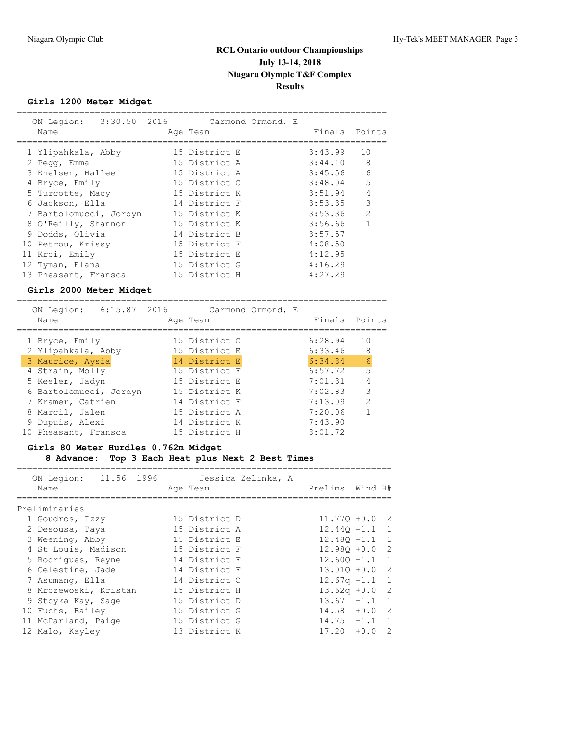====================

## **Girls 1200 Meter Midget**

| ON Legion: 3:30.50 2016 Carmond Ormond, E<br>Name | Age Team      |         | Finals Points |
|---------------------------------------------------|---------------|---------|---------------|
|                                                   |               |         |               |
| 1 Ylipahkala, Abby                                | 15 District E | 3:43.99 | 10            |
| 2 Pegg, Emma                                      | 15 District A | 3:44.10 | 8             |
| 3 Knelsen, Hallee                                 | 15 District A | 3:45.56 | 6             |
| 4 Bryce, Emily                                    | 15 District C | 3:48.04 | 5             |
| 5 Turcotte, Macy                                  | 15 District K | 3:51.94 | 4             |
| 6 Jackson, Ella                                   | 14 District F | 3:53.35 | 3             |
| 7 Bartolomucci, Jordyn                            | 15 District K | 3:53.36 | $\mathcal{L}$ |
| 8 O'Reilly, Shannon                               | 15 District K | 3:56.66 | 1             |
| 9 Dodds, Olivia                                   | 14 District B | 3:57.57 |               |
| 10 Petrou, Krissy                                 | 15 District F | 4:08.50 |               |
| 11 Kroi, Emily                                    | 15 District E | 4:12.95 |               |
| 12 Tyman, Elana                                   | 15 District G | 4:16.29 |               |
| 13 Pheasant, Fransca                              | 15 District H | 4:27.29 |               |
| Girls 2000 Meter Midget                           |               |         |               |
|                                                   |               |         |               |

|  | 6:15.87 2016<br>ON Legion: |               | Carmond Ormond, E |         |                |
|--|----------------------------|---------------|-------------------|---------|----------------|
|  | Name                       | Age Team      |                   |         | Finals Points  |
|  | 1 Bryce, Emily             | 15 District C |                   | 6:28.94 | 10             |
|  | 2 Ylipahkala, Abby         | 15 District E |                   | 6:33.46 | 8              |
|  | 3 Maurice, Aysia           | 14 District E |                   | 6:34.84 | 6              |
|  | 4 Strain, Molly            | 15 District F |                   | 6:57.72 | 5              |
|  | 5 Keeler, Jadyn            | 15 District E |                   | 7:01.31 | $\overline{4}$ |
|  | 6 Bartolomucci, Jordyn     | 15 District K |                   | 7:02.83 | 3              |
|  | 7 Kramer, Catrien          | 14 District F |                   | 7:13.09 | 2              |
|  | 8 Marcil, Jalen            | 15 District A |                   | 7:20.06 |                |
|  | 9 Dupuis, Alexi            | 14 District K |                   | 7:43.90 |                |
|  | 10 Pheasant, Fransca       | 15 District H |                   | 8:01.72 |                |
|  |                            |               |                   |         |                |

## **Girls 80 Meter Hurdles 0.762m Midget 8 Advance: Top 3 Each Heat plus Next 2 Best Times**

| ON Legion: 11.56 1996<br>Name | Age Team      | Jessica Zelinka, A | Prelims Wind H#  |  |
|-------------------------------|---------------|--------------------|------------------|--|
| Preliminaries                 |               |                    |                  |  |
| 1 Goudros, Izzy               | 15 District D |                    | $11.770 + 0.0$ 2 |  |
| 2 Desousa, Taya               | 15 District A |                    | $12.440 - 1.1$ 1 |  |
| 3 Weening, Abby               | 15 District E |                    | $12.480 - 1.1$ 1 |  |
| 4 St Louis, Madison           | 15 District F |                    | $12.980 + 0.0$ 2 |  |
| 5 Rodriques, Reyne            | 14 District F |                    | $12.600 - 1.1$ 1 |  |
| 6 Celestine, Jade             | 14 District F |                    | $13.010 + 0.0$ 2 |  |
| 7 Asumang, Ella               | 14 District C |                    | $12.67q - 1.1$ 1 |  |
| 8 Mrozewoski, Kristan         | 15 District H |                    | $13.62q + 0.0$ 2 |  |
| 9 Stoyka Kay, Sage            | 15 District D |                    | $13.67 -1.1 1$   |  |
| 10 Fuchs, Bailey              | 15 District G |                    | $14.58 + 0.0$ 2  |  |
| 11 McParland, Paige           | 15 District G |                    | $14.75 - 1.1 1$  |  |
| 12 Malo, Kayley               | 13 District K |                    | $17.20 + 0.0 2$  |  |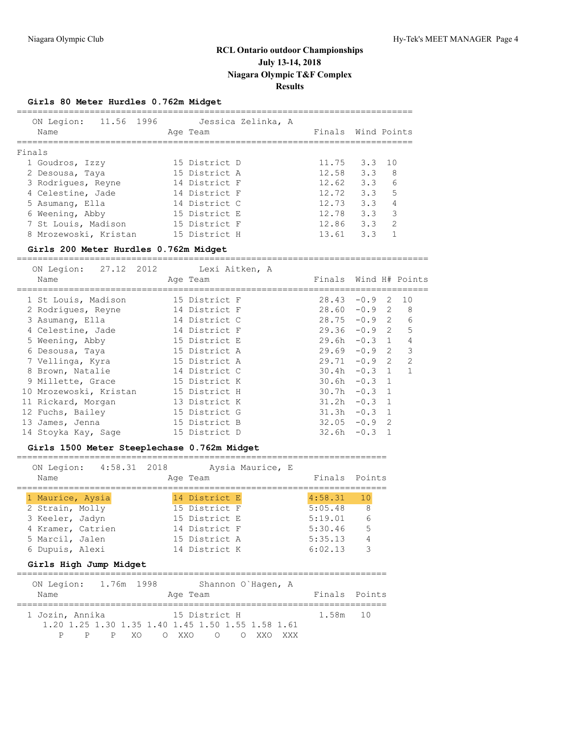## **Girls 80 Meter Hurdles 0.762m Midget**

| 11.56 1996<br>ON Legion:<br>Name | Jessica Zelinka, A<br>Age Team | Finals Wind Points |                |               |
|----------------------------------|--------------------------------|--------------------|----------------|---------------|
| Finals                           |                                |                    |                |               |
| 1 Goudros, Izzy                  | 15 District D                  | 11.75              | $3.3 \quad 10$ |               |
| 2 Desousa, Taya                  | 15 District A                  | 12.58              | 3.3            | - 8           |
| 3 Rodriques, Reyne               | 14 District F                  | 12.62              | 3.3            | 6             |
| 4 Celestine, Jade                | 14 District F                  | 12.72              | 3.3            | 5             |
| 5 Asumang, Ella                  | 14 District C                  | 12.73              | 3.3            | 4             |
| 6 Weening, Abby                  | 15 District E                  | 12.78              | 3.3            | 3             |
| 7 St Louis, Madison              | 15 District F                  | 12.86              | 3.3            | $\mathcal{P}$ |
| 8 Mrozewoski, Kristan            | 15 District H                  | 13.61              | 33             |               |
|                                  |                                |                    |                |               |

### **Girls 200 Meter Hurdles 0.762m Midget**

| Finals |        |                                                                                                          |                                                                                                                                                                                                      |
|--------|--------|----------------------------------------------------------------------------------------------------------|------------------------------------------------------------------------------------------------------------------------------------------------------------------------------------------------------|
|        |        |                                                                                                          |                                                                                                                                                                                                      |
| 28.43  |        | -2                                                                                                       | 10                                                                                                                                                                                                   |
|        |        |                                                                                                          | 8                                                                                                                                                                                                    |
|        |        |                                                                                                          | 6                                                                                                                                                                                                    |
|        |        |                                                                                                          | 5                                                                                                                                                                                                    |
|        |        |                                                                                                          | 4                                                                                                                                                                                                    |
|        |        |                                                                                                          | 3                                                                                                                                                                                                    |
|        |        |                                                                                                          | $\mathcal{P}$                                                                                                                                                                                        |
|        |        |                                                                                                          | 1                                                                                                                                                                                                    |
|        |        |                                                                                                          |                                                                                                                                                                                                      |
|        |        |                                                                                                          |                                                                                                                                                                                                      |
|        |        |                                                                                                          |                                                                                                                                                                                                      |
|        |        |                                                                                                          |                                                                                                                                                                                                      |
|        |        | $\mathcal{L}$                                                                                            |                                                                                                                                                                                                      |
|        | $-0.3$ |                                                                                                          |                                                                                                                                                                                                      |
|        |        | 28.60<br>28.75<br>29.36<br>29.6h<br>29.69<br>30.4h<br>30.6h<br>30.7h<br>31.2h<br>31.3h<br>32.05<br>32.6h | Wind H# Points<br>$-0.9$<br>$-0.9$ 2<br>$-0.9$ 2<br>$-0.92$<br>$-0.3 \quad 1$<br>$-0.9$ 2<br>$29.71 - 0.9$ 2<br>$-0.3 \quad 1$<br>$-0.3$ 1<br>$-0.3$ 1<br>$-0.3 \quad 1$<br>$-0.3 \quad 1$<br>$-0.9$ |

## **Girls 1500 Meter Steeplechase 0.762m Midget**

| 4:58.31 2018 Aysia Maurice, E<br>ON Legion:                                                                                                                      |         |        |
|------------------------------------------------------------------------------------------------------------------------------------------------------------------|---------|--------|
| Name<br>Age Team                                                                                                                                                 | Finals  | Points |
| 14 District E<br>1 Maurice, Aysia                                                                                                                                | 4:58.31 | 10     |
| 15 District F<br>2 Strain, Molly                                                                                                                                 | 5:05.48 | 8      |
| 15 District E<br>3 Keeler, Jadyn                                                                                                                                 | 5:19.01 | 6      |
| 14 District F<br>4 Kramer, Catrien                                                                                                                               | 5:30.46 | 5      |
| 15 District A<br>5 Marcil, Jalen                                                                                                                                 | 5:35.13 | 4      |
| 14 District K<br>6 Dupuis, Alexi                                                                                                                                 | 6:02.13 | 3      |
| Girls High Jump Midget                                                                                                                                           |         |        |
| 1.76m 1998<br>ON Legion:<br>Shannon O'Haqen, A                                                                                                                   |         |        |
| Name<br>Age Team                                                                                                                                                 | Finals  | Points |
| 15 District H<br>1 Jozin, Annika<br>1.20 1.25 1.30 1.35 1.40 1.45 1.50 1.55 1.58 1.61<br>XO<br>P<br>P<br>$\bigcirc$<br>XXO<br>$\bigcirc$<br>P<br>XXO<br>∩<br>XXX | 1.58m   | 10     |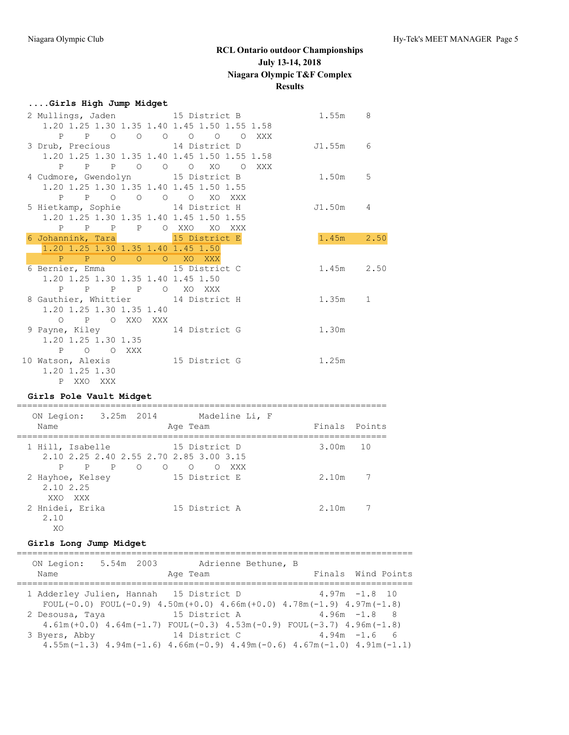### **....Girls High Jump Midget**

| 2 Mullings, Jaden 15 District B              |                      | 1.55m 8    |  |
|----------------------------------------------|----------------------|------------|--|
| 1.20 1.25 1.30 1.35 1.40 1.45 1.50 1.55 1.58 |                      |            |  |
|                                              | P P O O O O O O XXX  |            |  |
| 3 Drub, Precious 14 District D               |                      | J1.55m 6   |  |
| 1.20 1.25 1.30 1.35 1.40 1.45 1.50 1.55 1.58 |                      |            |  |
|                                              | P P P O O O XO O XXX |            |  |
| 4 Cudmore, Gwendolyn 15 District B           |                      | 1.50m 5    |  |
| 1.20 1.25 1.30 1.35 1.40 1.45 1.50 1.55      |                      |            |  |
| P P O O O O XO XXX                           |                      |            |  |
| 5 Hietkamp, Sophie 14 District H             |                      | J1.50m 4   |  |
| 1.20 1.25 1.30 1.35 1.40 1.45 1.50 1.55      |                      |            |  |
| P P P P O XXO XO XXX                         |                      |            |  |
| 6 Johannink, Tara 15 District E              |                      | 1.45m 2.50 |  |
| 1.20 1.25 1.30 1.35 1.40 1.45 1.50           |                      |            |  |
| P P O O O XO XXX                             |                      |            |  |
| 6 Bernier, Emma 15 District C                |                      | 1.45m 2.50 |  |
| 1.20 1.25 1.30 1.35 1.40 1.45 1.50           |                      |            |  |
| P P P P O XO XXX                             |                      |            |  |
| 8 Gauthier, Whittier 14 District H           |                      | 1.35m 1    |  |
| 1.20 1.25 1.30 1.35 1.40                     |                      |            |  |
| O P O XXO XXX                                |                      |            |  |
| 9 Payne, Kiley 14 District G                 |                      | 1.30m      |  |
| 1.20 1.25 1.30 1.35                          |                      |            |  |
| P O O XXX                                    |                      |            |  |
| 10 Watson, Alexis 15 District G              |                      | 1.25m      |  |
| 1.20 1.25 1.30                               |                      |            |  |
| P XXO XXX                                    |                      |            |  |

#### **Girls Pole Vault Midget**

======================================================================= ON Legion: 3.25m 2014 Madeline Li, F Name **Age Team** Age Team Finals Points ======================================================================= 1 Hill, Isabelle 15 District D 3.00m 10 2.10 2.25 2.40 2.55 2.70 2.85 3.00 3.15 P P P O O O O XXX 2 Hayhoe, Kelsey 15 District E 2.10m 7 2.10 2.25 XXO XXX 2 Hnidei, Erika 15 District A 2.10m 7 2.10 XO

## **Girls Long Jump Midget**

| ON Legion:      | Adrienne Bethune, B<br>5.54m 2003                                                                                        |                    |
|-----------------|--------------------------------------------------------------------------------------------------------------------------|--------------------|
| Name            | Age Team                                                                                                                 | Finals Wind Points |
|                 | 1 Adderley Julien, Hannah 15 District D<br>FOUL(-0.0) FOUL(-0.9) $4.50m(+0.0)$ $4.66m(+0.0)$ $4.78m(-1.9)$ $4.97m(-1.8)$ | $4.97m - 1.8 10$   |
| 2 Desousa, Taya | 15 District A<br>$4.61m (+0.0)$ $4.64m (-1.7)$ FOUL $(-0.3)$ $4.53m (-0.9)$ FOUL $(-3.7)$ $4.96m (-1.8)$                 | $4.96m - 1.8$ 8    |
| 3 Byers, Abby   | 14 District C<br>$4.55m(-1.3)$ $4.94m(-1.6)$ $4.66m(-0.9)$ $4.49m(-0.6)$ $4.67m(-1.0)$ $4.91m(-1.1)$                     | $4.94m - 1.6$ 6    |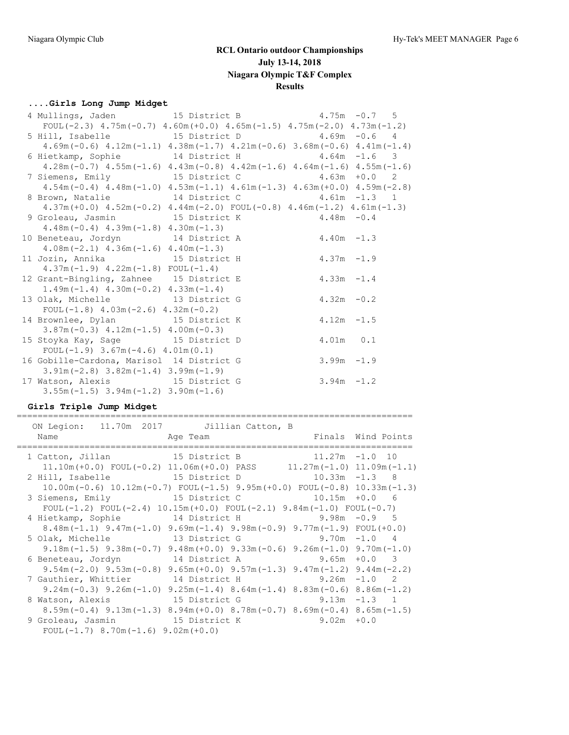## **....Girls Long Jump Midget**

| 4 Mullings, Jaden 15 District B                                                                 |  |               | $4.75m - 0.75$ |
|-------------------------------------------------------------------------------------------------|--|---------------|----------------|
| FOUL $(-2.3)$ 4.75m $(-0.7)$ 4.60m $(+0.0)$ 4.65m $(-1.5)$ 4.75m $(-2.0)$ 4.73m $(-1.2)$        |  |               |                |
|                                                                                                 |  |               |                |
| $4.69m(-0.6)$ $4.12m(-1.1)$ $4.38m(-1.7)$ $4.21m(-0.6)$ $3.68m(-0.6)$ $4.41m(-1.4)$             |  |               |                |
| 6 Hietkamp, Sophie 14 District H 4.64m -1.6 3                                                   |  |               |                |
| $4.28$ m (-0.7) $4.55$ m (-1.6) $4.43$ m (-0.8) $4.42$ m (-1.6) $4.64$ m (-1.6) $4.55$ m (-1.6) |  |               |                |
| 7 Siemens, Emily 15 District C 4.63m + 0.0 2                                                    |  |               |                |
| $4.54m(-0.4)$ $4.48m(-1.0)$ $4.53m(-1.1)$ $4.61m(-1.3)$ $4.63m(+0.0)$ $4.59m(-2.8)$             |  |               |                |
| 8 Brown, Natalie 14 District C 4.61m -1.3 1                                                     |  |               |                |
| $4.37m (+0.0)$ $4.52m (-0.2)$ $4.44m (-2.0)$ $FOUL (-0.8)$ $4.46m (-1.2)$ $4.61m (-1.3)$        |  |               |                |
| 9 Groleau, Jasmin 15 District K 4.48m -0.4                                                      |  |               |                |
| $4.48m(-0.4)$ $4.39m(-1.8)$ $4.30m(-1.3)$                                                       |  |               |                |
| 10 Beneteau, Jordyn 14 District A 4.40m -1.3                                                    |  |               |                |
| $4.08m(-2.1)$ $4.36m(-1.6)$ $4.40m(-1.3)$                                                       |  |               |                |
| 11 Jozin, Annika 15 District H                                                                  |  | $4.37m - 1.9$ |                |
| $4.37m(-1.9)$ $4.22m(-1.8)$ FOUL $(-1.4)$                                                       |  |               |                |
| 12 Grant-Bingling, Zahnee 15 District E                                                         |  | $4.33m - 1.4$ |                |
| $1.49m(-1.4)$ $4.30m(-0.2)$ $4.33m(-1.4)$                                                       |  |               |                |
| 13 Olak, Michelle 13 District G                                                                 |  | $4.32m - 0.2$ |                |
| FOUL $(-1.8)$ 4.03m $(-2.6)$ 4.32m $(-0.2)$                                                     |  |               |                |
| 14 Brownlee, Dylan 15 District K                                                                |  | $4.12m - 1.5$ |                |
| $3.87m(-0.3)$ 4.12m $(-1.5)$ 4.00m $(-0.3)$                                                     |  |               |                |
| 15 Stoyka Kay, Sage 15 District D                                                               |  | 4.01m 0.1     |                |
| $FOUL(-1.9)$ 3.67m $(-4.6)$ 4.01m $(0.1)$                                                       |  |               |                |
| 16 Gobille-Cardona, Marisol 14 District G                                                       |  | $3.99m - 1.9$ |                |
| $3.91m(-2.8)$ $3.82m(-1.4)$ $3.99m(-1.9)$                                                       |  |               |                |
| 17 Watson, Alexis 15 District G                                                                 |  | $3.94m - 1.2$ |                |
| $3.55m(-1.5)$ $3.94m(-1.2)$ $3.90m(-1.6)$                                                       |  |               |                |

## **Girls Triple Jump Midget**

| ON Legion: 11.70m 2017 Jillian Catton, B<br>Name Age Team | Finals Wind Points                                                                              |                  |  |
|-----------------------------------------------------------|-------------------------------------------------------------------------------------------------|------------------|--|
|                                                           |                                                                                                 |                  |  |
| 1 Catton, Jillan 15 District B 11.27m -1.0 10             |                                                                                                 |                  |  |
|                                                           | $11.10m (+0.0)$ FOUL $(-0.2)$ $11.06m (+0.0)$ PASS $11.27m (-1.0)$ $11.09m (-1.1)$              |                  |  |
| 2 Hill, Isabelle 15 District D 10.33m -1.3 8              |                                                                                                 |                  |  |
|                                                           | $10.00$ m(-0.6) $10.12$ m(-0.7) FOUL(-1.5) 9.95m(+0.0) FOUL(-0.8) 10.33m(-1.3)                  |                  |  |
| 3 Siemens, Emily 15 District C                            |                                                                                                 | $10.15m + 0.0$ 6 |  |
|                                                           | FOUL(-1.2) FOUL(-2.4) $10.15m(+0.0)$ FOUL(-2.1) $9.84m(-1.0)$ FOUL(-0.7)                        |                  |  |
| 4 Hietkamp, Sophie 34 District H 3.98m -0.9 5             |                                                                                                 |                  |  |
|                                                           | $8.48$ m (-1.1) $9.47$ m (-1.0) $9.69$ m (-1.4) $9.98$ m (-0.9) $9.77$ m (-1.9) FOUL (+0.0)     |                  |  |
| 5 Olak, Michelle 13 District G 9.70m -1.0 4               |                                                                                                 |                  |  |
|                                                           | $9.18$ m (-1.5) $9.38$ m (-0.7) $9.48$ m (+0.0) $9.33$ m (-0.6) $9.26$ m (-1.0) $9.70$ m (-1.0) |                  |  |
| 6 Beneteau, Jordyn 14 District A 9.65m +0.0 3             |                                                                                                 |                  |  |
|                                                           | $9.54m(-2.0)$ $9.53m(-0.8)$ $9.65m(+0.0)$ $9.57m(-1.3)$ $9.47m(-1.2)$ $9.44m(-2.2)$             |                  |  |
| 7 Gauthier, Whittier 14 District H 9.26m -1.0 2           |                                                                                                 |                  |  |
|                                                           | $9.24$ m (-0.3) $9.26$ m (-1.0) $9.25$ m (-1.4) $8.64$ m (-1.4) $8.83$ m (-0.6) $8.86$ m (-1.2) |                  |  |
| 8 Watson, Alexis 15 District G 9.13m -1.3 1               |                                                                                                 |                  |  |
|                                                           | $8.59$ m(-0.4) $9.13$ m(-1.3) $8.94$ m(+0.0) $8.78$ m(-0.7) $8.69$ m(-0.4) $8.65$ m(-1.5)       |                  |  |
| 9 Groleau, Jasmin 15 District K                           |                                                                                                 | $9.02m + 0.0$    |  |
| FOUL $(-1.7)$ 8.70m $(-1.6)$ 9.02m $(+0.0)$               |                                                                                                 |                  |  |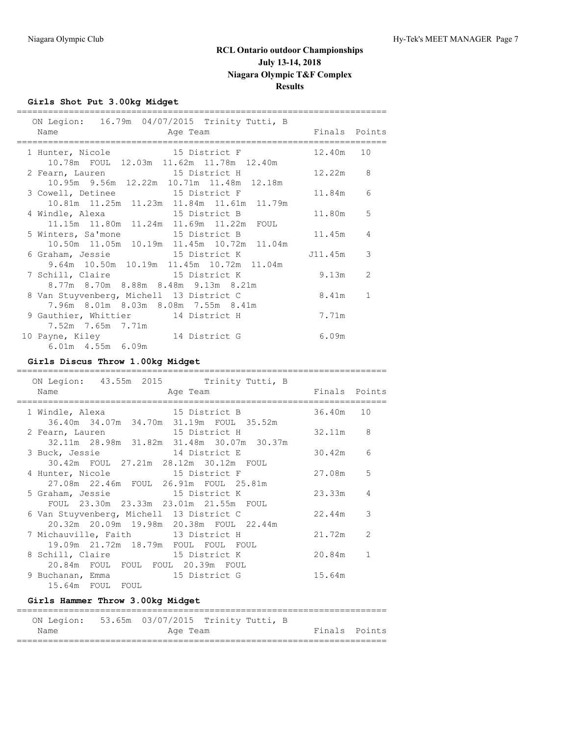## **Girls Shot Put 3.00kg Midget**

| ON Legion: 16.79m 04/07/2015 Trinity Tutti, B                                 |            |              |
|-------------------------------------------------------------------------------|------------|--------------|
| Age Team and Finals Points<br>Name                                            |            |              |
| 1 Hunter, Nicole 15 District F                                                | 12.40m 10  |              |
| 10.78m FOUL 12.03m 11.62m 11.78m 12.40m                                       |            |              |
| 2 Fearn, Lauren 15 District H                                                 | $12.22m$ 8 |              |
| 10.95m 9.56m 12.22m 10.71m 11.48m 12.18m                                      |            |              |
| 3 Cowell, Detinee 15 District F                                               | 11.84m 6   |              |
| 10.81m 11.25m 11.23m 11.84m 11.61m 11.79m                                     | 11.80m     | 5            |
| 4 Windle, Alexa 15 District B<br>11.15m  11.80m  11.24m  11.69m  11.22m  FOUL |            |              |
| 5 Winters, Sa'mone 15 District B                                              | 11.45m     | 4            |
| 10.50m  11.05m  10.19m  11.45m  10.72m  11.04m                                |            |              |
| 6 Graham, Jessie 15 District K 111.45m                                        |            | 3            |
| 9.64m 10.50m 10.19m 11.45m 10.72m 11.04m                                      |            |              |
| 7 Schill, Claire 15 District K                                                | 9.13m      | 2            |
| 8.77m 8.70m 8.88m 8.48m 9.13m 8.21m                                           |            |              |
| 8 Van Stuyvenberg, Michell 13 District C                                      | 8.41m      | $\mathbf{1}$ |
| 7.96m 8.01m 8.03m 8.08m 7.55m 8.41m                                           |            |              |
| 9 Gauthier, Whittier 14 District H<br>7.52m 7.65m 7.71m                       | 7.71m      |              |
| 10 Payne, Kiley 14 District G                                                 | 6.09m      |              |
| $6.01m$ $4.55m$ $6.09m$                                                       |            |              |
|                                                                               |            |              |

# **Girls Discus Throw 1.00kg Midget**

| ON Legion: 43.55m 2015 Trinity Tutti, B                                                 |           |                |
|-----------------------------------------------------------------------------------------|-----------|----------------|
| Name<br>Finals Points<br>Age Team                                                       |           |                |
| 15 District B<br>1 Windle, Alexa<br>36.40m 34.07m 34.70m 31.19m FOUL 35.52m             | 36.40m 10 |                |
| 2 Fearn, Lauren 15 District H<br>32.11m 28.98m 31.82m 31.48m 30.07m 30.37m              | 32.11m    | -8             |
| 3 Buck, Jessie 14 District E<br>30.42m FOUL 27.21m 28.12m 30.12m FOUL                   | 30.42m    | 6              |
| 4 Hunter, Nicole 15 District F<br>27.08m  22.46m  FOUL  26.91m  FOUL  25.81m            | 27.08m    | 5              |
| 5 Graham, Jessie 15 District K<br>FOUL 23.30m 23.33m 23.01m 21.55m FOUL                 | 23.33m    | $\overline{4}$ |
| 6 Van Stuyvenberg, Michell 13 District C<br>20.32m 20.09m 19.98m 20.38m FOUL 22.44m     | 22.44m    | 3              |
| 7 Michauville, Faith 13 District H                                                      | 21.72m    | 2              |
| 19.09m  21.72m  18.79m  FOUL  FOUL  FOUL<br>8 Schill, Claire 15 District K              | 20.84m    | 1              |
| 20.84m FOUL FOUL FOUL 20.39m FOUL<br>9 Buchanan, Emma 15 District G<br>15.64m FOUL FOUL | 15.64m    |                |

## **Girls Hammer Throw 3.00kg Midget**

|      |  |          | ON Legion: 53.65m 03/07/2015 Trinity Tutti, B |  |               |  |  |  |
|------|--|----------|-----------------------------------------------|--|---------------|--|--|--|
| Name |  | Age Team |                                               |  | Finals Points |  |  |  |
|      |  |          |                                               |  |               |  |  |  |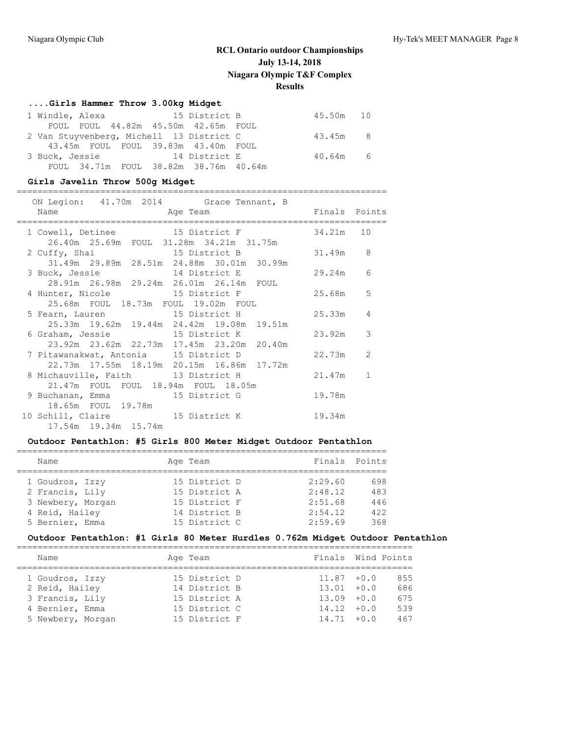### **....Girls Hammer Throw 3.00kg Midget**

|  |  | 1 Windle, Alexa 15 District B            | 45.50m 10 |  |
|--|--|------------------------------------------|-----------|--|
|  |  | FOUL FOUL 44.82m 45.50m 42.65m FOUL      |           |  |
|  |  | 2 Van Stuyvenberg, Michell 13 District C | 43.45m 8  |  |
|  |  | 43.45m FOUL FOUL 39.83m 43.40m FOUL      |           |  |
|  |  | 3 Buck, Jessie 14 District E             | 40.64m 6  |  |
|  |  | FOUL 34.71m FOUL 38.82m 38.76m 40.64m    |           |  |

### **Girls Javelin Throw 500g Midget**

#### =======================================================================  $11.70m.2011$

|  | ON Legion: 41./0m 2014 Grace Tennant, B |                                              |          |  |  |               |                |  |
|--|-----------------------------------------|----------------------------------------------|----------|--|--|---------------|----------------|--|
|  | Name                                    |                                              | Age Team |  |  | Finals Points |                |  |
|  | 1 Cowell, Detinee 15 District F         |                                              |          |  |  | 34.21m 10     |                |  |
|  |                                         | 26.40m  25.69m  FOUL  31.28m  34.21m  31.75m |          |  |  |               |                |  |
|  | 2 Cuffy, Shai 15 District B             |                                              |          |  |  | 31.49m 8      |                |  |
|  |                                         | 31.49m 29.89m 28.51m 24.88m 30.01m 30.99m    |          |  |  |               |                |  |
|  | 3 Buck, Jessie 14 District E            |                                              |          |  |  | 29.24m 6      |                |  |
|  |                                         | 28.91m  26.98m  29.24m  26.01m  26.14m  FOUL |          |  |  |               |                |  |
|  | 4 Hunter, Nicole 15 District F          |                                              |          |  |  | 25.68m 5      |                |  |
|  |                                         | 25.68m  FOUL  18.73m  FOUL  19.02m  FOUL     |          |  |  |               |                |  |
|  | 5 Fearn, Lauren 15 District H           |                                              |          |  |  | 25.33m 4      |                |  |
|  |                                         | 25.33m 19.62m 19.44m 24.42m 19.08m 19.51m    |          |  |  |               |                |  |
|  | 6 Graham, Jessie 15 District K          |                                              |          |  |  | 23.92m 3      |                |  |
|  |                                         | 23.92m 23.62m 22.73m 17.45m 23.20m 20.40m    |          |  |  |               |                |  |
|  | 7 Pitawanakwat, Antonia 15 District D   |                                              |          |  |  | 22.73m        | $\overline{2}$ |  |
|  |                                         | 22.73m 17.55m 18.19m 20.15m 16.86m 17.72m    |          |  |  |               |                |  |
|  | 8 Michauville, Faith 13 District H      |                                              |          |  |  | 21.47m        | $\mathbf{1}$   |  |
|  |                                         | 21.47m FOUL FOUL 18.94m FOUL 18.05m          |          |  |  |               |                |  |
|  | 9 Buchanan, Emma 15 District G          |                                              |          |  |  | 19.78m        |                |  |
|  |                                         | 18.65m FOUL 19.78m                           |          |  |  |               |                |  |
|  | 10 Schill, Claire 15 District K         |                                              |          |  |  | 19.34m        |                |  |
|  |                                         | 17.54m  19.34m  15.74m                       |          |  |  |               |                |  |

### **Outdoor Pentathlon: #5 Girls 800 Meter Midget Outdoor Pentathlon**

| Name |                                                                                              |          | Finals Points                                                                     |     |
|------|----------------------------------------------------------------------------------------------|----------|-----------------------------------------------------------------------------------|-----|
|      |                                                                                              |          |                                                                                   |     |
|      |                                                                                              |          | 2:29.60                                                                           | 698 |
|      |                                                                                              |          | 2:48.12                                                                           | 483 |
|      |                                                                                              |          | 2:51.68                                                                           | 446 |
|      |                                                                                              |          | 2:54.12                                                                           | 422 |
|      |                                                                                              |          | 2:59.69                                                                           | 368 |
|      | 1 Goudros, Izzy<br>2 Francis, Lily<br>3 Newbery, Morgan<br>4 Reid, Hailey<br>5 Bernier, Emma | Age Team | 15 District D<br>15 District A<br>15 District F<br>14 District B<br>15 District C |     |

### **Outdoor Pentathlon: #1 Girls 80 Meter Hurdles 0.762m Midget Outdoor Pentathlon**

| Name              | Age Team      | Finals Wind Points |     |
|-------------------|---------------|--------------------|-----|
|                   |               |                    |     |
| 1 Goudros, Izzy   | 15 District D | $11.87 + 0.0$      | 855 |
| 2 Reid, Hailey    | 14 District B | $13.01 + 0.0$      | 686 |
| 3 Francis, Lily   | 15 District A | $13.09 + 0.0$      | 675 |
| 4 Bernier, Emma   | 15 District C | $14.12 + 0.0$      | 539 |
| 5 Newbery, Morgan | 15 District F | $14.71 + 0.0$      | 467 |
|                   |               |                    |     |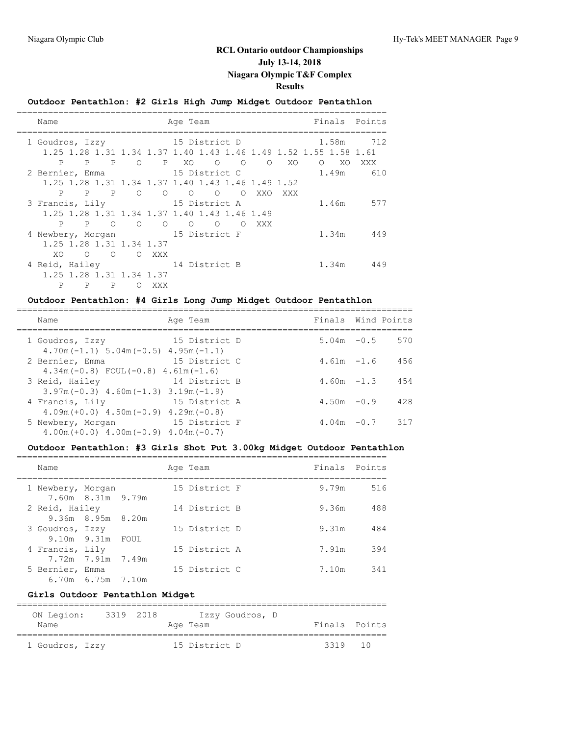## **Outdoor Pentathlon: #2 Girls High Jump Midget Outdoor Pentathlon**

| Name                            | Age Team   |                          |          |                |  |  |                 |   |                                                                  |         |        | Finals Points |
|---------------------------------|------------|--------------------------|----------|----------------|--|--|-----------------|---|------------------------------------------------------------------|---------|--------|---------------|
| 1 Goudros, Izzy                 |            |                          |          | 15 District D  |  |  |                 |   |                                                                  |         | 1.58m  | 712           |
|                                 |            |                          |          |                |  |  |                 |   | 1.25 1.28 1.31 1.34 1.37 1.40 1.43 1.46 1.49 1.52 1.55 1.58 1.61 |         |        |               |
|                                 |            |                          |          |                |  |  |                 |   |                                                                  |         |        |               |
| P                               |            |                          |          |                |  |  |                 |   | $P$ $P$ $Q$ $P$ $XQ$ $Q$ $Q$ $Q$                                 | XO      | $O$ XO | XXX X         |
| 2 Bernier, Emma 15 District C   |            |                          |          |                |  |  |                 |   |                                                                  |         |        | 1.49m 610     |
|                                 |            |                          |          |                |  |  |                 |   | 1.25 1.28 1.31 1.34 1.37 1.40 1.43 1.46 1.49 1.52                |         |        |               |
| P                               |            | $P$ $P$                  | $\circ$  |                |  |  |                 |   |                                                                  | XXO XXX |        |               |
| 3 Francis, Lily                 |            |                          |          | 15 District A  |  |  |                 |   |                                                                  |         |        | 1.46m 577     |
|                                 |            |                          |          |                |  |  |                 |   | 1.25 1.28 1.31 1.34 1.37 1.40 1.43 1.46 1.49                     |         |        |               |
| P                               | P          | $\bigcirc$               | $\Omega$ | $\overline{O}$ |  |  | $\circ$ $\circ$ | ∩ | XXX                                                              |         |        |               |
| 4 Newbery, Morgan 15 District F |            |                          |          |                |  |  |                 |   |                                                                  |         |        | 1.34m 449     |
|                                 |            | 1.25 1.28 1.31 1.34 1.37 |          |                |  |  |                 |   |                                                                  |         |        |               |
| XO.                             | $\bigcirc$ | $\circ$                  |          | O XXX          |  |  |                 |   |                                                                  |         |        |               |
| 4 Reid, Hailey 14 District B    |            |                          |          |                |  |  |                 |   |                                                                  |         | 1.34m  | 449           |
|                                 |            | 1.25 1.28 1.31 1.34 1.37 |          |                |  |  |                 |   |                                                                  |         |        |               |
| P                               | P          | $\mathbb{P}$             | ∩        | XXX            |  |  |                 |   |                                                                  |         |        |               |
|                                 |            |                          |          |                |  |  |                 |   |                                                                  |         |        |               |

### **Outdoor Pentathlon: #4 Girls Long Jump Midget Outdoor Pentathlon**

| Name                                                                           | Age Team      | Finals Wind Points |     |
|--------------------------------------------------------------------------------|---------------|--------------------|-----|
| 1 Goudros, Izzy<br>$4.70$ m ( $-1.1$ ) $5.04$ m ( $-0.5$ ) $4.95$ m ( $-1.1$ ) | 15 District D | $5.04m - 0.5$      | 570 |
| 2 Bernier, Emma<br>$4.34m(-0.8)$ FOUL $(-0.8)$ $4.61m(-1.6)$                   | 15 District C | $4.61m - 1.6$      | 456 |
| 3 Reid, Hailey<br>$3.97m(-0.3)$ 4.60m (-1.3) 3.19m (-1.9)                      | 14 District B | $4.60m - 1.3$      | 454 |
| 4 Francis, Lily<br>$4.09$ m (+0.0) $4.50$ m (-0.9) $4.29$ m (-0.8)             | 15 District A | $4.50m - 0.9$      | 428 |
| 5 Newbery, Morgan<br>$4.00m (+0.0)$ $4.00m (-0.9)$ $4.04m (-0.7)$              | 15 District F | $4.04m - 0.7$      | 317 |

#### **Outdoor Pentathlon: #3 Girls Shot Put 3.00kg Midget Outdoor Pentathlon**

| Name                                                            | Age Team      | Finals Points |     |
|-----------------------------------------------------------------|---------------|---------------|-----|
| 1 Newbery, Morgan<br>7.60m 8.31m 9.79m                          | 15 District F | 9.79m         | 516 |
| 2 Reid, Hailey<br>9.36m 8.95m 8.20m                             | 14 District B | 9.36m         | 488 |
| 3 Goudros, Izzy<br>$9.10m$ $9.31m$ FOUL                         | 15 District D | 9.31m         | 484 |
| 4 Francis, Lily                                                 | 15 District A | 7.91m         | 394 |
| 7.72m 7.91m 7.49m<br>5 Bernier, Emma<br>$6.70m$ $6.75m$ $7.10m$ | 15 District C | 7.10m         | 341 |

### **Girls Outdoor Pentathlon Midget**

| ON Legion:      | 3319 2018 |  | Izzy Goudros, D |               |                 |
|-----------------|-----------|--|-----------------|---------------|-----------------|
| Name            |           |  | Age Team        | Finals Points |                 |
|                 |           |  |                 |               |                 |
| 1 Goudros, Izzy |           |  | 15 District D   | 3319          | $\overline{10}$ |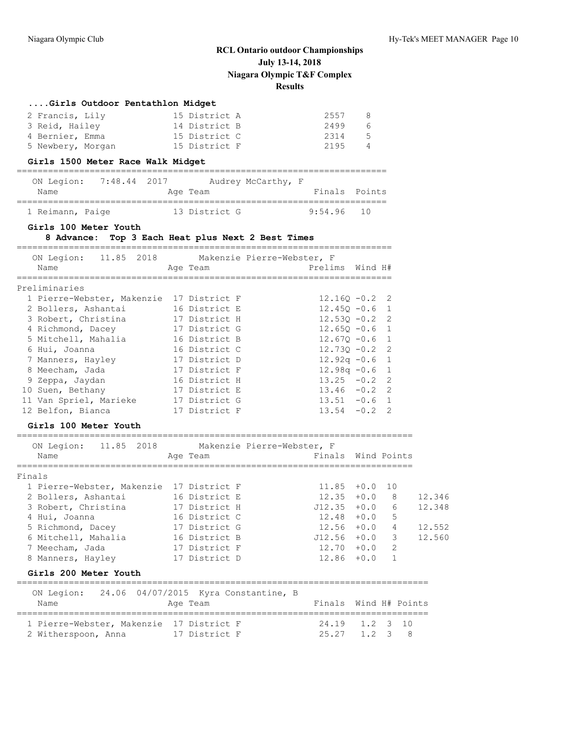## **....Girls Outdoor Pentathlon Midget** 2 Francis, Lily 15 District A 2557 8 3 Reid, Hailey 14 District B 2499 6 4 Bernier, Emma 15 District C 2314 5 5 Newbery, Morgan 15 District F 2195 4 **Girls 1500 Meter Race Walk Midget** ======================================================================= ON Legion: 7:48.44 2017 Audrey McCarthy, F Name **Age Team** Age Team Finals Points ======================================================================= 1 Reimann, Paige 13 District G 9:54.96 10 **Girls 100 Meter Youth 8 Advance: Top 3 Each Heat plus Next 2 Best Times** ======================================================================== ON Legion: 11.85 2018 Makenzie Pierre-Webster, F Name and Age Team and Prelims Wind H# ======================================================================== Preliminaries 1 Pierre-Webster, Makenzie 17 District F 12.16Q -0.2 2 2 Bollers, Ashantai 16 District E 12.45Q -0.6 1 3 Robert, Christina 17 District H 12.53Q -0.2 2 4 Richmond, Dacey 17 District G 12.65Q -0.6 1 5 Mitchell, Mahalia 16 District B 12.67Q -0.6 1 6 Hui, Joanna 16 District C 12.73Q -0.2 2 7 Manners, Hayley 17 District D 12.92q -0.6 1 8 Meecham, Jada 17 District F 12.98q -0.6 1 9 Zeppa, Jaydan 16 District H 13.25 -0.2 2 10 Suen, Bethany 17 District E 13.46 -0.2 2 11 Van Spriel, Marieke 17 District G 13.51 -0.6 1 12 Belfon, Bianca 17 District F 13.54 -0.2 2 **Girls 100 Meter Youth** ============================================================================ ON Legion: 11.85 2018 Makenzie Pierre-Webster, F Name **Age Team** Age Team Finals Wind Points ============================================================================ Finals 1 Pierre-Webster, Makenzie 17 District F 11.85 +0.0 10 2 Bollers, Ashantai 16 District E 12.35 +0.0 8 12.346 3 Robert, Christina 17 District H J12.35 +0.0 6 12.348 4 Hui, Joanna 16 District C 12.48 +0.0 5 5 Richmond, Dacey 17 District G 12.56 +0.0 4 12.552 6 Mitchell, Mahalia 16 District B J12.56 +0.0 3 12.560 7 Meecham, Jada 17 District F 12.70 +0.0 2 8 Manners, Hayley 17 District D 12.86 +0.0 1 **Girls 200 Meter Youth** =============================================================================== ON Legion: 24.06 04/07/2015 Kyra Constantine, B Name **Age Team** Age Team Finals Wind H# Points =============================================================================== 1 Pierre-Webster, Makenzie 17 District F 24.19 1.2 3 10

2 Witherspoon, Anna 17 District F 25.27 1.2 3 8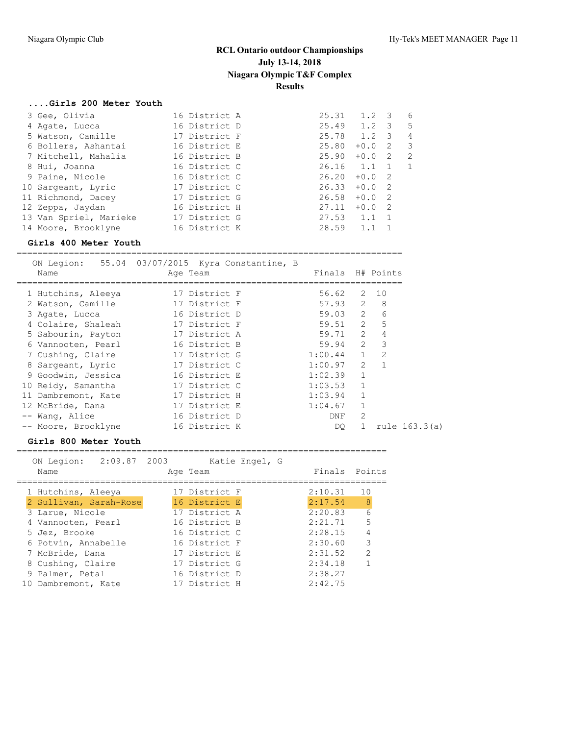### **....Girls 200 Meter Youth**

| 3 Gee, Olivia |                                                                                                                                                                                                                                        |                                                                                                                                                                                                          |        |                                                                            | 6                                                                                                                                                            |
|---------------|----------------------------------------------------------------------------------------------------------------------------------------------------------------------------------------------------------------------------------------|----------------------------------------------------------------------------------------------------------------------------------------------------------------------------------------------------------|--------|----------------------------------------------------------------------------|--------------------------------------------------------------------------------------------------------------------------------------------------------------|
|               |                                                                                                                                                                                                                                        |                                                                                                                                                                                                          |        |                                                                            | $5^{\circ}$                                                                                                                                                  |
|               |                                                                                                                                                                                                                                        |                                                                                                                                                                                                          |        |                                                                            | 4                                                                                                                                                            |
|               |                                                                                                                                                                                                                                        |                                                                                                                                                                                                          | $+0.0$ |                                                                            | $\overline{\mathbf{3}}$                                                                                                                                      |
|               |                                                                                                                                                                                                                                        |                                                                                                                                                                                                          |        |                                                                            | $\overline{2}$                                                                                                                                               |
|               |                                                                                                                                                                                                                                        |                                                                                                                                                                                                          |        |                                                                            | $\overline{1}$                                                                                                                                               |
|               |                                                                                                                                                                                                                                        |                                                                                                                                                                                                          |        |                                                                            |                                                                                                                                                              |
|               |                                                                                                                                                                                                                                        |                                                                                                                                                                                                          |        |                                                                            |                                                                                                                                                              |
|               |                                                                                                                                                                                                                                        |                                                                                                                                                                                                          |        |                                                                            |                                                                                                                                                              |
|               |                                                                                                                                                                                                                                        |                                                                                                                                                                                                          |        |                                                                            |                                                                                                                                                              |
|               |                                                                                                                                                                                                                                        |                                                                                                                                                                                                          |        |                                                                            |                                                                                                                                                              |
|               |                                                                                                                                                                                                                                        |                                                                                                                                                                                                          | 1.1    |                                                                            |                                                                                                                                                              |
|               | 4 Agate, Lucca<br>5 Watson, Camille<br>6 Bollers, Ashantai<br>7 Mitchell, Mahalia<br>8 Hui, Joanna<br>9 Paine, Nicole<br>10 Sargeant, Lyric<br>11 Richmond, Dacey<br>12 Zeppa, Jaydan<br>13 Van Spriel, Marieke<br>14 Moore, Brooklyne | 16 District A<br>16 District D<br>17 District F<br>16 District E<br>16 District B<br>16 District C<br>16 District C<br>17 District C<br>17 District G<br>16 District H<br>17 District G<br>16 District K | 27.11  | 25.31<br>25.80<br>25.90<br>26.20<br>26.33<br>26.58<br>$27.53$ 1.1<br>28.59 | $1.2 \quad 3$<br>$25.49$ 1.2 3<br>25.78 1.2 3<br>$\overline{2}$<br>$+0.0$ 2<br>26.16 1.1 1<br>$+0.0$ 2<br>$+0.0$ 2<br>$+0.0$ 2<br>$+0.0$ 2<br>$\overline{1}$ |

### **Girls 400 Meter Youth**

==========================================================================

| Name                | ON Legion: 55.04 03/07/2015 Kyra Constantine, B<br>Age Team | Finals H# Points |                |                |
|---------------------|-------------------------------------------------------------|------------------|----------------|----------------|
| 1 Hutchins, Aleeya  | 17 District F                                               | 56.62            |                | 2 10           |
| 2 Watson, Camille   | 17 District F                                               | 57.93            |                | 2 8            |
| 3 Agate, Lucca      | 16 District D                                               | 59.03 2          |                | 6              |
| 4 Colaire, Shaleah  | 17 District F                                               | 59.51 2          |                | 5              |
| 5 Sabourin, Payton  | 17 District A                                               | 59.71            | $\overline{2}$ | 4              |
| 6 Vannooten, Pearl  | 16 District B                                               | 59.94            | $2^{\circ}$    | 3              |
| 7 Cushing, Claire   | 17 District G                                               | $1:00.44$ 1      |                | 2              |
| 8 Sargeant, Lyric   | 17 District C                                               | 1:00.97          | $2^{\circ}$    | $\overline{1}$ |
| 9 Goodwin, Jessica  | 16 District E                                               | 1:02.39          | $\mathbf{1}$   |                |
| 10 Reidy, Samantha  | 17 District C                                               | 1:03.53          | $\mathbf{1}$   |                |
| 11 Dambremont, Kate | 17 District H                                               | 1:03.94          | $\mathbf{1}$   |                |
| 12 McBride, Dana    | 17 District E                                               | 1:04.67          | $\mathbf{1}$   |                |
| -- Wang, Alice      | 16 District D                                               | DNF              | 2              |                |
| -- Moore, Brooklyne | 16 District K                                               | DO               | $\mathbf{1}$   | rule 163.3(a)  |

#### **Girls 800 Meter Youth**

=======================================================================

| 2:09.87 2003<br>ON Legion: | Katie Engel, G |               |               |
|----------------------------|----------------|---------------|---------------|
| Name                       | Age Team       | Finals Points |               |
| 1 Hutchins, Aleeya         | 17 District F  | 2:10.31       | 10            |
| 2 Sullivan, Sarah-Rose     | 16 District E  | 2:17.54       | - 8           |
| 3 Larue, Nicole            | 17 District A  | 2:20.83       | 6             |
| 4 Vannooten, Pearl         | 16 District B  | 2:21.71       | 5             |
| 5 Jez, Brooke              | 16 District C  | 2:28.15       |               |
| 6 Potvin, Annabelle        | 16 District F  | 2:30.60       | 3             |
| 7 McBride, Dana            | 17 District E  | 2:31.52       | $\mathcal{L}$ |
| 8 Cushing, Claire          | 17 District G  | 2:34.18       |               |
| 9 Palmer, Petal            | 16 District D  | 2:38.27       |               |
| 10 Dambremont, Kate        | 17 District H  | 2:42.75       |               |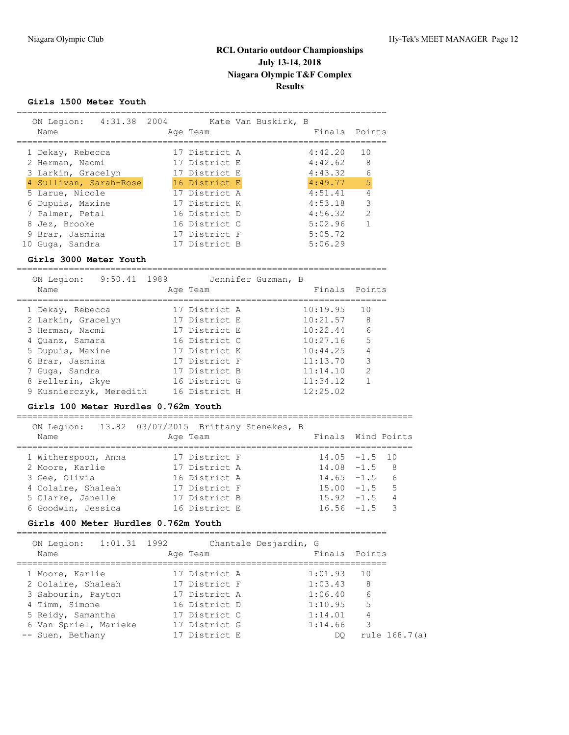### **Girls 1500 Meter Youth**

| 4:31.38 2004<br>ON Legion:<br>Name | Age Team      | Kate Van Buskirk, B | Finals  | Points         |
|------------------------------------|---------------|---------------------|---------|----------------|
| 1 Dekay, Rebecca                   | 17 District A |                     | 4:42.20 | 10             |
| 2 Herman, Naomi                    | 17 District E |                     | 4:42.62 | 8              |
| 3 Larkin, Gracelyn                 | 17 District E |                     | 4:43.32 | 6              |
| 4 Sullivan, Sarah-Rose             | 16 District E |                     | 4:49.77 | 5              |
| 5 Larue, Nicole                    | 17 District A |                     | 4:51.41 | $\overline{4}$ |
| 6 Dupuis, Maxine                   | 17 District K |                     | 4:53.18 | 3              |
| 7 Palmer, Petal                    | 16 District D |                     | 4:56.32 | $\overline{2}$ |
| 8 Jez, Brooke                      | 16 District C |                     | 5:02.96 | $\mathbf 1$    |
| 9 Brar, Jasmina                    | 17 District F |                     | 5:05.72 |                |
| 10 Guga, Sandra                    | 17 District B |                     | 5:06.29 |                |

#### **Girls 3000 Meter Youth**

=======================================================================

|  | ON Legion:<br>Name      | 9:50.41 1989 | Age Team      | Jennifer Guzman, B | Finals Points |                |
|--|-------------------------|--------------|---------------|--------------------|---------------|----------------|
|  |                         |              |               |                    |               |                |
|  | 1 Dekay, Rebecca        |              | 17 District A |                    | 10:19.95      | 10             |
|  | 2 Larkin, Gracelyn      |              | 17 District E |                    | 10:21.57      | 8              |
|  | 3 Herman, Naomi         |              | 17 District E |                    | 10:22.44      | 6              |
|  | 4 Quanz, Samara         |              | 16 District C |                    | 10:27.16      | 5              |
|  | 5 Dupuis, Maxine        |              | 17 District K |                    | 10:44.25      | $\overline{4}$ |
|  | 6 Brar, Jasmina         |              | 17 District F |                    | 11:13.70      | 3              |
|  | 7 Guga, Sandra          |              | 17 District B |                    | 11:14.10      | $\mathfrak{D}$ |
|  | 8 Pellerin, Skye        |              | 16 District G |                    | 11:34.12      |                |
|  | 9 Kusnierczyk, Meredith |              | 16 District H |                    | 12:25.02      |                |

#### **Girls 100 Meter Hurdles 0.762m Youth**

============================================================================ ON Legion: 13.82 03/07/2015 Brittany Stenekes, B

| Name                | ON REGION. IS.02 03/07/2013 DITCLAND SCENEAES, D<br>Age Team | Finals Wind Points |  |
|---------------------|--------------------------------------------------------------|--------------------|--|
| 1 Witherspoon, Anna | 17 District F                                                | $14.05 - 1.5$ 10   |  |
| 2 Moore, Karlie     | 17 District A                                                | $14.08 - 1.5$ 8    |  |
| 3 Gee, Olivia       | 16 District A                                                | $14.65 - 1.5$ 6    |  |
| 4 Colaire, Shaleah  | 17 District F                                                | $15.00 -1.5$ 5     |  |
| 5 Clarke, Janelle   | 17 District B                                                | $15.92 - 1.5$ 4    |  |
| 6 Goodwin, Jessica  | 16 District E                                                | $16.56 - 1.5$ 3    |  |
|                     |                                                              |                    |  |

### **Girls 400 Meter Hurdles 0.762m Youth**

| Name              | ON Legion: 1:01.31 1992 | Age Team      | Chantale Desjardin, G | Finals Points |
|-------------------|-------------------------|---------------|-----------------------|---------------|
| 1 Moore, Karlie   |                         | 17 District A | 1:01.93               | 1 O           |
|                   | 2 Colaire, Shaleah      | 17 District F | 1:03.43               | -8            |
|                   | 3 Sabourin, Payton      | 17 District A | 1:06.40               | 6             |
| 4 Timm, Simone    |                         | 16 District D | 1:10.95               | .5            |
| 5 Reidy, Samantha |                         | 17 District C | 1:14.01               | 4             |
|                   | 6 Van Spriel, Marieke   | 17 District G | 1:14.66               | 3             |
| -- Suen, Bethany  |                         | 17 District E | DO.                   | rule 168.7(a) |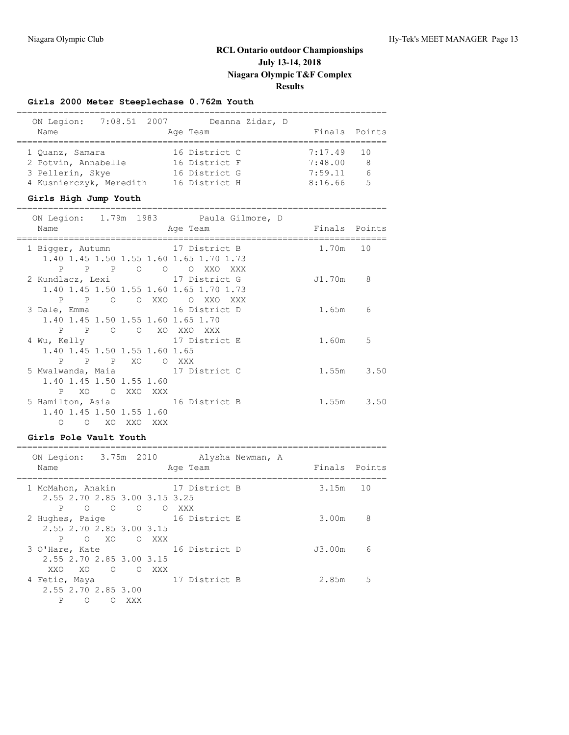## **Girls 2000 Meter Steeplechase 0.762m Youth**

| 7:08.51 2007<br>ON Legion:<br>Name                          | Deanna Zidar, D<br>Age Team | Finals Points |        |
|-------------------------------------------------------------|-----------------------------|---------------|--------|
|                                                             |                             |               |        |
| 1 Ouanz, Samara                                             | 16 District C               | 7:17.49       | 10     |
| 2 Potvin, Annabelle                                         | 16 District F               | 7:48.00       | 8      |
| 3 Pellerin, Skye                                            | 16 District G               | 7:59.11       | 6      |
| 4 Kusnierczyk, Meredith                                     | 16 District H               | 8:16.66       | 5      |
| Girls High Jump Youth                                       |                             |               |        |
| 1.79m 1983<br>ON Legion:                                    | Paula Gilmore, D            |               |        |
| Name                                                        | Age Team                    | Finals        | Points |
| 1 Bigger, Autumn<br>1.40 1.45 1.50 1.55 1.60 1.65 1.70 1.73 | 17 District B               | 1.70m         | 10     |

|              |                               |                           | 1.40 1.45 1.50 1.55 1.60 1.65 1.70 1.73 |        |      |
|--------------|-------------------------------|---------------------------|-----------------------------------------|--------|------|
| $\mathbf{P}$ | $\overline{P}$<br>P           | $\circ$<br>$\overline{O}$ | O XXO<br>XXX                            |        |      |
|              |                               |                           | 2 Kundlacz, Lexi 17 District G          | J1.70m | 8    |
|              |                               |                           | 1.40 1.45 1.50 1.55 1.60 1.65 1.70 1.73 |        |      |
| P            | P<br>$\Omega$                 | O XXO                     | $\circ$<br>XXO<br>XXX                   |        |      |
| 3 Dale, Emma |                               |                           | 16 District D                           | 1.65m  | 6    |
|              |                               |                           | 1.40 1.45 1.50 1.55 1.60 1.65 1.70      |        |      |
| $\mathbf{P}$ | P<br>$\circ$                  | $\circ$                   | XO XXO XXX                              |        |      |
| 4 Wu, Kelly  |                               |                           | 17 District E                           | 1.60m  | 5    |
|              | 1.40 1.45 1.50 1.55 1.60 1.65 |                           |                                         |        |      |
| $\mathbf{P}$ | $\mathbb{P}$<br>$\mathbf{P}$  | XO.                       | O XXX                                   |        |      |
|              |                               |                           | 5 Mwalwanda, Maia 617 District C        | 1.55m  | 3.50 |
|              | 1.40 1.45 1.50 1.55 1.60      |                           |                                         |        |      |
| P.           | XO.                           | O XXO XXX                 |                                         |        |      |
|              |                               |                           | 5 Hamilton, Asia 16 District B          | 1.55m  | 3.50 |
|              | 1.40 1.45 1.50 1.55 1.60      |                           |                                         |        |      |
| Ω            | XO.<br>$\circ$                | XXO<br>XXX                |                                         |        |      |

#### **Girls Pole Vault Youth** =======================================================================

| ON Legion: 3.75m 2010<br>Name                                                                       |        | Age Team               | Alysha Newman, A | Finals Points |    |
|-----------------------------------------------------------------------------------------------------|--------|------------------------|------------------|---------------|----|
| 1 McMahon, Anakin<br>2.55 2.70 2.85 3.00 3.15 3.25                                                  |        | 17 District B          |                  | $3.15m$ 10    |    |
| P<br>$\begin{matrix} 0 & 0 \end{matrix}$<br>$\Omega$<br>2 Hughes, Paige<br>2.55 2.70 2.85 3.00 3.15 |        | O XXX<br>16 District E |                  | 3.00m         | 8  |
| XO X<br>P<br>$\circ$<br>3 O'Hare, Kate<br>2.55 2.70 2.85 3.00 3.15                                  | O XXX  | 16 District D          |                  | J3.00m        | 6  |
| XXO<br>XO.<br>4 Fetic, Maya<br>2.55 2.70 2.85 3.00                                                  | O OXXX | 17 District B          |                  | 2.85m         | .5 |
| Ρ<br>Ω<br>$\left($                                                                                  | XXX    |                        |                  |               |    |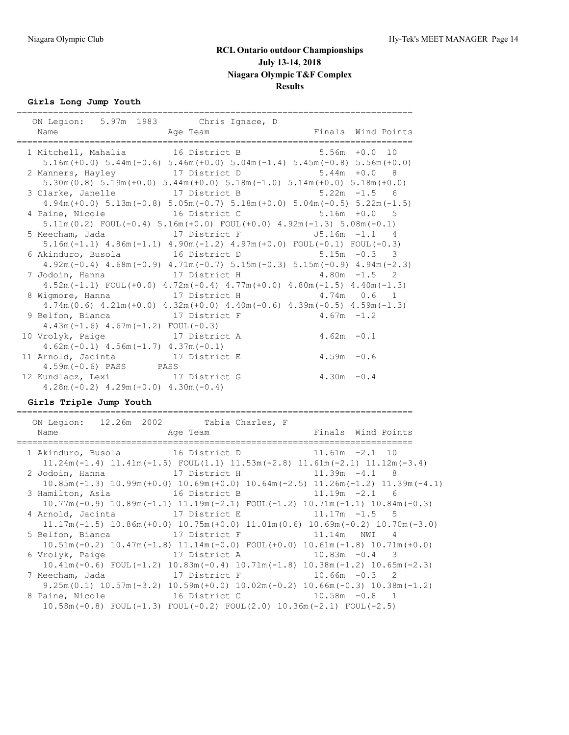## **Girls Long Jump Youth**

| :===========<br>ON Legion: 5.97m 1983 Chris Ignace, D                  |                                                                                                            |                                                                                           |
|------------------------------------------------------------------------|------------------------------------------------------------------------------------------------------------|-------------------------------------------------------------------------------------------|
| Name                                                                   |                                                                                                            | Age Team The Pinals Wind Points                                                           |
| 1 Mitchell, Mahalia 16 District B 5.56m +0.0 10                        |                                                                                                            |                                                                                           |
|                                                                        |                                                                                                            | $5.16m (+0.0)$ $5.44m (-0.6)$ $5.46m (+0.0)$ $5.04m (-1.4)$ $5.45m (-0.8)$ $5.56m (+0.0)$ |
| 2 Manners, Hayley 17 District D 5.44m +0.0 8                           |                                                                                                            |                                                                                           |
|                                                                        | $5.30$ m $(0.8)$ $5.19$ m $(+0.0)$ $5.44$ m $(+0.0)$ $5.18$ m $(-1.0)$ $5.14$ m $(+0.0)$ $5.18$ m $(+0.0)$ |                                                                                           |
| 3 Clarke, Janelle 17 District B 5.22m -1.5 6                           |                                                                                                            |                                                                                           |
|                                                                        |                                                                                                            | $4.94m (+0.0)$ $5.13m (-0.8)$ $5.05m (-0.7)$ $5.18m (+0.0)$ $5.04m (-0.5)$ $5.22m (-1.5)$ |
| 4 Paine, Nicole 16 District C 5.16m +0.0 5                             |                                                                                                            |                                                                                           |
|                                                                        | $5.11m(0.2)$ FOUL $(-0.4)$ $5.16m(+0.0)$ FOUL $(+0.0)$ $4.92m(-1.3)$ $5.08m(-0.1)$                         |                                                                                           |
|                                                                        |                                                                                                            |                                                                                           |
|                                                                        | $5.16m(-1.1)$ $4.86m(-1.1)$ $4.90m(-1.2)$ $4.97m(+0.0)$ $FOUL(-0.1)$ $FOUL(-0.3)$                          |                                                                                           |
| 6 Akinduro, Busola 16 District D 5.15m -0.3 3                          |                                                                                                            |                                                                                           |
|                                                                        |                                                                                                            | $4.92m(-0.4)$ $4.68m(-0.9)$ $4.71m(-0.7)$ $5.15m(-0.3)$ $5.15m(-0.9)$ $4.94m(-2.3)$       |
| 7 Jodoin, Hanna               17 District H             4.80m -1.5   2 |                                                                                                            |                                                                                           |
|                                                                        | $4.52m(-1.1)$ FOUL $(+0.0)$ $4.72m(-0.4)$ $4.77m(+0.0)$ $4.80m(-1.5)$ $4.40m(-1.3)$                        |                                                                                           |
| 8 Wigmore, Hanna 17 District H 4.74m 0.6 1                             |                                                                                                            |                                                                                           |
|                                                                        | $4.74m(0.6)$ $4.21m(+0.0)$ $4.32m(+0.0)$ $4.40m(-0.6)$ $4.39m(-0.5)$ $4.59m(-1.3)$                         |                                                                                           |
| 9 Belfon, Bianca 17 District F                                         |                                                                                                            | $4.67m - 1.2$                                                                             |
| $4.43m(-1.6)$ $4.67m(-1.2)$ FOUL $(-0.3)$                              |                                                                                                            |                                                                                           |
| 10 Vrolyk, Paige 17 District A                                         |                                                                                                            | $4.62m - 0.1$                                                                             |
| $4.62m(-0.1)$ $4.56m(-1.7)$ $4.37m(-0.1)$                              |                                                                                                            |                                                                                           |
| 11 Arnold, Jacinta 17 District E                                       |                                                                                                            | $4.59m - 0.6$                                                                             |
| $4.59m(-0.6)$ PASS PASS                                                |                                                                                                            |                                                                                           |
| 12 Kundlacz, Lexi 17 District G                                        |                                                                                                            | $4.30m - 0.4$                                                                             |
| $4.28m(-0.2)$ $4.29m(+0.0)$ $4.30m(-0.4)$                              |                                                                                                            |                                                                                           |

## **Girls Triple Jump Youth**

| ON Legion: 12.26m 2002 Tabia Charles, F<br>Name | Aqe Team                                                                                                                                                      | Finals Wind Points                                                                                                   |
|-------------------------------------------------|---------------------------------------------------------------------------------------------------------------------------------------------------------------|----------------------------------------------------------------------------------------------------------------------|
|                                                 | 1 Akinduro, Busola 16 District D 11.61m -2.1 10<br>$11.24$ m $(-1.4)$ $11.41$ m $(-1.5)$ $FOUL(1.1)$ $11.53$ m $(-2.8)$ $11.61$ m $(-2.1)$ $11.12$ m $(-3.4)$ |                                                                                                                      |
|                                                 | 2 Jodoin, Hanna               17 District H               11.39m -4.1   8                                                                                     | $10.85$ m $(-1.3)$ $10.99$ m $(+0.0)$ $10.69$ m $(+0.0)$ $10.64$ m $(-2.5)$ $11.26$ m $(-1.2)$ $11.39$ m $(-4.1)$    |
| 3 Hamilton, Asia 16 District B                  |                                                                                                                                                               | $11.19m - 2.1$ 6<br>$10.77m(-0.9)$ $10.89m(-1.1)$ $11.19m(-2.1)$ FOUL(-1.2) $10.71m(-1.1)$ $10.84m(-0.3)$            |
| 4 Arnold, Jacinta 17 District E                 |                                                                                                                                                               | $11.17m - 1.5$ 5<br>$11.17m(-1.5)$ $10.86m(+0.0)$ $10.75m(+0.0)$ $11.01m(0.6)$ $10.69m(-0.2)$ $10.70m(-3.0)$         |
| 5 Belfon, Bianca 17 District F                  |                                                                                                                                                               | 11.14m NWI 4<br>$10.51m(-0.2)$ $10.47m(-1.8)$ $11.14m(-0.0)$ $FOUL(+0.0)$ $10.61m(-1.8)$ $10.71m(+0.0)$              |
|                                                 | 6 Vrolyk, Paige 17 District A 10.83m -0.4 3                                                                                                                   | $10.41m(-0.6)$ FOUL $(-1.2)$ $10.83m(-0.4)$ $10.71m(-1.8)$ $10.38m(-1.2)$ $10.65m(-2.3)$                             |
| 7 Meecham, Jada                                 | 17 District F                                                                                                                                                 | $10.66m - 0.3$ 2<br>$9.25$ m $(0.1)$ 10.57m $(-3.2)$ 10.59m $(+0.0)$ 10.02m $(-0.2)$ 10.66m $(-0.3)$ 10.38m $(-1.2)$ |
|                                                 | 8 Paine, Nicole 16 District C 10.58m -0.8 1<br>$10.58$ m(-0.8) FOUL(-1.3) FOUL(-0.2) FOUL(2.0) 10.36m(-2.1) FOUL(-2.5)                                        |                                                                                                                      |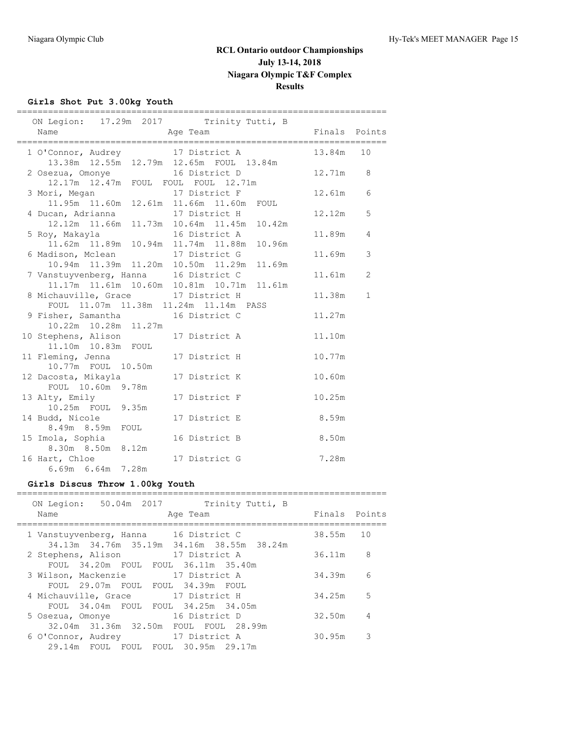## **Girls Shot Put 3.00kg Youth**

|                                          |                        | ON Legion: 17.29m 2017 Trinity Tutti, B                                                    |                          |
|------------------------------------------|------------------------|--------------------------------------------------------------------------------------------|--------------------------|
| Name                                     | Age Team               |                                                                                            | Finals Points            |
|                                          |                        | 1 O'Connor, Audrey 17 District A 13.84m 10<br>13.38m  12.55m  12.79m  12.65m  FOUL  13.84m |                          |
| 2 Osezua, Omonye 16 District D           |                        | 12.17m  12.47m  FOUL  FOUL  FOUL  12.71m                                                   | 12.71m 8                 |
|                                          |                        | 3 Mori, Megan 17 District F<br>11.95m 11.60m 12.61m 11.66m 11.60m FOUL                     | 6<br>12.61m              |
| 4 Ducan, Adrianna                        |                        | 17 District H<br>12.12m  11.66m  11.73m  10.64m  11.45m  10.42m                            | $\overline{5}$<br>12.12m |
|                                          |                        | 5 Roy, Makayla 16 District A<br>11.62m 11.89m 10.94m 11.74m 11.88m 10.96m                  | 11.89m<br>4              |
|                                          |                        | 6 Madison, Mclean 17 District G<br>10.94m 11.39m 11.20m 10.50m 11.29m 11.69m               | 11.69m<br>3              |
|                                          |                        | 7 Vanstuyvenberg, Hanna 16 District C<br>11.17m  11.61m  10.60m  10.81m  10.71m  11.61m    | 11.61m<br>2              |
|                                          |                        | 8 Michauville, Grace 17 District H<br>FOUL 11.07m 11.38m 11.24m 11.14m PASS                | 11.38m<br>$\mathbf{1}$   |
| 9 Fisher, Samantha 16 District C         | 10.22m  10.28m  11.27m | 11.27m                                                                                     |                          |
| 10 Stephens, Alison 17 District A        | 11.10m  10.83m  FOUL   | 11.10m                                                                                     |                          |
| 11 Fleming, Jenna                        | 10.77m FOUL 10.50m     | 17 District H<br>10.77m                                                                    |                          |
| 12 Dacosta, Mikayla<br>FOUL 10.60m 9.78m |                        | 17 District K<br>10.60m                                                                    |                          |
| 13 Alty, Emily<br>10.25m FOUL 9.35m      |                        | 10.25m<br>17 District F                                                                    |                          |
| 14 Budd, Nicole<br>8.49m 8.59m FOUL      |                        | 17 District E<br>8.59m                                                                     |                          |
| 15 Imola, Sophia<br>8.30m 8.50m 8.12m    |                        | 16 District B<br>8.50m                                                                     |                          |
| 16 Hart, Chloe<br>6.69m 6.64m 7.28m      |                        | 7.28m<br>17 District G                                                                     |                          |

### **Girls Discus Throw 1.00kg Youth**

| 50.04m 2017<br>ON Legion:<br>Trinity Tutti, B<br>Name<br>Age Team                  | Finals Points |                |
|------------------------------------------------------------------------------------|---------------|----------------|
| 1 Vanstuyvenberg, Hanna 16 District C<br>34.13m 34.76m 35.19m 34.16m 38.55m 38.24m | 38.55m        | 10             |
| 17 District A<br>2 Stephens, Alison<br>FOUL 34.20m FOUL FOUL 36.11m 35.40m         | 36.11m        | 8              |
| 3 Wilson, Mackenzie<br>17 District A<br>FOUL 29.07m FOUL FOUL 34.39m FOUL          | 34.39m        | 6              |
| 17 District H<br>4 Michauville, Grace<br>FOUL 34.04m FOUL FOUL 34.25m 34.05m       | 34.25m        | 5              |
| 16 District D<br>5 Osezua, Omonye<br>32.04m 31.36m 32.50m FOUL FOUL 28.99m         | 32.50m        | $\overline{4}$ |
| 17 District A<br>6 O'Connor, Audrey<br>29.14m FOUL FOUL FOUL 30.95m 29.17m         | 30.95m        | 3              |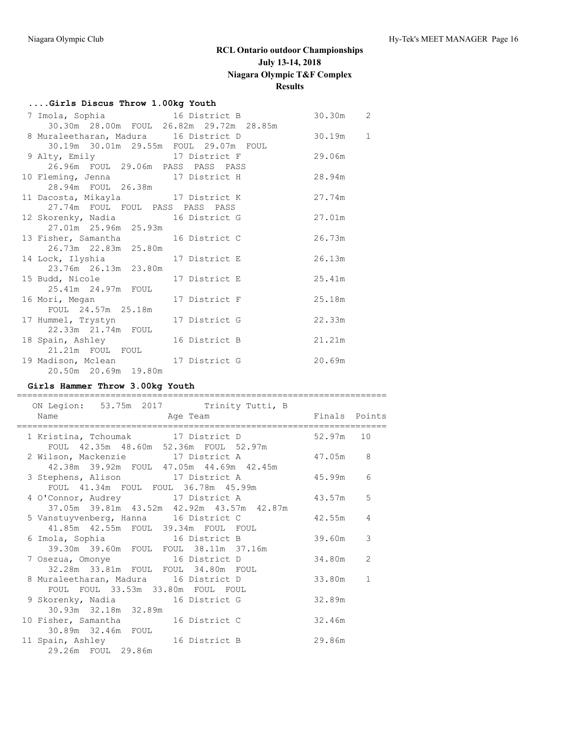## **....Girls Discus Throw 1.00kg Youth**

| 7 Imola, Sophia 16 District B              |  |          | 30.30m<br>$\overline{2}$ |  |
|--------------------------------------------|--|----------|--------------------------|--|
| 30.30m 28.00m FOUL 26.82m 29.72m 28.85m    |  |          |                          |  |
| 8 Muraleetharan, Madura 16 District D      |  | 30.19m 1 |                          |  |
| 30.19m  30.01m  29.55m  FOUL  29.07m  FOUL |  |          |                          |  |
| 9 Alty, Emily 17 District F 29.06m         |  |          |                          |  |
| 26.96m FOUL 29.06m PASS PASS PASS          |  |          |                          |  |
| 10 Fleming, Jenna 17 District H 28.94m     |  |          |                          |  |
| 28.94m FOUL 26.38m                         |  |          |                          |  |
| 11 Dacosta, Mikayla 17 District K          |  | 27.74m   |                          |  |
| 27.74m FOUL FOUL PASS PASS PASS            |  |          |                          |  |
| 12 Skorenky, Nadia 16 District G           |  | 27.01m   |                          |  |
| 27.01m  25.96m  25.93m                     |  |          |                          |  |
| 13 Fisher, Samantha 16 District C          |  | 26.73m   |                          |  |
| 26.73m  22.83m  25.80m                     |  |          |                          |  |
| 14 Lock, Ilyshia 17 District E             |  | 26.13m   |                          |  |
| 23.76m  26.13m  23.80m                     |  |          |                          |  |
| 15 Budd, Nicole 17 District E              |  | 25.41m   |                          |  |
| 25.41m  24.97m  FOUL                       |  |          |                          |  |
| 16 Mori, Megan 17 District F               |  | 25.18m   |                          |  |
| FOUL 24.57m 25.18m                         |  |          |                          |  |
| 17 Hummel, Trystyn 17 District G           |  | 22.33m   |                          |  |
| 22.33m  21.74m  FOUL                       |  |          |                          |  |
| 18 Spain, Ashley 16 District B             |  | 21.21m   |                          |  |
| 21.21m FOUL FOUL                           |  |          |                          |  |
| 19 Madison, Mclean 17 District G           |  | 20.69m   |                          |  |
| 20.50m 20.69m 19.80m                       |  |          |                          |  |

## **Girls Hammer Throw 3.00kg Youth**

| ON Legion: 53.75m 2017 Trinity Tutti, B                                               |        |                |
|---------------------------------------------------------------------------------------|--------|----------------|
|                                                                                       |        |                |
| 1 Kristina, Tchoumak 17 District D 52.97m 10<br>FOUL 42.35m 48.60m 52.36m FOUL 52.97m |        |                |
| 2 Wilson, Mackenzie 17 District A<br>42.38m 39.92m FOUL 47.05m 44.69m 42.45m          | 47.05m | 8              |
| 3 Stephens, Alison 17 District A<br>FOUL 41.34m FOUL FOUL 36.78m 45.99m               | 45.99m | 6              |
| 4 O'Connor, Audrey 17 District A                                                      | 43.57m | 5              |
| 37.05m 39.81m 43.52m 42.92m 43.57m 42.87m<br>5 Vanstuyvenberg, Hanna 16 District C    | 42.55m | $\overline{4}$ |
| 41.85m  42.55m  FOUL  39.34m  FOUL  FOUL<br>6 Imola, Sophia 16 District B             | 39.60m | 3              |
| 39.30m 39.60m FOUL FOUL 38.11m 37.16m<br>7 Osezua, Omonye 16 District D               | 34.80m | 2              |
| 8 Muraleetharan, Madura 16 District D                                                 | 33.80m | $\mathbf{1}$   |
| FOUL FOUL 33.53m 33.80m FOUL FOUL<br>9 Skorenky, Nadia 16 District G                  | 32.89m |                |
| 30.93m 32.18m 32.89m<br>10 Fisher, Samantha 16 District C                             | 32.46m |                |
| 30.89m 32.46m FOUL<br>11 Spain, Ashley 16 District B                                  | 29.86m |                |
| 29.26m FOUL 29.86m                                                                    |        |                |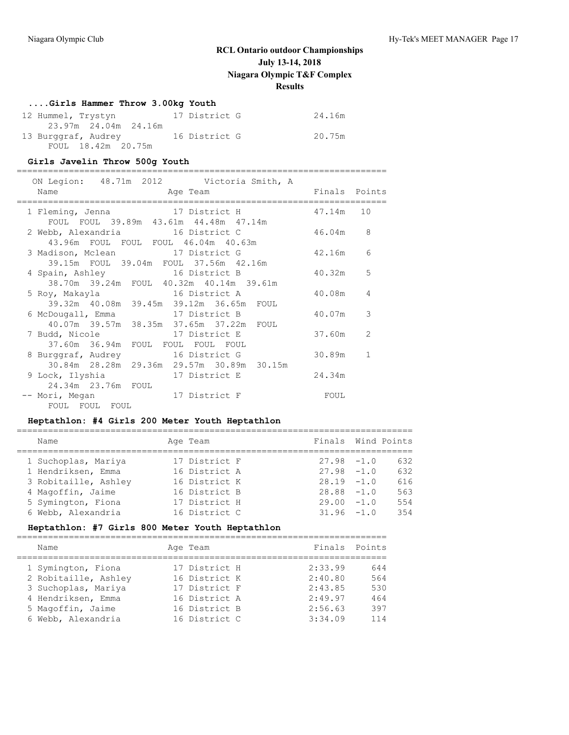### **....Girls Hammer Throw 3.00kg Youth**

| 12 Hummel, Trystyn   | 17 District G | 24.16m |
|----------------------|---------------|--------|
| 23.97m 24.04m 24.16m |               |        |
| 13 Burggraf, Audrey  | 16 District G | 20.75m |
| FOUL 18.42m 20.75m   |               |        |

### **Girls Javelin Throw 500g Youth**

=======================================================================

| ON Legion: 48.71m 2012 Victoria Smith, A<br>Name<br>and the contract of the contract of the contract of the contract of the contract of the contract of the contract of the contract of the contract of the contract of the contract of the contract of the contract of the contra | Finals Points |               |
|------------------------------------------------------------------------------------------------------------------------------------------------------------------------------------------------------------------------------------------------------------------------------------|---------------|---------------|
| 1 Fleming, Jenna 17 District H<br>FOUL FOUL 39.89m 43.61m 44.48m 47.14m                                                                                                                                                                                                            | 47.14m 10     |               |
| 2 Webb, Alexandria 16 District C<br>43.96m FOUL FOUL FOUL 46.04m 40.63m                                                                                                                                                                                                            | 46.04m        | 8             |
| 3 Madison, Mclean 17 District G<br>39.15m FOUL 39.04m FOUL 37.56m 42.16m                                                                                                                                                                                                           | 42.16m        | 6             |
| 4 Spain, Ashley 16 District B<br>38.70m 39.24m FOUL 40.32m 40.14m 39.61m                                                                                                                                                                                                           | 40.32m        | 5             |
| 5 Roy, Makayla 16 District A<br>39.32m 40.08m 39.45m 39.12m 36.65m FOUL                                                                                                                                                                                                            | 40.08m        | 4             |
| 6 McDougall, Emma 17 District B<br>40.07m 39.57m 38.35m 37.65m 37.22m FOUL                                                                                                                                                                                                         | 40.07m        | 3             |
| 7 Budd, Nicole<br>17 District E<br>37.60m 36.94m FOUL FOUL FOUL FOUL                                                                                                                                                                                                               | 37.60m        | $\mathcal{L}$ |
| 8 Burggraf, Audrey 16 District G<br>30.84m 28.28m 29.36m 29.57m 30.89m 30.15m                                                                                                                                                                                                      | 30.89m        | $\mathbf{1}$  |
| 9 Lock, Ilyshia 17 District E<br>24.34m 23.76m FOUL                                                                                                                                                                                                                                | 24.34m        |               |
| -- Mori, Megan 17 District F<br>FOUL FOUL FOUL                                                                                                                                                                                                                                     | FOUL          |               |

### **Heptathlon: #4 Girls 200 Meter Youth Heptathlon**

| Name                 | Age Team      | Finals Wind Points |      |
|----------------------|---------------|--------------------|------|
| 1 Suchoplas, Mariya  | 17 District F | $27.98 - 1.0$      | 632  |
| 1 Hendriksen, Emma   | 16 District A | $27.98 - 1.0$      | 632  |
| 3 Robitaille, Ashley | 16 District K | $28.19 - 1.0$      | 616  |
| 4 Magoffin, Jaime    | 16 District B | $28.88 - 1.0$      | 563  |
| 5 Symington, Fiona   | 17 District H | $29.00 - 1.0$      | 554  |
| 6 Webb, Alexandria   | 16 District C | $31.96 - 1.0$      | 3.54 |
|                      |               |                    |      |

## **Heptathlon: #7 Girls 800 Meter Youth Heptathlon**

| Name                 | Age Team      | Finals Points |     |
|----------------------|---------------|---------------|-----|
| 1 Symington, Fiona   | 17 District H | 2:33.99       | 644 |
| 2 Robitaille, Ashley | 16 District K | 2:40.80       | 564 |
| 3 Suchoplas, Mariya  | 17 District F | 2:43.85       | 530 |
| 4 Hendriksen, Emma   | 16 District A | 2:49.97       | 464 |
| 5 Magoffin, Jaime    | 16 District B | 2:56.63       | 397 |
| 6 Webb, Alexandria   | 16 District C | 3:34.09       | 114 |
|                      |               |               |     |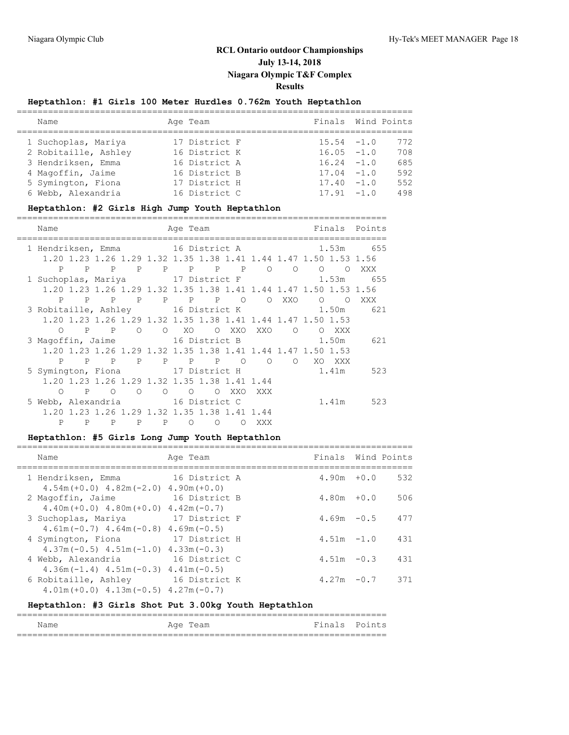## **Heptathlon: #1 Girls 100 Meter Hurdles 0.762m Youth Heptathlon**

| Name                 | Age Team      | Finals Wind Points |     |
|----------------------|---------------|--------------------|-----|
| 1 Suchoplas, Mariya  | 17 District F | $15.54 - 1.0$      | 772 |
| 2 Robitaille, Ashley | 16 District K | $16.05 - 1.0$      | 708 |
| 3 Hendriksen, Emma   | 16 District A | $16.24 - 1.0$      | 685 |
| 4 Magoffin, Jaime    | 16 District B | $17.04 - 1.0$      | 592 |
| 5 Symington, Fiona   | 17 District H | $17.40 - 1.0$      | 552 |
| 6 Webb, Alexandria   | 16 District C | $17.91 - 1.0$      | 498 |

### **Heptathlon: #2 Girls High Jump Youth Heptathlon**

| Name                                   |              |   |                                                                  |         | Age Team |         |            |         |                |       |                     | <b>Example 19 Finals</b> Points              |
|----------------------------------------|--------------|---|------------------------------------------------------------------|---------|----------|---------|------------|---------|----------------|-------|---------------------|----------------------------------------------|
|                                        |              |   |                                                                  |         |          |         |            |         |                |       |                     | 1 Hendriksen, Emma 16 District A 1.53m 655   |
|                                        |              |   | 1.20 1.23 1.26 1.29 1.32 1.35 1.38 1.41 1.44 1.47 1.50 1.53 1.56 |         |          |         |            |         |                |       |                     |                                              |
|                                        |              |   | P P P P P P P P O O O                                            |         |          |         |            |         |                |       | $\Omega$            | XXX                                          |
|                                        |              |   |                                                                  |         |          |         |            |         |                |       |                     | 1 Suchoplas, Mariya 17 District F 1.53m 655  |
|                                        |              |   | 1.20 1.23 1.26 1.29 1.32 1.35 1.38 1.41 1.44 1.47 1.50 1.53 1.56 |         |          |         |            |         |                |       |                     |                                              |
|                                        |              |   | P P P P P P P O                                                  |         |          |         |            |         | O XXO          |       | $\circ$<br>$\Omega$ | XXX                                          |
|                                        |              |   |                                                                  |         |          |         |            |         |                |       |                     | 3 Robitaille, Ashley 16 District K 1.50m 621 |
|                                        |              |   | 1.20 1.23 1.26 1.29 1.32 1.35 1.38 1.41 1.44 1.47 1.50 1.53      |         |          |         |            |         |                |       |                     |                                              |
| $\bigcirc$                             |              |   | P P O O XO O XXO XXO                                             |         |          |         |            |         | $\overline{O}$ |       | O XXX               |                                              |
| 3 Magoffin, Jaime 16 District B        |              |   |                                                                  |         |          |         |            |         |                | 1.50m |                     | 621                                          |
|                                        |              |   | 1.20 1.23 1.26 1.29 1.32 1.35 1.38 1.41 1.44 1.47 1.50 1.53      |         |          |         |            |         |                |       |                     |                                              |
|                                        |              |   | P P P P P P P O                                                  |         |          |         |            | $\circ$ | $\circ$        |       | XO XXX              |                                              |
| 5 Symington, Fiona 17 District H 1.41m |              |   |                                                                  |         |          |         |            |         |                |       |                     | 523                                          |
|                                        |              |   | 1.20 1.23 1.26 1.29 1.32 1.35 1.38 1.41 1.44                     |         |          |         |            |         |                |       |                     |                                              |
| $\bigcirc$                             | $\mathbf{P}$ |   | $\circ$<br>$\circ$                                               | $\circ$ | $\circ$  | $\circ$ | XXO        | XXX     |                |       |                     |                                              |
| 5 Webb, Alexandria 16 District C       |              |   |                                                                  |         |          |         |            |         |                |       |                     | 1.41m 523                                    |
|                                        |              |   | 1.20 1.23 1.26 1.29 1.32 1.35 1.38 1.41 1.44                     |         |          |         |            |         |                |       |                     |                                              |
| P                                      | P            | P |                                                                  |         |          | P P O O | $\bigcirc$ | XXX     |                |       |                     |                                              |

## **Heptathlon: #5 Girls Long Jump Youth Heptathlon**

| Name                                                                   | Age Team                       | Finals Wind Points |     |
|------------------------------------------------------------------------|--------------------------------|--------------------|-----|
| 1 Hendriksen, Emma<br>$4.54m(+0.0)$ $4.82m(-2.0)$ $4.90m(+0.0)$        | 16 District A                  | $4.90m + 0.0$      | 532 |
| 2 Magoffin, Jaime<br>$4.40m (+0.0)$ $4.80m (+0.0)$ $4.42m (-0.7)$      | 16 District B                  | $4.80m + 0.0$      | 506 |
| 3 Suchoplas, Mariya<br>$4.61$ m (-0.7) $4.64$ m (-0.8) $4.69$ m (-0.5) | 17 District F                  | $4.69m - 0.5$      | 477 |
| 4 Symington, Fiona<br>$4.37m(-0.5)$ $4.51m(-1.0)$                      | 17 District H<br>$4.33m(-0.3)$ | $4.51m - 1.0$      | 431 |
| 4 Webb, Alexandria<br>$4.36m(-1.4)$ $4.51m(-0.3)$ $4.41m(-0.5)$        | 16 District C                  | $4.51m - 0.3$      | 431 |
| 6 Robitaille, Ashley<br>$4.01m (+0.0)$ $4.13m (-0.5)$ $4.27m (-0.7)$   | 16 District K                  | $4.27m - 0.7$      | 371 |

# **Heptathlon: #3 Girls Shot Put 3.00kg Youth Heptathlon**

| Name | Age Team | Finals Points |  |
|------|----------|---------------|--|
|      |          |               |  |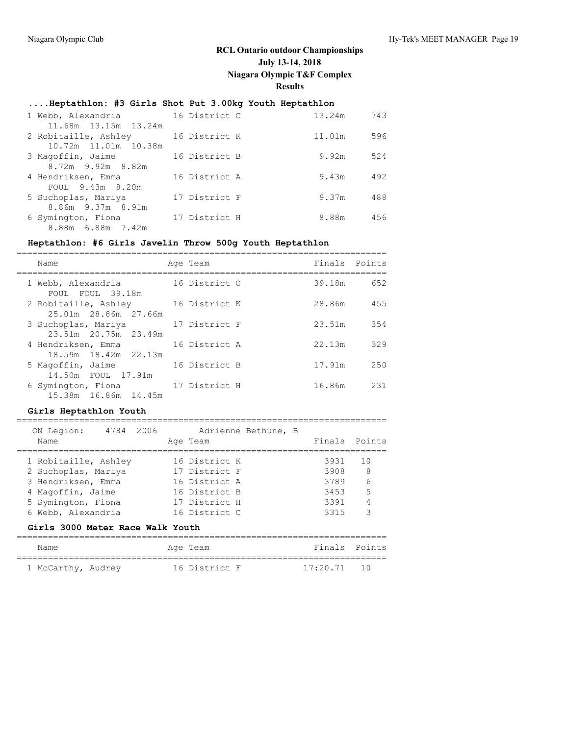## **....Heptathlon: #3 Girls Shot Put 3.00kg Youth Heptathlon**

| 1 Webb, Alexandria                           | 16 District C | 13.24m | 743 |
|----------------------------------------------|---------------|--------|-----|
| 11.68m 13.15m 13.24m<br>2 Robitaille, Ashley | 16 District K | 11.01m | 596 |
| 10.72m 11.01m 10.38m                         |               |        |     |
| 3 Magoffin, Jaime                            | 16 District B | 9.92m  | 524 |
| 8.72m 9.92m 8.82m                            |               |        |     |
| 4 Hendriksen, Emma<br>FOUL 9.43m 8.20m       | 16 District A | 9.43m  | 492 |
| 5 Suchoplas, Mariya                          | 17 District F | 9.37m  | 488 |
| 8.86m 9.37m 8.91m                            |               |        |     |
| 6 Symington, Fiona<br>8.88m 6.88m 7.42m      | 17 District H | 8.88m  | 456 |

## **Heptathlon: #6 Girls Javelin Throw 500g Youth Heptathlon**

| Name                                         | Age Team      | Finals Points |     |
|----------------------------------------------|---------------|---------------|-----|
| 1 Webb, Alexandria<br>FOUL FOUL 39.18m       | 16 District C | 39.18m        | 652 |
| 2 Robitaille, Ashley<br>25.01m 28.86m 27.66m | 16 District K | 28.86m        | 455 |
| 3 Suchoplas, Mariya<br>23.51m 20.75m 23.49m  | 17 District F | 23.51m        | 354 |
| 4 Hendriksen, Emma<br>18.59m 18.42m 22.13m   | 16 District A | 22.13m        | 329 |
| 5 Magoffin, Jaime<br>14.50m FOUL 17.91m      | 16 District B | 17.91m        | 250 |
| 6 Symington, Fiona<br>15.38m 16.86m 14.45m   | 17 District H | 16.86m        | 231 |

## **Girls Heptathlon Youth**

| ON Legion:           | 4784 2006 |  |               | Adrienne Bethune, B |      |                |
|----------------------|-----------|--|---------------|---------------------|------|----------------|
| Name                 |           |  | Age Team      |                     |      | Finals Points  |
|                      |           |  |               |                     |      |                |
| 1 Robitaille, Ashley |           |  | 16 District K |                     | 3931 | 10             |
| 2 Suchoplas, Mariya  |           |  | 17 District F |                     | 3908 | - 8            |
| 3 Hendriksen, Emma   |           |  | 16 District A |                     | 3789 | 6              |
| 4 Magoffin, Jaime    |           |  | 16 District B |                     | 3453 | .5             |
| 5 Symington, Fiona   |           |  | 17 District H |                     | 3391 | $\overline{4}$ |
| 6 Webb, Alexandria   |           |  | 16 District C |                     | 3315 | 3              |
|                      |           |  |               |                     |      |                |

## **Girls 3000 Meter Race Walk Youth**

| Name               |  | Age Team      | Finals Points |  |
|--------------------|--|---------------|---------------|--|
| 1 McCarthy, Audrey |  | 16 District F | $17:20.71$ 10 |  |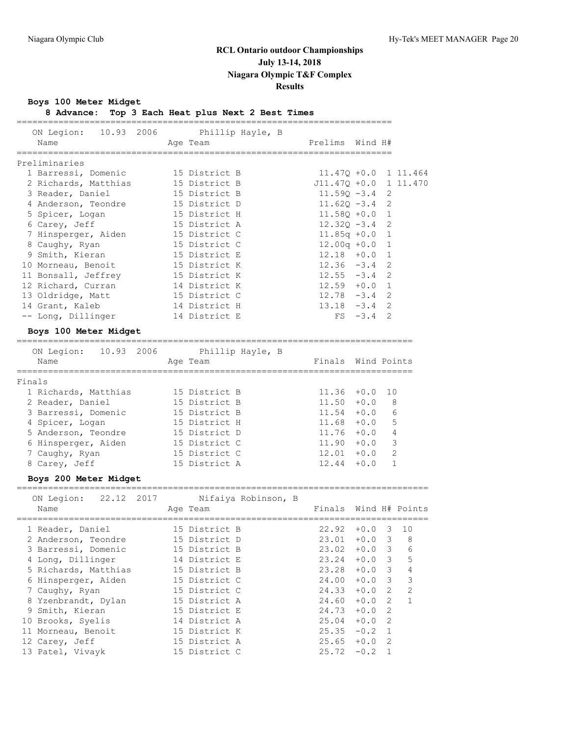**Boys 100 Meter Midget**

**8 Advance: Top 3 Each Heat plus Next 2 Best Times**

| ON Legion: 10.93 2006 Phillip Hayle, B |  |               |  |                         |             |  |
|----------------------------------------|--|---------------|--|-------------------------|-------------|--|
| Name                                   |  | Age Team      |  | Prelims Wind H#         |             |  |
|                                        |  |               |  |                         |             |  |
| Preliminaries                          |  |               |  |                         |             |  |
| 1 Barressi, Domenic 15 District B      |  |               |  | $11.470 + 0.0 1 11.464$ |             |  |
| 2 Richards, Matthias                   |  | 15 District B |  | J11.470 +0.0 1 11.470   |             |  |
| 3 Reader, Daniel                       |  | 15 District B |  | $11.590 - 3.4$ 2        |             |  |
| 4 Anderson, Teondre                    |  | 15 District D |  | $11.62Q - 3.4$ 2        |             |  |
| 5 Spicer, Logan                        |  | 15 District H |  | $11.580 + 0.0 1$        |             |  |
| 6 Carey, Jeff                          |  | 15 District A |  | $12.320 - 3.4$ 2        |             |  |
| 7 Hinsperger, Aiden                    |  | 15 District C |  | $11.85q +0.0$ 1         |             |  |
| 8 Caughy, Ryan                         |  | 15 District C |  | $12.00q + 0.0$ 1        |             |  |
| 9 Smith, Kieran                        |  | 15 District E |  | $12.18 + 0.0 1$         |             |  |
| 10 Morneau, Benoit                     |  | 15 District K |  | $12.36 - 3.4$ 2         |             |  |
| 11 Bonsall, Jeffrey                    |  | 15 District K |  | $12.55 - 3.4$ 2         |             |  |
| 12 Richard, Curran                     |  | 14 District K |  | $12.59 + 0.0 1$         |             |  |
| 13 Oldridge, Matt                      |  | 15 District C |  | $12.78 - 3.4$ 2         |             |  |
| 14 Grant, Kaleb                        |  | 14 District H |  | $13.18 - 3.4$ 2         |             |  |
| -- Long, Dillinger                     |  | 14 District E |  |                         | $FS -3.4 2$ |  |
| Boys 100 Meter Midget                  |  |               |  |                         |             |  |

============================================================================

| ON Legion:           | 10.93 2006 |  | Phillip Hayle, B |                    |        |               |
|----------------------|------------|--|------------------|--------------------|--------|---------------|
| Name                 |            |  | Age Team         | Finals Wind Points |        |               |
|                      |            |  |                  |                    |        |               |
| Finals               |            |  |                  |                    |        |               |
| 1 Richards, Matthias |            |  | 15 District B    | 11.36              | $+0.0$ | 10            |
| 2 Reader, Daniel     |            |  | 15 District B    | 11.50              | $+0.0$ | 8             |
| 3 Barressi, Domenic  |            |  | 15 District B    | 11.54              | $+0.0$ | 6             |
| 4 Spicer, Logan      |            |  | 15 District H    | 11.68              | $+0.0$ | 5             |
| 5 Anderson, Teondre  |            |  | 15 District D    | 11.76              | $+0.0$ | 4             |
| 6 Hinsperger, Aiden  |            |  | 15 District C    | 11.90              | $+0.0$ | 3             |
| 7 Caughy, Ryan       |            |  | 15 District C    | 12.01              | $+0.0$ | $\mathcal{L}$ |
| 8 Carey, Jeff        |            |  | 15 District A    | 12.44              | $+0.0$ |               |
|                      |            |  |                  |                    |        |               |

**Boys 200 Meter Midget**

|     | 22.12 2017<br>ON Legion:<br>Name | Nifaiya Robinson, B<br>Age Team | Finals |          |                         | Wind H# Points           |
|-----|----------------------------------|---------------------------------|--------|----------|-------------------------|--------------------------|
|     | 1 Reader, Daniel                 | 15 District B                   | 22.92  | $+0.0$   | 3                       | 10                       |
|     | 2 Anderson, Teondre              | 15 District D                   | 23.01  | $+0.0$ 3 |                         | -8                       |
|     | 3 Barressi, Domenic              | 15 District B                   | 23.02  | $+0.03$  |                         | 6                        |
|     | 4 Long, Dillinger                | 14 District E                   | 23.24  | $+0.0$ 3 |                         | 5                        |
|     | 5 Richards, Matthias             | 15 District B                   | 23.28  | $+0.0$ 3 |                         | 4                        |
|     | 6 Hinsperger, Aiden              | 15 District C                   | 24.00  | $+0.0$   | $\overline{\mathbf{3}}$ | 3                        |
|     | 7 Caughy, Ryan                   | 15 District C                   | 24.33  | $+0.0$   | $\overline{2}$          | $\overline{\mathcal{L}}$ |
|     | 8 Yzenbrandt, Dylan              | 15 District A                   | 24.60  | $+0.0$   | 2                       | $\mathbf{1}$             |
|     | 9 Smith, Kieran                  | 15 District E                   | 24.73  | $+0.0$ 2 |                         |                          |
|     | 10 Brooks, Syelis                | 14 District A                   | 25.04  | $+0.0$   | - 2                     |                          |
| 11. | Morneau, Benoit                  | 15 District K                   | 25.35  | $-0.2$   | $\overline{1}$          |                          |
|     | 12 Carey, Jeff                   | 15 District A                   | 25.65  | $+0.0$   | 2                       |                          |
|     | 13 Patel, Vivayk                 | 15 District C                   | 25.72  | $-0.2$   |                         |                          |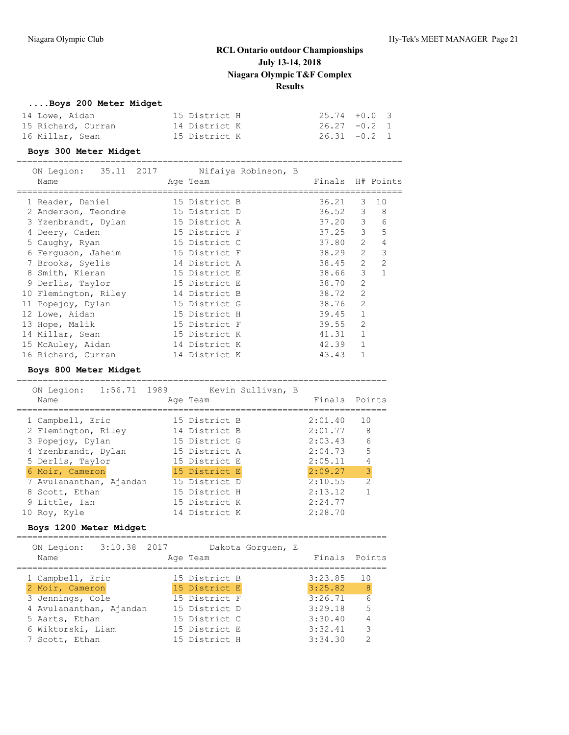## **....Boys 200 Meter Midget**

| 14 Lowe, Aidan     | 15 District H | $25.74 + 0.0$ 3 |  |
|--------------------|---------------|-----------------|--|
| 15 Richard, Curran | 14 District K | $26.27 -0.2$ 1  |  |
| 16 Millar, Sean    | 15 District K | $26.31 - 0.2 1$ |  |

### **Boys 300 Meter Midget**

| ON Legion:           |  |               | 35.11 2017   Nifaiya Robinson, B |                  |                |                |
|----------------------|--|---------------|----------------------------------|------------------|----------------|----------------|
| Name                 |  | Age Team      |                                  | Finals H# Points |                |                |
| 1 Reader, Daniel     |  | 15 District B |                                  | 36.21            | 3              | 10             |
| 2 Anderson, Teondre  |  | 15 District D |                                  | $36.52$ 3        |                | 8              |
| 3 Yzenbrandt, Dylan  |  | 15 District A |                                  | 37.20            | 3              | 6              |
| 4 Deery, Caden       |  | 15 District F |                                  | 37.25            | 3              | 5              |
| 5 Caughy, Ryan       |  | 15 District C |                                  | 37.80            | $\mathcal{L}$  | 4              |
| 6 Ferguson, Jaheim   |  | 15 District F |                                  | 38.29            | $\overline{2}$ | 3              |
| 7 Brooks, Syelis     |  | 14 District A |                                  | 38.45            | 2              | $\overline{2}$ |
| 8 Smith, Kieran      |  | 15 District E |                                  | 38.66            | 3              |                |
| 9 Derlis, Taylor     |  | 15 District E |                                  | 38.70            | $\mathcal{L}$  |                |
| 10 Flemington, Riley |  | 14 District B |                                  | 38.72            | $\overline{2}$ |                |
| 11 Popejoy, Dylan    |  | 15 District G |                                  | 38.76            | $\overline{2}$ |                |
| 12 Lowe, Aidan       |  | 15 District H |                                  | 39.45            | $\mathbf{1}$   |                |
| 13 Hope, Malik       |  | 15 District F |                                  | 39.55            | $\overline{2}$ |                |
| 14 Millar, Sean      |  | 15 District K |                                  | 41.31            | 1              |                |
| 15 McAuley, Aidan    |  | 14 District K |                                  | 42.39            |                |                |
| 16 Richard, Curran   |  | 14 District K |                                  | 43.43            |                |                |

### **Boys 800 Meter Midget**

| ON Legion:<br>Name      | 1:56.71 1989 | Age Team      | Kevin Sullivan, B |         | Finals Points  |
|-------------------------|--------------|---------------|-------------------|---------|----------------|
| 1 Campbell, Eric        |              | 15 District B |                   | 2:01.40 | 1 O            |
| 2 Flemington, Riley     |              | 14 District B |                   | 2:01.77 | -8             |
| 3 Popejoy, Dylan        |              | 15 District G |                   | 2:03.43 | 6              |
| 4 Yzenbrandt, Dylan     |              | 15 District A |                   | 2:04.73 | 5              |
| 5 Derlis, Taylor        |              | 15 District E |                   | 2:05.11 |                |
| 6 Moir, Cameron         |              | 15 District E |                   | 2:09.27 | $\overline{3}$ |
| 7 Avulananthan, Ajandan |              | 15 District D |                   | 2:10.55 | $\mathcal{L}$  |
| 8 Scott, Ethan          |              | 15 District H |                   | 2:13.12 |                |
| 9 Little, Ian           |              | 15 District K |                   | 2:24.77 |                |
| 10 Roy, Kyle            |              | 14 District K |                   | 2:28.70 |                |

## **Boys 1200 Meter Midget**

| Name |            |                                                                                                                  |                                           |          |                                                                                                                     |                   |                |
|------|------------|------------------------------------------------------------------------------------------------------------------|-------------------------------------------|----------|---------------------------------------------------------------------------------------------------------------------|-------------------|----------------|
|      |            |                                                                                                                  |                                           |          |                                                                                                                     |                   |                |
|      |            |                                                                                                                  |                                           |          |                                                                                                                     | 3:23.85           | 1 O            |
|      |            |                                                                                                                  |                                           |          |                                                                                                                     | 3:25.82           | $-8$           |
|      |            |                                                                                                                  |                                           |          |                                                                                                                     | 3:26.71           | $-6$           |
|      |            |                                                                                                                  |                                           |          |                                                                                                                     | 3:29.18           | 5              |
|      |            |                                                                                                                  |                                           |          |                                                                                                                     | 3:30.40           | $\overline{4}$ |
|      |            |                                                                                                                  |                                           |          |                                                                                                                     | 3:32.41           | 3              |
|      |            |                                                                                                                  |                                           |          |                                                                                                                     | 3:34.30           | っ              |
|      | ON Legion: | 1 Campbell, Eric<br>2 Moir, Cameron<br>3 Jennings, Cole<br>5 Aarts, Ethan<br>6 Wiktorski, Liam<br>7 Scott, Ethan | $3:10.38$ 2017<br>4 Avulananthan, Ajandan | Age Team | 15 District B<br>15 District E<br>15 District F<br>15 District D<br>15 District C<br>15 District E<br>15 District H | Dakota Gorquen, E | Finals Points  |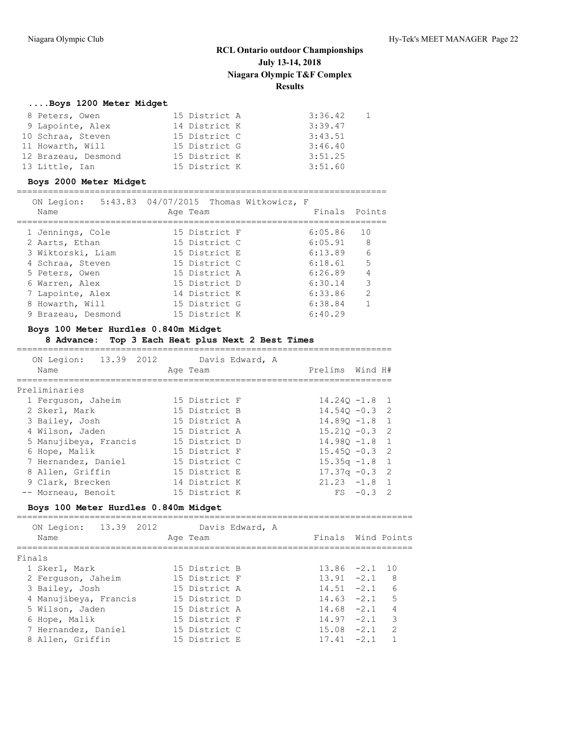### **....Boys 1200 Meter Midget**

| 8 Peters, Owen      | 15 District A | 3:36.42 |  |
|---------------------|---------------|---------|--|
| 9 Lapointe, Alex    | 14 District K | 3:39.47 |  |
| 10 Schraa, Steven   | 15 District C | 3:43.51 |  |
| 11 Howarth, Will    | 15 District G | 3:46.40 |  |
| 12 Brazeau, Desmond | 15 District K | 3:51.25 |  |
| 13 Little, Ian      | 15 District K | 3:51.60 |  |

#### **Boys 2000 Meter Midget**

=======================================================================

| ON Legion:         | 5:43.83 04/07/2015 Thomas Witkowicz, F |               |                |
|--------------------|----------------------------------------|---------------|----------------|
| Name               | Age Team                               | Finals Points |                |
|                    |                                        |               |                |
| 1 Jennings, Cole   | 15 District F                          | 6:05.86       | 10             |
| 2 Aarts, Ethan     | 15 District C                          | 6:05.91       | -8             |
| 3 Wiktorski, Liam  | 15 District E                          | 6:13.89       | 6              |
| 4 Schraa, Steven   | 15 District C                          | 6:18.61       | 5              |
| 5 Peters, Owen     | 15 District A                          | 6:26.89       | $\overline{4}$ |
| 6 Warren, Alex     | 15 District D                          | 6:30.14       | 3              |
| 7 Lapointe, Alex   | 14 District K                          | 6:33.86       | 2              |
| 8 Howarth, Will    | 15 District G                          | 6:38.84       | 1              |
| 9 Brazeau, Desmond | 15 District K                          | 6:40.29       |                |
|                    |                                        |               |                |

#### **Boys 100 Meter Hurdles 0.840m Midget**

#### **8 Advance: Top 3 Each Heat plus Next 2 Best Times**

======================================================================== ON Legion: 13.39 2012 Davis Edward, A Name **Age Team** Age Team Prelims Wind H# ======================================================================== Preliminaries 1 Ferguson, Jaheim 15 District F 14.24Q -1.8 1 2 Skerl, Mark 15 District B 14.54Q -0.3 2 3 Bailey, Josh 15 District A 14.89Q -1.8 1 4 Wilson, Jaden 15 District A 15.21Q -0.3 2 5 Manujibeya, Francis 15 District D 14.98Q -1.8 1 6 Hope, Malik 15 District F 15.45Q -0.3 2 7 Hernandez, Daniel 15 District C 15.35q -1.8 1 8 Allen, Griffin 15 District E 17.37q -0.3 2 9 Clark, Brecken 14 District K 21.23 -1.8 1 -- Morneau, Benoit 15 District K FS -0.3 2

### **Boys 100 Meter Hurdles 0.840m Midget**

============================================================================ ON Legion: 13.39 2012 Davis Edward, A Name **Age Team** Age Team Finals Wind Points ============================================================================ Finals 1 Skerl, Mark 15 District B 13.86 -2.1 10 2 Ferguson, Jaheim 15 District F 13.91 -2.1 8 3 Bailey, Josh 15 District A 14.51 -2.1 6 4 Manujibeya, Francis 15 District D 14.63 -2.1 5 5 Wilson, Jaden 15 District A 14.68 -2.1 4 6 Hope, Malik 15 District F 14.97 -2.1 3 7 Hernandez, Daniel 15 District C 15.08 -2.1 2 8 Allen, Griffin 15 District E 17.41 -2.1 1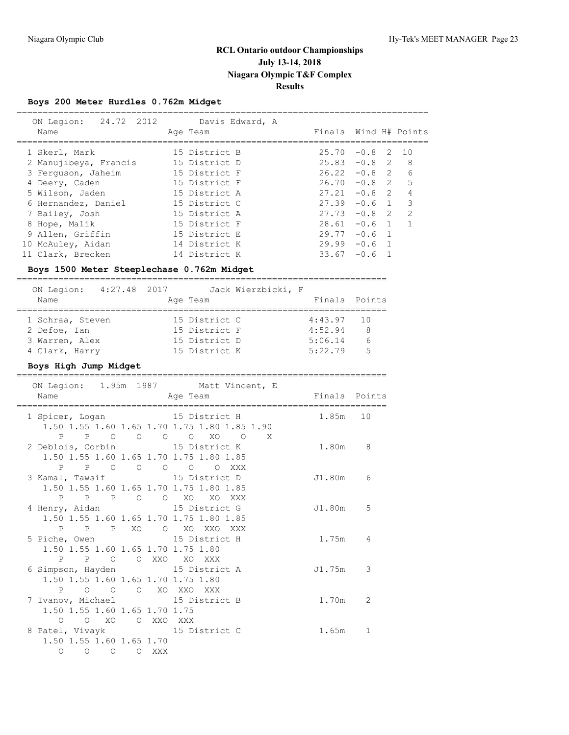# **Boys 200 Meter Hurdles 0.762m Midget**

| Boys 200 Meter Hurdles 0.762m Midget |                             |       |                   |                          |
|--------------------------------------|-----------------------------|-------|-------------------|--------------------------|
| 24.72 2012<br>ON Legion:<br>Name     | Davis Edward, A<br>Age Team |       |                   | Finals Wind H# Points    |
| 1 Skerl, Mark                        | 15 District B               |       | $25.70 -0.8$ 2 10 |                          |
| 2 Manujibeya, Francis                | 15 District D               |       | $25.83 - 0.8$ 2   | - 8                      |
| 3 Ferquson, Jaheim                   | 15 District F               | 26.22 | $-0.8$            | $2\overline{6}$          |
| 4 Deery, Caden                       | 15 District F               | 26.70 | $-0.8$ 2          | $-5$                     |
| 5 Wilson, Jaden                      | 15 District A               | 27.21 | $-0.8$            | 4<br>$\overline{2}$      |
| 6 Hernandez, Daniel                  | 15 District C               | 27.39 | $-0.6$ 1          | $\overline{\phantom{a}}$ |
| 7 Bailey, Josh                       | 15 District A               | 27.73 | $-0.8$            | 2<br>$\overline{2}$      |
| 8 Hope, Malik                        | 15 District F               | 28.61 | $-0.6 \quad 1$    |                          |
| 9 Allen, Griffin                     | 15 District E               | 29.77 | $-0.6$            |                          |

#### **Boys 1500 Meter Steeplechase 0.762m Midget**

=======================================================================

 10 McAuley, Aidan 14 District K 29.99 -0.6 1 11 Clark, Brecken 14 District K 33.67 -0.6 1

| ON Legion: 4:27.48 2017 |  |               | Jack Wierzbicki, F |               |                |
|-------------------------|--|---------------|--------------------|---------------|----------------|
| Name                    |  | Age Team      |                    | Finals Points |                |
| 1 Schraa, Steven        |  | 15 District C |                    | 4:43.97       | - 10           |
| 2 Defoe, Ian            |  | 15 District F |                    | 4:52.94       | 8              |
| 3 Warren, Alex          |  | 15 District D |                    | 5:06.14       | 6              |
| 4 Clark, Harry          |  | 15 District K |                    | 5:22.79       | $\overline{5}$ |
|                         |  |               |                    |               |                |

#### **Boys High Jump Midget**

======================================================================= ON Legion: 1.95m 1987 Matt Vincent, E Name Age Team Finals Points ======================================================================= 1 Spicer, Logan 15 District H 1.50 1.55 1.60 1.65 1.70 1.75 1.80 1.85 1.90 P P O O O O XO O X 2 Deblois, Corbin 15 District K 1.80m 8 1.50 1.55 1.60 1.65 1.70 1.75 1.80 1.85 P P O O O O O XXX 3 Kamal, Tawsif 15 District D J1.80m 6 1.50 1.55 1.60 1.65 1.70 1.75 1.80 1.85 P P P O O XO XO XXX 4 Henry, Aidan 15 District G 51.80m 5 1.50 1.55 1.60 1.65 1.70 1.75 1.80 1.85 P P P XO O XO XXO XXX 5 Piche, Owen 15 District H 1.75m 4 1.50 1.55 1.60 1.65 1.70 1.75 1.80 P P O O XXO XO XXX 6 Simpson, Hayden 15 District A J1.75m 3 1.50 1.55 1.60 1.65 1.70 1.75 1.80 P O O O XO XXO XXX 7 Ivanov, Michael 15 District B 1.70m 2 1.50 1.55 1.60 1.65 1.70 1.75 O O XO O XXO XXX 8 Patel, Vivayk 15 District C 1.65m 1 1.50 1.55 1.60 1.65 1.70 O O O O XXX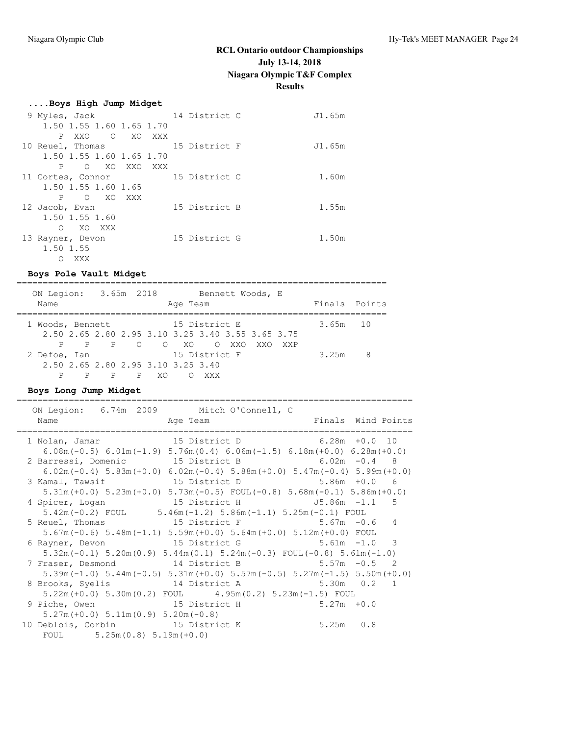| Boys High Jump Midget    |               |        |
|--------------------------|---------------|--------|
| 9 Myles, Jack            | 14 District C | J1.65m |
| 1.50 1.55 1.60 1.65 1.70 |               |        |
| PXXO OXOXXX              |               |        |
| 10 Reuel, Thomas         | 15 District F | J1.65m |
| 1.50 1.55 1.60 1.65 1.70 |               |        |
| P O XO XXO XXX           |               |        |
| 11 Cortes, Connor        | 15 District C | 1.60m  |
| 1.50 1.55 1.60 1.65      |               |        |
| P O XO XXX               |               |        |
| 12 Jacob, Evan           | 15 District B | 1.55m  |
| 1.50 1.55 1.60           |               |        |
| O XO XXX                 |               |        |
| 13 Rayner, Devon         | 15 District G | 1.50m  |
| 1.50 1.55                |               |        |
| XXX<br>O                 |               |        |

#### **Boys Pole Vault Midget**

======================================================================= ON Legion: 3.65m 2018 Bennett Woods, E Name **Age Team** Age Team Finals Points ======================================================================= 1 Woods, Bennett 15 District E 3.65m 10 2.50 2.65 2.80 2.95 3.10 3.25 3.40 3.55 3.65 3.75 P P P O O XO O XXO XXO XXP 2 Defoe, Ian 15 District F 3.25m 8 2.50 2.65 2.80 2.95 3.10 3.25 3.40 P P P P XO O XXX

### **Boys Long Jump Midget**

| ON Legion: 6.74m 2009 Mitch O'Connell, C       |                                                                                                |                                                                                                                         |
|------------------------------------------------|------------------------------------------------------------------------------------------------|-------------------------------------------------------------------------------------------------------------------------|
| Name Aqe Team                                  |                                                                                                | Finals Wind Points                                                                                                      |
| 1 Nolan, Jamar 15 District D 6.28m +0.0 10     |                                                                                                |                                                                                                                         |
|                                                | $6.08$ m (-0.5) $6.01$ m (-1.9) $5.76$ m (0.4) $6.06$ m (-1.5) $6.18$ m (+0.0) $6.28$ m (+0.0) |                                                                                                                         |
| 2 Barressi, Domenic 15 District B 6.02m -0.4 8 |                                                                                                |                                                                                                                         |
|                                                |                                                                                                | $6.02$ m $(-0.4)$ 5.83m $(+0.0)$ 6.02m $(-0.4)$ 5.88m $(+0.0)$ 5.47m $(-0.4)$ 5.99m $(+0.0)$                            |
| 3 Kamal, Tawsif                                | 15 District D 5.86m +0.0 6                                                                     |                                                                                                                         |
|                                                | $5.31m (+0.0)$ $5.23m (+0.0)$ $5.73m (-0.5)$ $FOUT (-0.8)$ $5.68m (-0.1)$ $5.86m (+0.0)$       |                                                                                                                         |
| 4 Spicer, Logan                                |                                                                                                |                                                                                                                         |
|                                                | $5.42$ m(-0.2) FOUL $5.46$ m(-1.2) $5.86$ m(-1.1) $5.25$ m(-0.1) FOUL                          |                                                                                                                         |
| 5 Reuel, Thomas 15 District F 5.67m -0.6 4     |                                                                                                |                                                                                                                         |
|                                                | $5.67$ m(-0.6) $5.48$ m(-1.1) $5.59$ m(+0.0) $5.64$ m(+0.0) $5.12$ m(+0.0) FOUL                |                                                                                                                         |
| 6 Rayner, Devon 15 District G 5.61m -1.0 3     |                                                                                                |                                                                                                                         |
|                                                | $5.32$ m (-0.1) $5.20$ m (0.9) $5.44$ m (0.1) $5.24$ m (-0.3) FOUL (-0.8) $5.61$ m (-1.0)      |                                                                                                                         |
| 7 Fraser, Desmond 14 District B 5.57m -0.5 2   |                                                                                                |                                                                                                                         |
|                                                |                                                                                                | $5.39$ m ( $-1.0$ ) $5.44$ m ( $-0.5$ ) $5.31$ m ( $+0.0$ ) $5.57$ m ( $-0.5$ ) $5.27$ m ( $-1.5$ ) $5.50$ m ( $+0.0$ ) |
| 8 Brooks, Syelis 14 District A 5.30m 0.2 1     |                                                                                                |                                                                                                                         |
|                                                | $5.22m (+0.0)$ $5.30m(0.2)$ FOUL $4.95m(0.2)$ $5.23m(-1.5)$ FOUL                               |                                                                                                                         |
| 9 Piche, Owen 15 District H 5.27m +0.0         |                                                                                                |                                                                                                                         |
| $5.27m (+0.0)$ $5.11m(0.9)$ $5.20m(-0.8)$      |                                                                                                |                                                                                                                         |
| 10 Deblois, Corbin 15 District K               |                                                                                                | $5.25m$ 0.8                                                                                                             |
| FOUL $5.25m(0.8) 5.19m(+0.0)$                  |                                                                                                |                                                                                                                         |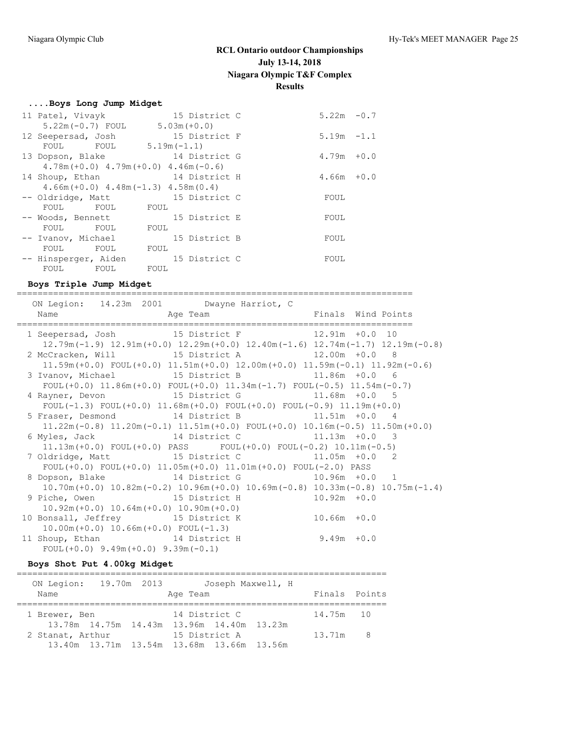#### **....Boys Long Jump Midget**

| 11 Patel, Vivayk                            | 15 District C                                | $5.22m - 0.7$ |        |
|---------------------------------------------|----------------------------------------------|---------------|--------|
| $5.22m(-0.7)$ FOUL $5.03m(+0.0)$            |                                              |               |        |
| 12 Seepersad, Josh                          | 15 District F                                | $5.19m - 1.1$ |        |
| FOUL FOUL $5.19m(-1.1)$                     |                                              |               |        |
|                                             | 13 Dopson, Blake 14 District G               | 4.79m         | $+0.0$ |
|                                             | $4.78m (+0.0)$ $4.79m (+0.0)$ $4.46m (-0.6)$ |               |        |
| 14 Shoup, Ethan                             | 14 District H                                | $4.66m + 0.0$ |        |
| $4.66m (+0.0)$ $4.48m (-1.3)$ $4.58m (0.4)$ |                                              |               |        |
|                                             | -- Oldridge, Matt 15 District C              | FOUL          |        |
| FOUL FOUL FOUL                              |                                              |               |        |
| -- Woods, Bennett                           | 15 District E                                | FOUL          |        |
| FOUL<br>FOUL                                | FOUL                                         |               |        |
| -- Ivanov, Michael                          | 15 District B                                | FOUL          |        |
| FOUL FOUL                                   | FOUL                                         |               |        |
| -- Hinsperger, Aiden                        | 15 District C                                | FOUL          |        |
| FOUL FOUL                                   | FOUL                                         |               |        |

**Boys Triple Jump Midget** ============================================================================ ON Legion: 14.23m 2001 Dwayne Harriot, C Name **Age Team** Age Team Finals Wind Points ============================================================================ 1 Seepersad, Josh 15 District F 12.91m +0.0 10 12.79m(-1.9) 12.91m(+0.0) 12.29m(+0.0) 12.40m(-1.6) 12.74m(-1.7) 12.19m(-0.8) 2 McCracken, Will 15 District A 12.00m +0.0 8 11.59m(+0.0) FOUL(+0.0) 11.51m(+0.0) 12.00m(+0.0) 11.59m(-0.1) 11.92m(-0.6) 3 Ivanov, Michael 15 District B 11.86m +0.0 6 FOUL(+0.0) 11.86m(+0.0) FOUL(+0.0) 11.34m(-1.7) FOUL(-0.5) 11.54m(-0.7) 4 Rayner, Devon 15 District G 11.68m +0.0 5 FOUL(-1.3) FOUL(+0.0) 11.68m(+0.0) FOUL(+0.0) FOUL(-0.9) 11.19m(+0.0) 5 Fraser, Desmond 14 District B 11.51m +0.0 4 11.22m(-0.8) 11.20m(-0.1) 11.51m(+0.0) FOUL(+0.0) 10.16m(-0.5) 11.50m(+0.0) 6 Myles, Jack 14 District C 11.13m +0.0 3 11.13m(+0.0) FOUL(+0.0) PASS FOUL(+0.0) FOUL(-0.2) 10.11m(-0.5) 7 Oldridge, Matt 15 District C 11.05m +0.0 2 FOUL(+0.0) FOUL(+0.0) 11.05m(+0.0) 11.01m(+0.0) FOUL(-2.0) PASS 8 Dopson, Blake 14 District G 10.96m +0.0 1 10.70m(+0.0) 10.82m(-0.2) 10.96m(+0.0) 10.69m(-0.8) 10.33m(-0.8) 10.75m(-1.4) 9 Piche, Owen 15 District H 10.92m +0.0 10.92m(+0.0) 10.64m(+0.0) 10.90m(+0.0) 10 Bonsall, Jeffrey 15 District K 10.66m +0.0 10.00m(+0.0) 10.66m(+0.0) FOUL(-1.3) 11 Shoup, Ethan 14 District H 9.49m +0.0 FOUL( $+0.0$ ) 9.49m( $+0.0$ ) 9.39m( $-0.1$ ) **Boys Shot Put 4.00kg Midget**

#### =======================================================================

| ON Legion: 19.70m 2013                    |  |               | Joseph Maxwell, H |               |  |
|-------------------------------------------|--|---------------|-------------------|---------------|--|
| Name                                      |  | Age Team      |                   | Finals Points |  |
|                                           |  |               |                   |               |  |
| 1 Brewer, Ben                             |  | 14 District C |                   | 14.75m 10     |  |
| 13.78m 14.75m 14.43m 13.96m 14.40m 13.23m |  |               |                   |               |  |
| 2 Stanat, Arthur                          |  | 15 District A |                   | 13.71m 8      |  |
| 13.40m 13.71m 13.54m 13.68m 13.66m 13.56m |  |               |                   |               |  |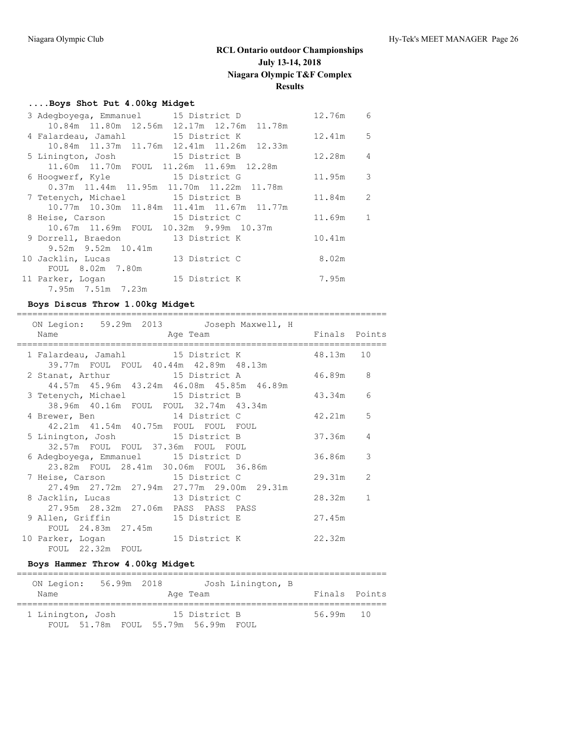## **....Boys Shot Put 4.00kg Midget**

| 3 Adegboyega, Emmanuel 15 District D                      | 12.76m     | 6              |
|-----------------------------------------------------------|------------|----------------|
| 10.84m 11.80m 12.56m 12.17m 12.76m 11.78m                 |            |                |
| 15 District K<br>4 Falardeau, Jamahl                      | $12.41m$ 5 |                |
| 10.84m 11.37m 11.76m 12.41m 11.26m 12.33m                 |            |                |
| 5 Linington, Josh 15 District B                           | 12.28m     | $\overline{4}$ |
| 11.60m 11.70m FOUL 11.26m 11.69m 12.28m                   |            |                |
| 6 Hoogwerf, Kyle 15 District G                            | $11.95m$ 3 |                |
| $0.37m$ 11.44 $m$ 11.95 $m$ 11.70 $m$ 11.22 $m$ 11.78 $m$ |            |                |
| 7 Tetenych, Michael 15 District B                         | 11.84m 2   |                |
| 10.77m 10.30m 11.84m 11.41m 11.67m 11.77m                 |            |                |
| 15 District C<br>8 Heise, Carson                          | 11.69m     | 1              |
| 10.67m 11.69m FOUL 10.32m 9.99m 10.37m                    |            |                |
| 9 Dorrell, Braedon 13 District K                          | 10.41m     |                |
| 9.52m 9.52m 10.41m                                        |            |                |
| 13 District C<br>10 Jacklin, Lucas                        | 8.02m      |                |
| 8.02m 7.80m<br>FOUL                                       |            |                |
| 15 District K<br>11 Parker, Logan                         | 7.95m      |                |
| 7.95m 7.51m 7.23m                                         |            |                |

## **Boys Discus Throw 1.00kg Midget**

| ON Legion: 59.29m 2013 Joseph Maxwell, H                                     |                                             |                |
|------------------------------------------------------------------------------|---------------------------------------------|----------------|
|                                                                              |                                             |                |
|                                                                              | 1 Falardeau, Jamahl 15 District K 48.13m 10 |                |
| 39.77m FOUL FOUL 40.44m 42.89m 48.13m<br>2 Stanat, Arthur 15 District A      | 46.89m                                      | 8              |
| 44.57m 45.96m 43.24m 46.08m 45.85m 46.89m                                    | 3 Tetenych, Michael 15 District B 43.34m    | 6              |
| 38.96m 40.16m FOUL FOUL 32.74m 43.34m<br>4 Brewer, Ben 14 District C         | 42.21m                                      | 5              |
| 42.21m  41.54m  40.75m  FOUL  FOUL  FOUL<br>5 Linington, Josh 15 District B  | 37.36m                                      | 4              |
| 32.57m FOUL FOUL 37.36m FOUL FOUL<br>6 Adegboyega, Emmanuel 15 District D    | 36.86m                                      | 3              |
| 23.82m FOUL 28.41m 30.06m FOUL 36.86m<br>7 Heise, Carson 15 District C       | 29.31m                                      | $\overline{2}$ |
| 27.49m 27.72m 27.94m 27.77m 29.00m 29.31m<br>8 Jacklin, Lucas 13 District C  | 28.32m                                      | 1              |
| 27.95m  28.32m  27.06m  PASS  PASS  PASS<br>9 Allen, Griffin 5 15 District E | 27.45m                                      |                |
| FOUL 24.83m 27.45m<br>10 Parker, Logan 15 District K                         | 22.32m                                      |                |
| FOUL 22.32m FOUL                                                             |                                             |                |

## **Boys Hammer Throw 4.00kg Midget**

| ON Legion:        | 56.99m 2018 |                                     | Josh Linington, B |               |  |
|-------------------|-------------|-------------------------------------|-------------------|---------------|--|
| Name              |             | Age Team                            |                   | Finals Points |  |
| 1 Linington, Josh |             | 15 District B                       |                   | 56.99m 10     |  |
|                   |             | FOUL 51.78m FOUL 55.79m 56.99m FOUL |                   |               |  |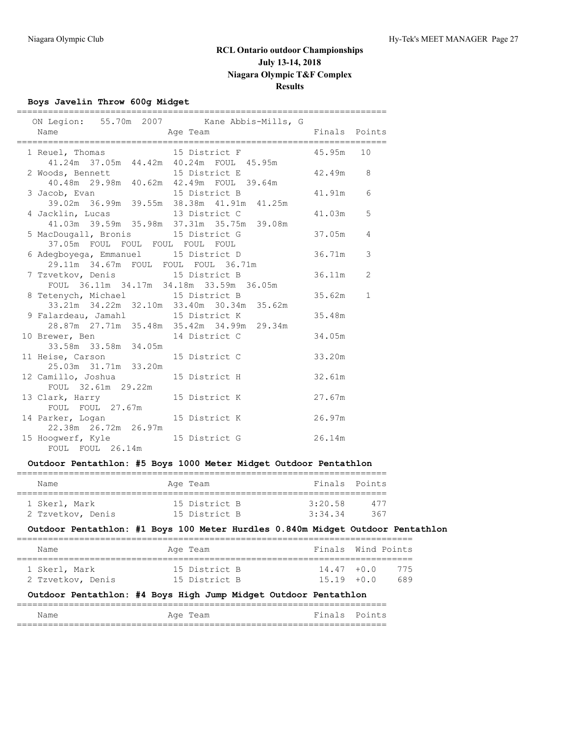## **Boys Javelin Throw 600g Midget**

|                                                                           | ON Legion: 55.70m 2007 Kane Abbis-Mills, G                                         |           |                |
|---------------------------------------------------------------------------|------------------------------------------------------------------------------------|-----------|----------------|
| Name<br>and the Magnetic Politics and Age Team                            | Finals Points                                                                      |           |                |
|                                                                           | 1 Reuel, Thomas 15 District F                                                      | 45.95m 10 |                |
| 41.24m 37.05m 44.42m 40.24m FOUL 45.95m                                   |                                                                                    |           |                |
|                                                                           |                                                                                    | 42.49m 8  |                |
| 2 Woods, Bennett 15 District E<br>40.48m 29.98m 40.62m 42.49m FOUL 39.64m |                                                                                    |           |                |
|                                                                           | 3 Jacob, Evan 15 District B<br>39.02m 36.99m 39.55m 38.38m 41.91m 41.25m           | 41.91m    | 6              |
|                                                                           |                                                                                    |           |                |
| 4 Jacklin, Lucas 13 District C                                            |                                                                                    | 41.03m    | 5              |
|                                                                           | 41.03m 39.59m 35.98m 37.31m 35.75m 39.08m                                          |           |                |
|                                                                           | 5 MacDougall, Bronis 15 District G                                                 | 37.05m    | $\overline{4}$ |
| 37.05m FOUL FOUL FOUL FOUL FOUL                                           |                                                                                    |           |                |
|                                                                           | 6 Adegboyega, Emmanuel 15 District D 36.71m<br>29.11m 34.67m FOUL FOUL FOUL 36.71m |           | $\mathcal{S}$  |
|                                                                           |                                                                                    |           |                |
|                                                                           | 7 Tzvetkov, Denis 15 District B 36.11m                                             |           | 2              |
| FOUL 36.11m 34.17m 34.18m 33.59m 36.05m                                   |                                                                                    |           |                |
| 8 Tetenych, Michael 15 District B                                         |                                                                                    | 35.62m    | $\mathbf{1}$   |
|                                                                           | 33.21m 34.22m 32.10m 33.40m 30.34m 35.62m                                          |           |                |
| 9 Falardeau, Jamahl 15 District K                                         |                                                                                    | 35.48m    |                |
|                                                                           | 28.87m  27.71m  35.48m  35.42m  34.99m  29.34m                                     |           |                |
| 10 Brewer, Ben 14 District C<br>33.58m 33.58m 34.05m                      |                                                                                    | 34.05m    |                |
|                                                                           |                                                                                    |           |                |
| 11 Heise, Carson 15 District C<br>25.03m 31.71m 33.20m                    |                                                                                    | 33.20m    |                |
|                                                                           |                                                                                    |           |                |
| 12 Camillo, Joshua 15 District H                                          |                                                                                    | 32.61m    |                |
| FOUL 32.61m 29.22m                                                        |                                                                                    |           |                |
| 13 Clark, Harry 15 District K                                             |                                                                                    | 27.67m    |                |
| FOUL FOUL 27.67m                                                          |                                                                                    |           |                |
| 22.38m  26.72m  26.97m                                                    | 14 Parker, Logan 15 District K 26.97m                                              |           |                |
|                                                                           |                                                                                    |           |                |
| FOUL FOUL 26.14m                                                          | 15 Hoogwerf, Kyle 15 District G 26.14m                                             |           |                |
|                                                                           |                                                                                    |           |                |

### **Outdoor Pentathlon: #5 Boys 1000 Meter Midget Outdoor Pentathlon**

| Name              | Age Team      | Finals Points |     |
|-------------------|---------------|---------------|-----|
| 1 Skerl, Mark     | 15 District B | 3:20.58       | 477 |
| 2 Tzvetkov, Denis | 15 District B | 3:34.34       | 367 |

## **Outdoor Pentathlon: #1 Boys 100 Meter Hurdles 0.840m Midget Outdoor Pentathlon**

| Finals Wind Points<br>Name<br>Age Team              |  |  |  |     |
|-----------------------------------------------------|--|--|--|-----|
|                                                     |  |  |  |     |
| 15 District B<br>$14.47 + 0.0$<br>1 Skerl, Mark     |  |  |  | 775 |
| 15 District B<br>2 Tzvetkov, Denis<br>$15.19 + 0.0$ |  |  |  | 689 |

### **Outdoor Pentathlon: #4 Boys High Jump Midget Outdoor Pentathlon**

| Name | Team<br>Aqe | Finals | Points |
|------|-------------|--------|--------|
|      |             |        |        |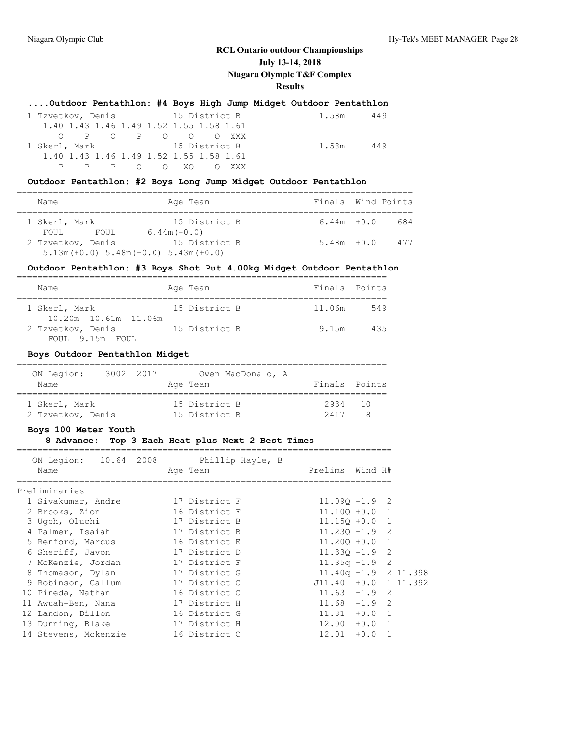### **....Outdoor Pentathlon: #4 Boys High Jump Midget Outdoor Pentathlon**

|               | 1 Tzvetkov, Denis 15 District B         | 1.58m<br>449 |
|---------------|-----------------------------------------|--------------|
|               | 1.40 1.43 1.46 1.49 1.52 1.55 1.58 1.61 |              |
|               | O POPOOOXXX                             |              |
| 1 Skerl, Mark | 15 District B                           | 1.58m<br>449 |
|               | 1.40 1.43 1.46 1.49 1.52 1.55 1.58 1.61 |              |
|               | P P P O O XO O XXX                      |              |

### **Outdoor Pentathlon: #2 Boys Long Jump Midget Outdoor Pentathlon**

| Name                   |                                                               |               | Age Team      | Finals Wind Points |     |
|------------------------|---------------------------------------------------------------|---------------|---------------|--------------------|-----|
| 1 Skerl, Mark<br>FOUL. | FOUL                                                          | $6.44m(+0.0)$ | 15 District B | $6.44m + 0.0$      | 684 |
|                        | 2 Tzvetkov, Denis<br>$5.13m (+0.0) 5.48m (+0.0) 5.43m (+0.0)$ |               | 15 District B | $5.48m + 0.0$      | 477 |

### **Outdoor Pentathlon: #3 Boys Shot Put 4.00kg Midget Outdoor Pentathlon**

| Name                                  | Age Team      | Finals Points |     |
|---------------------------------------|---------------|---------------|-----|
| 1 Skerl, Mark<br>10.20m 10.61m 11.06m | 15 District B | 11.06m        | 549 |
| 2 Tzvetkov, Denis<br>FOUL 9.15m FOUL  | 15 District B | 9.15m         | 435 |

#### **Boys Outdoor Pentathlon Midget**

| ON Legion:                         | 3002 2017 |  | Owen MacDonald, A              |                 |  |
|------------------------------------|-----------|--|--------------------------------|-----------------|--|
| Name                               |           |  | Age Team                       | Finals Points   |  |
| 1 Skerl, Mark<br>2 Tzvetkov, Denis |           |  | 15 District B<br>15 District B | 2934 10<br>2417 |  |

### **Boys 100 Meter Youth**

### **8 Advance: Top 3 Each Heat plus Next 2 Best Times**

| ON Legion: 10.64 2008 | Phillip Hayle, B |                                  |
|-----------------------|------------------|----------------------------------|
| Name                  | Age Team         | Prelims Wind H#                  |
|                       |                  |                                  |
| Preliminaries         |                  |                                  |
| 1 Sivakumar, Andre    | 17 District F    | $11.090 - 1.9$ 2                 |
| 2 Brooks, Zion        | 16 District F    | $11.100 + 0.0 1$                 |
| 3 Ugoh, Oluchi        | 17 District B    | $11.150 + 0.0 1$                 |
| 4 Palmer, Isaiah      | 17 District B    | $\mathcal{L}$<br>$11.230 - 1.9$  |
| 5 Renford, Marcus     | 16 District E    | $11.200 + 0.0$<br>$\overline{1}$ |
| 6 Sheriff, Javon      | 17 District D    | $\mathcal{L}$<br>$11.330 - 1.9$  |
| 7 McKenzie, Jordan    | 17 District F    | 2<br>$11.35q - 1.9$              |
| 8 Thomason, Dylan     | 17 District G    | $11.40q - 1.9$ 2 11.398          |
| 9 Robinson, Callum    | 17 District C    | J11.40 +0.0 1 11.392             |
| 10 Pineda, Nathan     | 16 District C    | $11.63 - 1.9$ 2                  |
| 11 Awuah-Ben, Nana    | 17 District H    | $11.68 - 1.9$<br>2               |
| 12 Landon, Dillon     | 16 District G    | $11.81 + 0.0 1$                  |
| 13 Dunning, Blake     | 17 District H    | $12.00 + 0.0 1$                  |
| 14 Stevens, Mckenzie  | 16 District C    | $12.01 + 0.0$                    |
|                       |                  |                                  |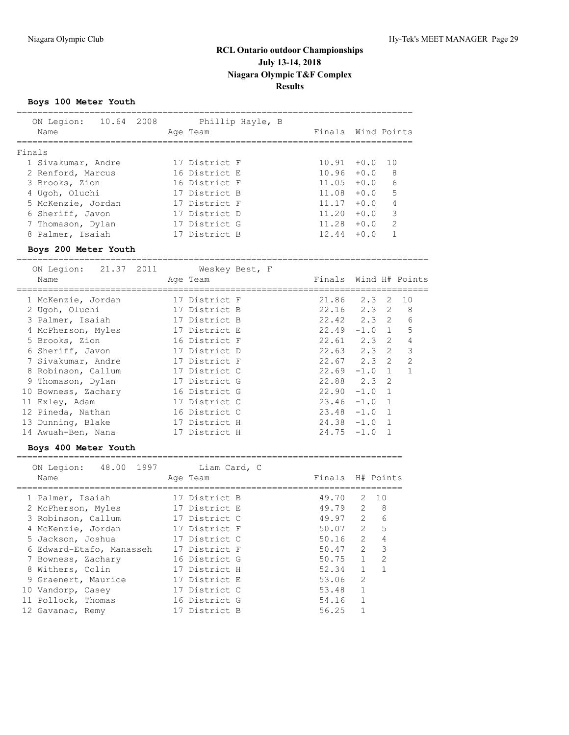## **Boys 100 Meter Youth**

| ON Legion:<br>Name | 10.64 2008 | Age Team      | Phillip Hayle, B | Finals Wind Points |        |               |
|--------------------|------------|---------------|------------------|--------------------|--------|---------------|
| Finals             |            |               |                  |                    |        |               |
| 1 Sivakumar, Andre |            | 17 District F |                  | 10.91              | $+0.0$ | 1 N           |
| 2 Renford, Marcus  |            | 16 District E |                  | 10.96              | $+0.0$ | - 8           |
| 3 Brooks, Zion     |            | 16 District F |                  | 11.05              | $+0.0$ | 6             |
| 4 Ugoh, Oluchi     |            | 17 District B |                  | 11.08              | $+0.0$ | 5             |
| 5 McKenzie, Jordan |            | 17 District F |                  | 11.17              | $+0.0$ | 4             |
| 6 Sheriff, Javon   |            | 17 District D |                  | 11.20              | $+0.0$ | 3             |
| 7 Thomason, Dylan  |            | 17 District G |                  | 11.28              | $+0.0$ | $\mathcal{P}$ |
| 8 Palmer, Isaiah   |            | 17 District B |                  | 12.44              | $+0.0$ |               |
|                    |            |               |                  |                    |        |               |

### **Boys 200 Meter Youth**

| ON Legion: 21.37 2011<br>Name | Weskey Best, F<br>Age Team | Finals Wind H# Points |                       |                |
|-------------------------------|----------------------------|-----------------------|-----------------------|----------------|
| 1 McKenzie, Jordan            | 17 District F              | 21.86                 | 2.3 2                 | 10             |
| 2 Ugoh, Oluchi                | 17 District B              | 22.16                 | $2.3 \quad 2 \quad 8$ |                |
| 3 Palmer, Isaiah              | 17 District B              | 22.42 2.3 2           |                       | 6              |
| 4 McPherson, Myles            | 17 District E              | 22.49                 | $-1.0$ 1              | 5              |
| 5 Brooks, Zion                | 16 District F              | $22.61$ $2.3$ 2       |                       | 4              |
| 6 Sheriff, Javon              | 17 District D              | $22.63$ $2.3$ 2       |                       | 3              |
| 7 Sivakumar, Andre            | 17 District F              | $22.67$ $2.3$ 2       |                       | $\mathfrak{D}$ |
| 8 Robinson, Callum            | 17 District C              | $22.69 - 1.0 1$       |                       |                |
| 9 Thomason, Dylan             | 17 District G              | $22.88$ $2.3$ 2       |                       |                |
| 10 Bowness, Zachary           | 16 District G              | $22.90 -1.0 1$        |                       |                |
| 11 Exley, Adam                | 17 District C              | $23.46 -1.0 1$        |                       |                |
| 12 Pineda, Nathan             | 16 District C              | $23.48 -1.0 1$        |                       |                |
| 13 Dunning, Blake             | 17 District H              | $24.38 - 1.0 1$       |                       |                |
| 14 Awuah-Ben, Nana            | 17 District H              | $24.75 - 1.0$         |                       |                |
|                               |                            |                       |                       |                |

### **Boys 400 Meter Youth**

| ON Legion:<br>48.00 1997<br>Name | Liam Card, C<br>Age Team | Finals H# Points |               |                 |
|----------------------------------|--------------------------|------------------|---------------|-----------------|
| 1 Palmer, Isaiah                 | 17 District B            | 49.70            | 2             | $\overline{10}$ |
| 2 McPherson, Myles               | 17 District E            | 49.79            | $\mathcal{L}$ | 8               |
| 3 Robinson, Callum               | 17 District C            | 49.97            | $\mathcal{L}$ | 6               |
| 4 McKenzie, Jordan               | 17 District F            | 50.07            | $\mathcal{L}$ | 5               |
| 5 Jackson, Joshua                | 17 District C            | 50.16            | $\mathcal{L}$ | 4               |
| 6 Edward-Etafo, Manasseh         | 17 District F            | 50.47            | $\mathcal{L}$ | 3               |
| 7 Bowness, Zachary               | 16 District G            | 50.75            | $\mathbf{1}$  | $\mathfrak{D}$  |
| 8 Withers, Colin                 | 17 District H            | 52.34            |               |                 |
| 9 Graenert, Maurice              | 17 District E            | 53.06            | $\mathcal{L}$ |                 |
| 10 Vandorp, Casey                | 17 District C            | 53.48            | 1             |                 |
| 11 Pollock, Thomas               | 16 District G            | 54.16            |               |                 |
| 12 Gavanac, Remy                 | 17 District B            | 56.25            |               |                 |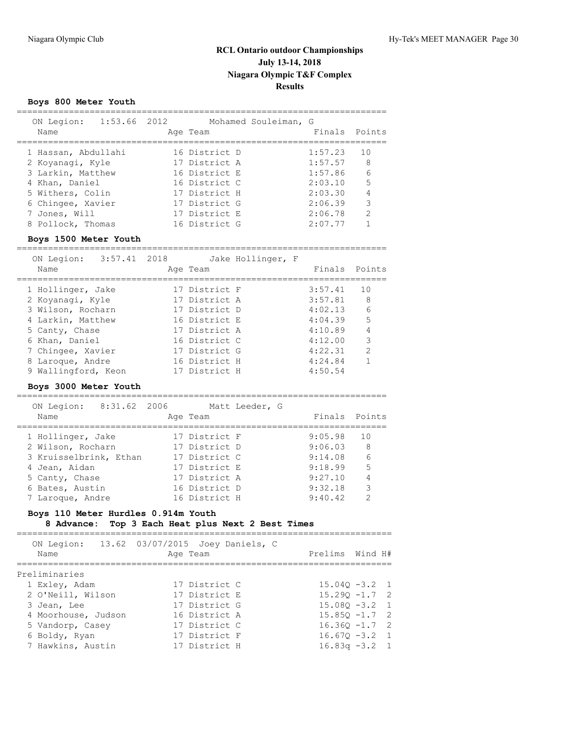## **Boys 800 Meter Youth**

| ON Legion:<br>Name  | 1:53.66 2012 | Age Team      | Mohamed Souleiman, G | Finals Points |               |
|---------------------|--------------|---------------|----------------------|---------------|---------------|
| 1 Hassan, Abdullahi |              | 16 District D |                      | 1:57.23       | 10            |
| 2 Koyanaqi, Kyle    |              | 17 District A |                      | 1:57.57       | 8             |
| 3 Larkin, Matthew   |              | 16 District E |                      | 1:57.86       | 6             |
| 4 Khan, Daniel      |              | 16 District C |                      | 2:03.10       | -5            |
| 5 Withers, Colin    |              | 17 District H |                      | 2:03.30       | 4             |
| 6 Chingee, Xavier   |              | 17 District G |                      | 2:06.39       | 3             |
| 7 Jones, Will       |              | 17 District E |                      | 2:06.78       | $\mathcal{P}$ |
| 8 Pollock, Thomas   |              | 16 District G |                      | 2:07.77       |               |

### **Boys 1500 Meter Youth**

=======================================================================

| ON Legion:          | 3:57.41 2018 |               | Jake Hollinger, F |         |                 |
|---------------------|--------------|---------------|-------------------|---------|-----------------|
| Name                |              | Age Team      |                   |         | Finals Points   |
| 1 Hollinger, Jake   |              | 17 District F |                   | 3:57.41 | 10              |
| 2 Koyanaqi, Kyle    |              | 17 District A |                   | 3:57.81 | - 8             |
| 3 Wilson, Rocharn   |              | 17 District D |                   | 4:02.13 | $6\overline{6}$ |
| 4 Larkin, Matthew   |              | 16 District E |                   | 4:04.39 | 5               |
| 5 Canty, Chase      |              | 17 District A |                   | 4:10.89 | $\overline{4}$  |
| 6 Khan, Daniel      |              | 16 District C |                   | 4:12.00 | 3               |
| 7 Chingee, Xavier   |              | 17 District G |                   | 4:22.31 | 2               |
| 8 Laroque, Andre    |              | 16 District H |                   | 4:24.84 |                 |
| 9 Wallingford, Keon |              | 17 District H |                   | 4:50.54 |                 |

### **Boys 3000 Meter Youth**

=======================================================================

| ON Legion:<br>Name     | 8:31.62 2006 | Age Team      | Matt Leeder, G | Finals Points |               |
|------------------------|--------------|---------------|----------------|---------------|---------------|
| 1 Hollinger, Jake      |              | 17 District F |                | 9:05.98       | 10            |
| 2 Wilson, Rocharn      |              | 17 District D |                | 9:06.03       | 8             |
| 3 Kruisselbrink, Ethan |              | 17 District C |                | 9:14.08       | 6             |
| 4 Jean, Aidan          |              | 17 District E |                | 9:18.99       | 5             |
| 5 Canty, Chase         |              | 17 District A |                | 9:27.10       | 4             |
| 6 Bates, Austin        |              | 16 District D |                | 9:32.18       | 3             |
| 7 Laroque, Andre       |              | 16 District H |                | 9:40.42       | $\mathcal{D}$ |

## **Boys 110 Meter Hurdles 0.914m Youth**

### **8 Advance: Top 3 Each Heat plus Next 2 Best Times**

| Name                | ON Legion: 13.62 03/07/2015 Joey Daniels, C<br>Age Team | Prelims Wind H#  |  |
|---------------------|---------------------------------------------------------|------------------|--|
| Preliminaries       |                                                         |                  |  |
| 1 Exley, Adam       | 17 District C                                           | $15.040 - 3.2$ 1 |  |
| 2 O'Neill, Wilson   | 17 District E                                           | $15.290 -1.7$ 2  |  |
| 3 Jean, Lee         | 17 District G                                           | $15.080 - 3.2$ 1 |  |
| 4 Moorhouse, Judson | 16 District A                                           | $15.850 - 1.7$ 2 |  |
| 5 Vandorp, Casey    | 17 District C                                           | $16.360 - 1.7$ 2 |  |
| 6 Boldy, Ryan       | 17 District F                                           | $16.670 - 3.2$ 1 |  |
| 7 Hawkins, Austin   | 17 District H                                           | $16.83q -3.2$ 1  |  |
|                     |                                                         |                  |  |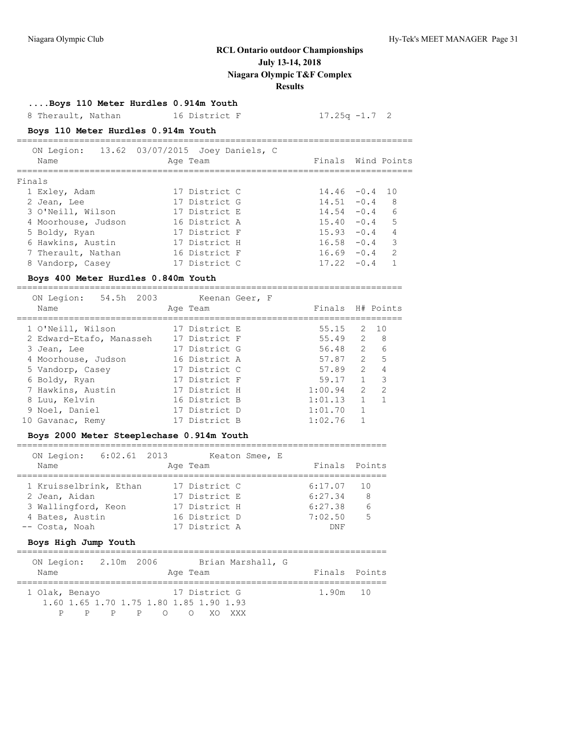**....Boys 110 Meter Hurdles 0.914m Youth**

8 Therault, Nathan 16 District F 17.25q -1.7 2

## **Boys 110 Meter Hurdles 0.914m Youth**

|        | ON Legion:<br>Name  | 13.62 03/07/2015 Joey Daniels, C | Age Team      | Finals Wind Points |        |                |
|--------|---------------------|----------------------------------|---------------|--------------------|--------|----------------|
| Finals |                     |                                  |               |                    |        |                |
|        | 1 Exley, Adam       |                                  | 17 District C | $14.46 - 0.4$ 10   |        |                |
|        | 2 Jean, Lee         |                                  | 17 District G | $14.51 - 0.4$      |        | - 8            |
|        | 3 O'Neill, Wilson   |                                  | 17 District E | $14.54 - 0.4$      |        | - 6            |
|        | 4 Moorhouse, Judson |                                  | 16 District A | $15.40 - 0.4$      |        | $-5$           |
|        | 5 Boldy, Ryan       |                                  | 17 District F | $15.93 - 0.4$      |        | $\overline{4}$ |
|        | 6 Hawkins, Austin   |                                  | 17 District H | $16.58 - 0.4$      |        | 3              |
|        | 7 Therault, Nathan  |                                  | 16 District F | $16.69 - 0.4$      |        | 2              |
|        | 8 Vandorp, Casey    |                                  | 17 District C | 17.22              | $-0.4$ |                |

### **Boys 400 Meter Hurdles 0.840m Youth**

| 54.5h 2003<br>ON Legion:<br>Name | Keenan Geer, F<br>Age Team |  | Finals H# Points |               |               |
|----------------------------------|----------------------------|--|------------------|---------------|---------------|
| 1 O'Neill, Wilson                | 17 District E              |  | 55.15            |               | 2, 10         |
| 2 Edward-Etafo, Manasseh         | 17 District F              |  | 55.49            | $\mathcal{L}$ | - 8           |
| 3 Jean, Lee                      | 17 District G              |  | 56.48            | $\mathcal{P}$ | 6             |
| 4 Moorhouse, Judson              | 16 District A              |  | 57.87            | $\mathcal{L}$ | 5             |
| 5 Vandorp, Casey                 | 17 District C              |  | 57.89            | $\mathcal{L}$ | 4             |
| 6 Boldy, Ryan                    | 17 District F              |  | 59.17            |               | 3             |
| 7 Hawkins, Austin                | 17 District H              |  | 1:00.94          | $\mathcal{L}$ | $\mathcal{D}$ |
| 8 Luu, Kelvin                    | 16 District B              |  | 1:01.13          |               |               |
| 9 Noel, Daniel                   | 17 District D              |  | 1:01.70          |               |               |
| 10 Gavanac, Remy                 | 17 District B              |  | 1:02.76          |               |               |

#### **Boys 2000 Meter Steeplechase 0.914m Youth**

#### ======================================================================= ON Legion: 6:02.61 2013 Keaton Smee, E

| ON TECTON: 0:02.01 SOIS |               | NEALUIL DINEE, L |               |
|-------------------------|---------------|------------------|---------------|
| Name                    | Age Team      |                  | Finals Points |
|                         |               |                  |               |
| 1 Kruisselbrink, Ethan  | 17 District C | $6:17.07$ 10     |               |
| 2 Jean, Aidan           | 17 District E | 6:27.34          | -8            |
| 3 Wallingford, Keon     | 17 District H | 6:27.38          | 6             |
| 4 Bates, Austin         | 16 District D | 7:02.50          | 5             |
| -- Costa, Noah          | 17 District A | DNF              |               |
|                         |               |                  |               |

## **Boys High Jump Youth**

| ON Legion: 2.10m 2006                   |       |  |          |               | Brian Marshall, G |          |               |
|-----------------------------------------|-------|--|----------|---------------|-------------------|----------|---------------|
| Name                                    |       |  | Age Team |               |                   |          | Finals Points |
| 1 Olak, Benayo                          |       |  |          | 17 District G |                   | 1.90m 10 |               |
| 1.60 1.65 1.70 1.75 1.80 1.85 1.90 1.93 |       |  |          |               |                   |          |               |
| P                                       | PPP O |  |          | OXOXXX        |                   |          |               |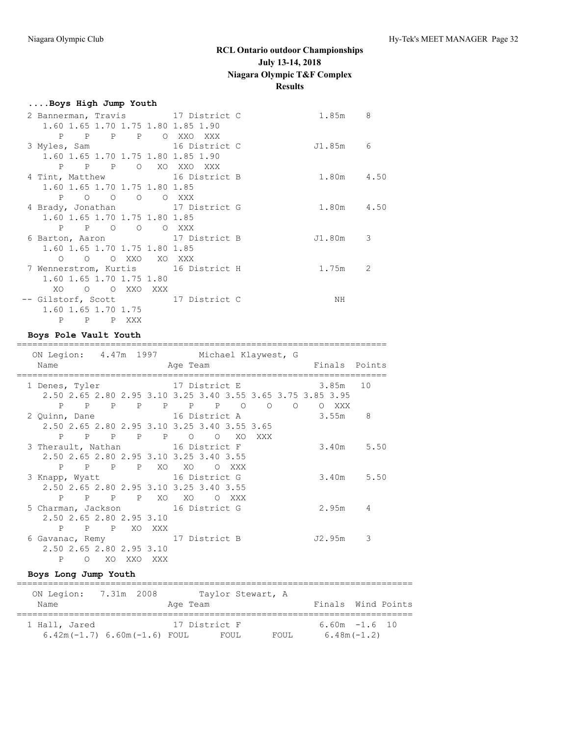| Boys High Jump Youth                |            |   |
|-------------------------------------|------------|---|
| 2 Bannerman, Travis 17 District C   | 1.85m 8    |   |
| 1.60 1.65 1.70 1.75 1.80 1.85 1.90  |            |   |
| P P P P O XXO XXX                   |            |   |
| 16 District C<br>3 Myles, Sam       | J1.85m 6   |   |
| 1.60 1.65 1.70 1.75 1.80 1.85 1.90  |            |   |
| P P P O XO XXO XXX                  |            |   |
| 4 Tint, Matthew 16 District B       | 1.80m 4.50 |   |
| 1.60 1.65 1.70 1.75 1.80 1.85       |            |   |
| P O O O O XXX                       |            |   |
| 4 Brady, Jonathan 17 District G     | 1.80m 4.50 |   |
| 1.60 1.65 1.70 1.75 1.80 1.85       |            |   |
| P P O O O XXX                       |            |   |
| 6 Barton, Aaron 17 District B       | J1.80m     | 3 |
| 1.60 1.65 1.70 1.75 1.80 1.85       |            |   |
| O O O XXO XO XXX                    |            |   |
| 7 Wennerstrom, Kurtis 16 District H | 1.75m 2    |   |
| 1.60 1.65 1.70 1.75 1.80            |            |   |
| XO O O XXO XXX                      |            |   |
| -- Gilstorf, Scott 17 District C    | ΝH         |   |
| 1.60 1.65 1.70 1.75                 |            |   |
| P P XXX<br>$\mathbf{P}$             |            |   |

## **Boys Pole Vault Youth**

| ON Legion: 4.47m 1997 Michael Klaywest, G |                |                                                             |       |          |       |                |                |        |          |               |
|-------------------------------------------|----------------|-------------------------------------------------------------|-------|----------|-------|----------------|----------------|--------|----------|---------------|
| Name                                      |                |                                                             |       | Age Team |       |                |                |        |          | Finals Points |
|                                           |                |                                                             |       |          |       |                |                |        |          |               |
| 1 Denes, Tyler                            |                | 17 District E                                               |       |          |       |                |                |        | 3.85m 10 |               |
|                                           |                | 2.50 2.65 2.80 2.95 3.10 3.25 3.40 3.55 3.65 3.75 3.85 3.95 |       |          |       |                |                |        |          |               |
|                                           |                | P P P P P P P O                                             |       |          |       | $\overline{O}$ | $\overline{a}$ |        | O XXX    |               |
| 2 Quinn, Dane 16 District A               |                |                                                             |       |          |       |                |                |        | 3.55m    | 8             |
|                                           |                | 2.50 2.65 2.80 2.95 3.10 3.25 3.40 3.55 3.65                |       |          |       |                |                |        |          |               |
|                                           |                | P P P P P O                                                 |       |          | O XO  | XXX            |                |        |          |               |
| 3 Therault, Nathan 16 District F          |                |                                                             |       |          |       |                |                |        |          | $3.40m$ 5.50  |
|                                           |                | 2.50 2.65 2.80 2.95 3.10 3.25 3.40 3.55                     |       |          |       |                |                |        |          |               |
|                                           |                | P P P P XO XO                                               |       |          | O XXX |                |                |        |          |               |
| 3 Knapp, Wyatt 16 District G              |                |                                                             |       |          |       |                |                |        |          | $3.40m$ 5.50  |
|                                           |                | 2.50 2.65 2.80 2.95 3.10 3.25 3.40 3.55                     |       |          |       |                |                |        |          |               |
|                                           |                | P P P P XO XO                                               |       |          | O XXX |                |                |        |          |               |
| 5 Charman, Jackson 16 District G          |                |                                                             |       |          |       |                |                |        | 2.95m    | 4             |
|                                           |                | 2.50 2.65 2.80 2.95 3.10                                    |       |          |       |                |                |        |          |               |
|                                           |                |                                                             |       |          |       |                |                |        |          |               |
| P                                         |                | P P XO XXX                                                  |       |          |       |                |                |        |          |               |
| 6 Gavanac, Remy 17 District B             |                |                                                             |       |          |       |                |                | J2.95m |          | 3             |
|                                           |                | 2.50 2.65 2.80 2.95 3.10                                    |       |          |       |                |                |        |          |               |
| $\mathbf{P}$                              | $\Omega$<br>XO | XXO                                                         | XXX X |          |       |                |                |        |          |               |

## **Boys Long Jump Youth**

| ON Legion:    | 7.31m 2008                     |          |               | Taylor Stewart, A |       |                    |  |
|---------------|--------------------------------|----------|---------------|-------------------|-------|--------------------|--|
| Name          |                                | Age Team |               |                   |       | Finals Wind Points |  |
| 1 Hall, Jared |                                |          | 17 District F |                   |       | $6.60m - 1.6$ 10   |  |
|               | $6.42m(-1.7) 6.60m(-1.6) F0UL$ |          | FOUL.         |                   | FOUL. | $6.48m(-1.2)$      |  |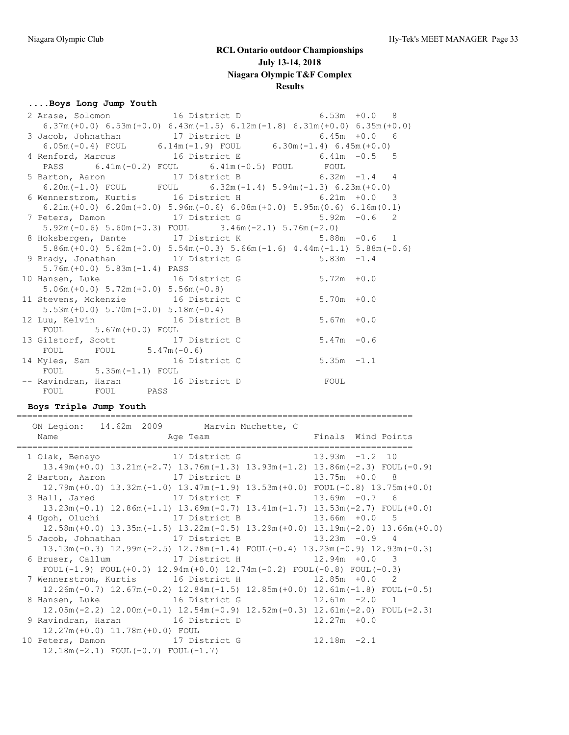## **....Boys Long Jump Youth**

|                                          | 2 Arase, Solomon 16 District D 6.53m +0.0 8                                                                    |               |
|------------------------------------------|----------------------------------------------------------------------------------------------------------------|---------------|
|                                          | $6.37m (+0.0)$ $6.53m (+0.0)$ $6.43m (-1.5)$ $6.12m (-1.8)$ $6.31m (+0.0)$ $6.35m (+0.0)$                      |               |
|                                          |                                                                                                                |               |
|                                          | 3 Jacob, Johnathan 17 District B 6.45m +0.0 6<br>6.05m (-0.4) FOUL 6.14m (-1.9) FOUL 6.30m (-1.4) 6.45m (+0.0) |               |
|                                          | 4 Renford, Marcus 16 District E 6.41m -0.5 5                                                                   |               |
|                                          | PASS $6.41\text{m}(-0.2)$ FOUL $6.41\text{m}(-0.5)$ FOUL FOUL                                                  |               |
|                                          | 5 Barton, Aaron 17 District B 6.32m -1.4 4                                                                     |               |
|                                          | 6.20m(-1.0) FOUL FOUL $6.32m(-1.4)$ 5.94m(-1.3) 6.23m(+0.0)                                                    |               |
|                                          | 6 Wennerstrom, Kurtis 16 District H 6.21m +0.0 3                                                               |               |
|                                          | $6.21m (+0.0)$ $6.20m (+0.0)$ $5.96m (-0.6)$ $6.08m (+0.0)$ $5.95m (0.6)$ $6.16m (0.1)$                        |               |
|                                          | 7 Peters, Damon 17 District G 5.92m -0.6 2                                                                     |               |
|                                          | $5.92m(-0.6)$ $5.60m(-0.3)$ FOUL $3.46m(-2.1)$ $5.76m(-2.0)$                                                   |               |
|                                          | 8 Hoksbergen, Dante 17 District K 5.88m -0.6 1                                                                 |               |
|                                          | $5.86m (+0.0)$ $5.62m (+0.0)$ $5.54m (-0.3)$ $5.66m (-1.6)$ $4.44m (-1.1)$ $5.88m (-0.6)$                      |               |
|                                          | 9 Brady, Jonathan 17 District G 5.83m -1.4                                                                     |               |
| $5.76m (+0.0)$ $5.83m (-1.4)$ PASS       |                                                                                                                |               |
| 10 Hansen, Luke 16 District G            |                                                                                                                | $5.72m + 0.0$ |
| $5.06m (+0.0) 5.72m (+0.0) 5.56m (-0.8)$ |                                                                                                                |               |
| 11 Stevens, Mckenzie 16 District C       |                                                                                                                | $5.70m + 0.0$ |
| $5.53m (+0.0) 5.70m (+0.0) 5.18m (-0.4)$ |                                                                                                                |               |
| 12 Luu, Kelvin 16 District B             |                                                                                                                | $5.67m + 0.0$ |
| $F\text{OUL}$ 5.67m (+0.0) $F\text{OUL}$ |                                                                                                                |               |
| 13 Gilstorf, Scott 17 District C         |                                                                                                                | $5.47m - 0.6$ |
| FOUL FOUL $5.47m(-0.6)$                  |                                                                                                                |               |
| 14 Myles, Sam 16 District C              |                                                                                                                | $5.35m -1.1$  |
| FOUL $5.35m(-1.1)$ FOUL                  |                                                                                                                |               |
| -- Ravindran, Haran 16 District D        | FOUL                                                                                                           |               |
| FOUL FOUL PASS                           |                                                                                                                |               |

## **Boys Triple Jump Youth**

| ON Legion: 14.62m 2009 Marvin Muchette, C                               |                                                                                                                          |                                                                                                 |
|-------------------------------------------------------------------------|--------------------------------------------------------------------------------------------------------------------------|-------------------------------------------------------------------------------------------------|
| 1 Olak, Benayo               17 District G               13.93m -1.2 10 |                                                                                                                          |                                                                                                 |
|                                                                         | $13.49m (+0.0)$ $13.21m (-2.7)$ $13.76m (-1.3)$ $13.93m (-1.2)$ $13.86m (-2.3)$ FOUL(-0.9)                               |                                                                                                 |
| 2 Barton, Aaron 17 District B 13.75m +0.0 8                             |                                                                                                                          |                                                                                                 |
|                                                                         | $12.79m (+0.0)$ $13.32m (-1.0)$ $13.47m (-1.9)$ $13.53m (+0.0)$ $FOUL (-0.8)$ $13.75m (+0.0)$                            |                                                                                                 |
| 3 Hall, Jared 17 District F                                             |                                                                                                                          | $13.69m - 0.7$ 6                                                                                |
|                                                                         | $13.23\text{m}(-0.1)$ $12.86\text{m}(-1.1)$ $13.69\text{m}(-0.7)$ $13.41\text{m}(-1.7)$ $13.53\text{m}(-2.7)$ FOUL(+0.0) |                                                                                                 |
| 4 Ugoh, Oluchi (17 District B)                                          |                                                                                                                          | $13.66m + 0.0$ 5                                                                                |
|                                                                         |                                                                                                                          | $12.58m (+0.0)$ $13.35m (-1.5)$ $13.22m (-0.5)$ $13.29m (+0.0)$ $13.19m (-2.0)$ $13.66m (+0.0)$ |
| 5 Jacob, Johnathan 17 District B                                        |                                                                                                                          | $13.23m - 0.9$ 4                                                                                |
|                                                                         | $13.13m(-0.3)$ $12.99m(-2.5)$ $12.78m(-1.4)$ $FOUL(-0.4)$ $13.23m(-0.9)$ $12.93m(-0.3)$                                  |                                                                                                 |
| 6 Bruser, Callum 17 District H 12.94m +0.0 3                            |                                                                                                                          |                                                                                                 |
|                                                                         | FOUL(-1.9) FOUL(+0.0) $12.94m(+0.0)$ $12.74m(-0.2)$ FOUL(-0.8) FOUL(-0.3)                                                |                                                                                                 |
| 7 Wennerstrom, Kurtis 16 District H 12.85m +0.0 2                       |                                                                                                                          |                                                                                                 |
|                                                                         | $12.26m(-0.7)$ $12.67m(-0.2)$ $12.84m(-1.5)$ $12.85m(+0.0)$ $12.61m(-1.8)$ FOUL(-0.5)                                    |                                                                                                 |
| 8 Hansen, Luke 16 District G 12.61m -2.0 1                              |                                                                                                                          |                                                                                                 |
|                                                                         | $12.05m(-2.2)$ $12.00m(-0.1)$ $12.54m(-0.9)$ $12.52m(-0.3)$ $12.61m(-2.0)$ FOUL(-2.3)                                    |                                                                                                 |
| 9 Ravindran, Haran 16 District D                                        |                                                                                                                          | $12.27m + 0.0$                                                                                  |
| $12.27m (+0.0)$ $11.78m (+0.0)$ FOUL                                    |                                                                                                                          |                                                                                                 |
| 10 Peters, Damon 17 District G                                          |                                                                                                                          | $12.18m - 2.1$                                                                                  |
| $12.18m(-2.1)$ FOUL $(-0.7)$ FOUL $(-1.7)$                              |                                                                                                                          |                                                                                                 |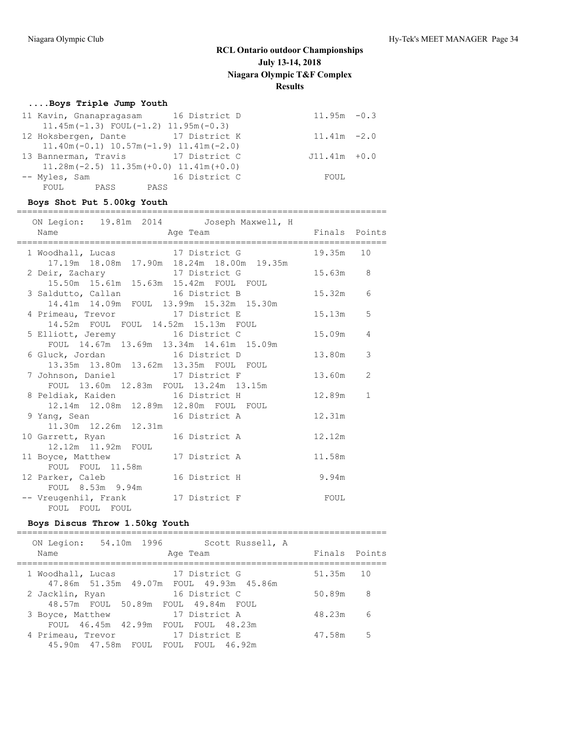## **....Boys Triple Jump Youth**

|               | 11 Kavin, Gnanapragasam 16 District D        | $11.95m - 0.3$  |  |
|---------------|----------------------------------------------|-----------------|--|
|               | $11.45m(-1.3)$ FOUL $(-1.2)$ $11.95m(-0.3)$  |                 |  |
|               | 12 Hoksbergen, Dante 17 District K           | $11.41m - 2.0$  |  |
|               | $11.40m(-0.1)$ $10.57m(-1.9)$ $11.41m(-2.0)$ |                 |  |
|               | 13 Bannerman, Travis 17 District C           | $J11.41m + 0.0$ |  |
|               | $11.28m(-2.5)$ $11.35m(+0.0)$ $11.41m(+0.0)$ |                 |  |
| -- Myles, Sam | 16 District C                                | FOUL            |  |
| FOUL PASS     | PASS                                         |                 |  |

## **Boys Shot Put 5.00kg Youth**

| ON Legion: 19.81m 2014 Joseph Maxwell, H                                                            |           |              |
|-----------------------------------------------------------------------------------------------------|-----------|--------------|
| 1 Woodhall, Lucas 17 District G<br>17.19m 18.08m 17.90m 18.24m 18.00m 19.35m                        | 19.35m 10 |              |
| 2 Deir, Zachary 17 District G<br>15.50m 15.61m 15.63m 15.42m FOUL FOUL                              | 15.63m 8  |              |
| 3 Saldutto, Callan 16 District B 15.32m 6<br>14.41m  14.09m  FOUL  13.99m  15.32m  15.30m           |           |              |
| 4 Primeau, Trevor 17 District E<br>14.52m FOUL FOUL 14.52m 15.13m FOUL                              | 15.13m    | 5            |
| 5 Elliott, Jeremy 16 District C<br>FOUL 14.67m 13.69m 13.34m 14.61m 15.09m                          | 15.09m    | 4            |
| 6 Gluck, Jordan 16 District D<br>13.35m  13.80m  13.62m  13.35m  FOUL  FOUL                         | 13.80m    | 3            |
| 7 Johnson, Daniel 17 District F<br>FOUL 13.60m 12.83m FOUL 13.24m 13.15m                            | 13.60m    | 2            |
| 8 Peldiak, Kaiden                       16 District H<br>12.14m  12.08m  12.89m  12.80m  FOUL  FOUL | 12.89m    | $\mathbf{1}$ |
| 9 Yang, Sean 16 District A<br>11.30m  12.26m  12.31m                                                | 12.31m    |              |
| 10 Garrett, Ryan 16 District A<br>12.12m  11.92m  FOUL                                              | 12.12m    |              |
| 11 Boyce, Matthew 17 District A<br>FOUL FOUL 11.58m                                                 | 11.58m    |              |
| 9.94m<br>12 Parker, Caleb 16 District H<br>FOUL 8.53m 9.94m                                         |           |              |
| -- Vreugenhil, Frank 17 District F TOUL<br>FOUL FOUL FOUL                                           |           |              |

## **Boys Discus Throw 1.50kg Youth**

| ON Legion:<br>Name | 54.10m 1996 | Age Team                                                  | Scott Russell, A | Finals Points |    |
|--------------------|-------------|-----------------------------------------------------------|------------------|---------------|----|
| 1 Woodhall, Lucas  |             | 17 District G<br>47.86m 51.35m 49.07m FOUL 49.93m 45.86m  |                  | 51.35m 10     |    |
| 2 Jacklin, Ryan    |             | 16 District C<br>48.57m FOUL 50.89m FOUL 49.84m FOUL      |                  | 50.89m        | 8  |
| 3 Boyce, Matthew   |             | 17 District A<br>FOUL 46.45m 42.99m FOUL FOUL 48.23m      |                  | 48.23m        | 6  |
| 4 Primeau, Trevor  |             | 17 District E<br>45.90m  47.58m  FOUL  FOUL  FOUL  46.92m |                  | 47.58m        | .5 |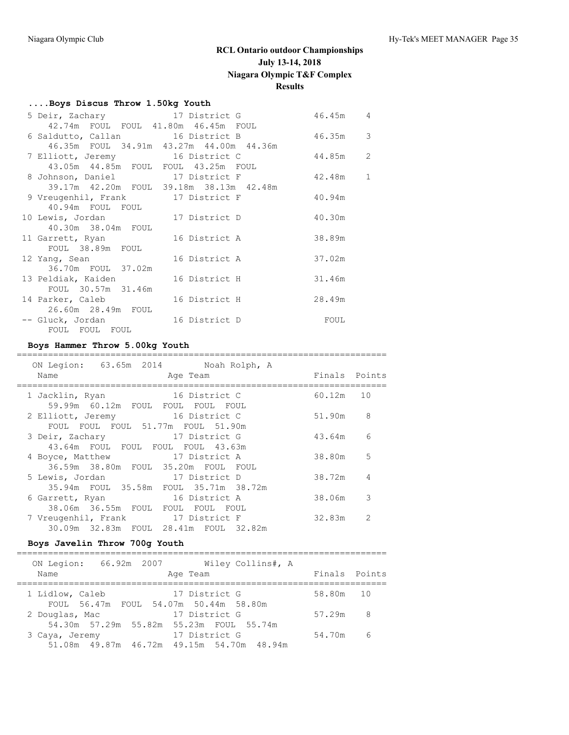#### **....Boys Discus Throw 1.50kg Youth**

| 5 Deir, Zachary 17 District G                |               | 46.45m      | 4              |
|----------------------------------------------|---------------|-------------|----------------|
| 42.74m FOUL FOUL 41.80m 46.45m FOUL          |               |             |                |
| 6 Saldutto, Callan 16 District B             |               | 46.35m      | 3              |
| 46.35m FOUL 34.91m 43.27m 44.00m 44.36m      |               |             |                |
| 7 Elliott, Jeremy 16 District C              |               | 44.85m      | $\overline{c}$ |
| 43.05m  44.85m  FOUL  FOUL  43.25m  FOUL     |               |             |                |
| 8 Johnson, Daniel 17 District F              |               | 42.48m      | $\mathbf{1}$   |
| 39.17m  42.20m  FOUL  39.18m  38.13m  42.48m |               |             |                |
| 9 Vreugenhil, Frank 17 District F            |               | 40.94m      |                |
| 40.94m FOUL FOUL                             |               |             |                |
| 10 Lewis, Jordan 17 District D               |               | 40.30m      |                |
| 40.30m 38.04m FOUL                           |               |             |                |
| 11 Garrett, Ryan 16 District A               |               | 38.89m      |                |
| FOUL 38.89m FOUL                             |               |             |                |
| 12 Yang, Sean                                | 16 District A | 37.02m      |                |
| 36.70m FOUL 37.02m                           |               |             |                |
| 13 Peldiak, Kaiden                           | 16 District H | 31.46m      |                |
| FOUL 30.57m 31.46m                           |               |             |                |
| 14 Parker, Caleb                             | 16 District H | 28.49m      |                |
| 26.60m  28.49m  FOUL                         |               |             |                |
| -- Gluck, Jordan 16 District D               |               | <b>FOUL</b> |                |
| FOUL FOUL FOUL                               |               |             |                |

### **Boys Hammer Throw 5.00kg Youth**

### ======================================================================= ON Legion: 63.65m 2014 Noah Rolph, A Name **Age Team** Age Team Finals Points ======================================================================= 1 Jacklin, Ryan 16 District C 60.12m 10 59.99m 60.12m FOUL FOUL FOUL FOUL 2 Elliott, Jeremy 16 District C 51.90m 8 FOUL FOUL FOUL 51.77m FOUL 51.90m 3 Deir, Zachary 17 District G 43.64m 6 43.64m FOUL FOUL FOUL FOUL 43.63m 4 Boyce, Matthew 17 District A 38.80m 5 36.59m 38.80m FOUL 35.20m FOUL FOUL 5 Lewis, Jordan 17 District D 38.72m 4 35.94m FOUL 35.58m FOUL 35.71m 38.72m 6 Garrett, Ryan 16 District A 38.06m 3 38.06m 36.55m FOUL FOUL FOUL FOUL 7 Vreugenhil, Frank 17 District F 32.83m 2 30.09m 32.83m FOUL 28.41m FOUL 32.82m

### **Boys Javelin Throw 700g Youth**

| ON Legion:<br>66.92m 2007<br>Wiley Collins#, A                            |               |     |
|---------------------------------------------------------------------------|---------------|-----|
| Name<br>Age Team                                                          | Finals Points |     |
| 17 District G<br>1 Lidlow, Caleb<br>FOUL 56.47m FOUL 54.07m 50.44m 58.80m | 58.80m 10     |     |
| 17 District G<br>2 Douglas, Mac                                           | 57.29m        | - 8 |
| 54.30m 57.29m 55.82m 55.23m FOUL 55.74m                                   |               |     |
| 17 District G<br>3 Caya, Jeremy                                           | 54.70m        | - 6 |
| 51.08m  49.87m  46.72m  49.15m  54.70m  48.94m                            |               |     |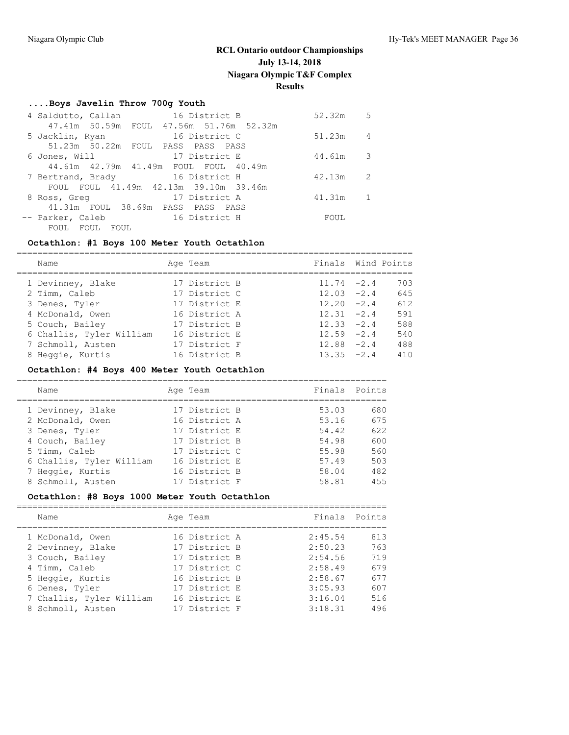## **....Boys Javelin Throw 700g Youth**

| 4 Saldutto, Callan 16 District B        | 52.32m | .5 |
|-----------------------------------------|--------|----|
| 47.41m 50.59m FOUL 47.56m 51.76m 52.32m |        |    |
| 16 District C<br>5 Jacklin, Ryan        | 51.23m | 4  |
| 51.23m 50.22m FOUL PASS PASS PASS       |        |    |
| 17 District E<br>6 Jones, Will          | 44.61m | 3  |
| 44.61m 42.79m 41.49m FOUL FOUL 40.49m   |        |    |
| 7 Bertrand, Brady 16 District H         | 42.13m | 2  |
| FOUL FOUL 41.49m 42.13m 39.10m 39.46m   |        |    |
| 17 District A<br>8 Ross, Greq           | 41.31m |    |
| 41.31m FOUL 38.69m PASS PASS PASS       |        |    |
| 16 District H<br>-- Parker, Caleb       | FOUL   |    |
| <b>FOUL</b><br>FOUL<br>FOUL             |        |    |

## **Octathlon: #1 Boys 100 Meter Youth Octathlon**

| Name                     | Age Team      | Finals Wind Points |     |
|--------------------------|---------------|--------------------|-----|
| 1 Devinney, Blake        | 17 District B | $11.74 - 2.4$      | 703 |
| 2 Timm, Caleb            | 17 District C | $12.03 -2.4$       | 645 |
| 3 Denes, Tyler           | 17 District E | $12.20 -2.4$       | 612 |
| 4 McDonald, Owen         | 16 District A | $12.31 - 2.4$      | 591 |
| 5 Couch, Bailey          | 17 District B | $12.33 -2.4$       | 588 |
| 6 Challis, Tyler William | 16 District E | $12.59 - 2.4$      | 540 |
| 7 Schmoll, Austen        | 17 District F | $12.88 - 2.4$      | 488 |
| 8 Heggie, Kurtis         | 16 District B | $13.35 - 2.4$      | 410 |

## **Octathlon: #4 Boys 400 Meter Youth Octathlon**

| Name                     | Age Team      | Finals Points |     |
|--------------------------|---------------|---------------|-----|
| 1 Devinney, Blake        | 17 District B | 53.03         | 680 |
| 2 McDonald, Owen         | 16 District A | 53.16         | 675 |
| 3 Denes, Tyler           | 17 District E | 54.42         | 622 |
| 4 Couch, Bailey          | 17 District B | 54.98         | 600 |
| 5 Timm, Caleb            | 17 District C | 55.98         | 560 |
| 6 Challis, Tyler William | 16 District E | 57.49         | 503 |
| 7 Heggie, Kurtis         | 16 District B | 58.04         | 482 |
| 8 Schmoll, Austen        | 17 District F | 58.81         | 455 |

## **Octathlon: #8 Boys 1000 Meter Youth Octathlon**

|  | Name                     | Age Team      | Finals Points |     |
|--|--------------------------|---------------|---------------|-----|
|  | 1 McDonald, Owen         | 16 District A | 2:45.54       | 813 |
|  | 2 Devinney, Blake        | 17 District B | 2:50.23       | 763 |
|  | 3 Couch, Bailey          | 17 District B | 2:54.56       | 719 |
|  | 4 Timm, Caleb            | 17 District C | 2:58.49       | 679 |
|  | 5 Heggie, Kurtis         | 16 District B | 2:58.67       | 677 |
|  | 6 Denes, Tyler           | 17 District E | 3:05.93       | 607 |
|  | 7 Challis, Tyler William | 16 District E | 3:16.04       | 516 |
|  | 8 Schmoll, Austen        | 17 District F | 3:18.31       | 496 |
|  |                          |               |               |     |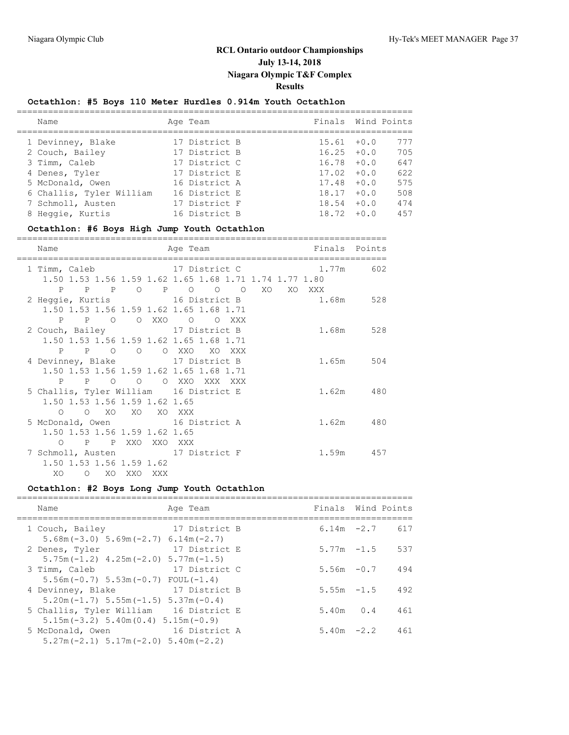## **Octathlon: #5 Boys 110 Meter Hurdles 0.914m Youth Octathlon**

| Name                     | Age Team      | Finals Wind Points |        |     |
|--------------------------|---------------|--------------------|--------|-----|
| 1 Devinney, Blake        | 17 District B | $15.61 + 0.0$      |        | 777 |
| 2 Couch, Bailey          | 17 District B | $16.25 + 0.0$      |        | 705 |
| 3 Timm, Caleb            | 17 District C | $16.78 + 0.0$      |        | 647 |
| 4 Denes, Tyler           | 17 District E | $17.02 + 0.0$      |        | 622 |
| 5 McDonald, Owen         | 16 District A | 17.48              | $+0.0$ | 575 |
| 6 Challis, Tyler William | 16 District E | 18.17              | $+0.0$ | 508 |
| 7 Schmoll, Austen        | 17 District F | 18.54              | $+0.0$ | 474 |
| 8 Heggie, Kurtis         | 16 District B | 18.72              | $+0.0$ | 457 |
|                          |               |                    |        |     |

## **Octathlon: #6 Boys High Jump Youth Octathlon**

| Name                                                                                                   |                      | Age Team                                                                                                                      | Finals Points |           |
|--------------------------------------------------------------------------------------------------------|----------------------|-------------------------------------------------------------------------------------------------------------------------------|---------------|-----------|
| 1 Timm, Caleb                                                                                          | ==================== | 17 District C<br>1.50 1.53 1.56 1.59 1.62 1.65 1.68 1.71 1.74 1.77 1.80                                                       |               | 1.77m 602 |
|                                                                                                        |                      | P P P O P O O O XO XO XXX<br>2 Heggie, Kurtis 16 District B<br>1.50 1.53 1.56 1.59 1.62 1.65 1.68 1.71<br>P P O O XXO O O XXX |               | 1.68m 528 |
| 2 Couch, Bailey 17 District B                                                                          |                      | 1.50 1.53 1.56 1.59 1.62 1.65 1.68 1.71<br>P P O O O XXO XO XXX                                                               |               | 1.68m 528 |
| 4 Devinney, Blake 17 District B                                                                        |                      | 1.50 1.53 1.56 1.59 1.62 1.65 1.68 1.71                                                                                       |               | 1.65m 504 |
| 5 Challis, Tyler William 16 District E<br>1.50 1.53 1.56 1.59 1.62 1.65                                |                      | P P O O O XXO XXX XXX                                                                                                         |               | 1.62m 480 |
| O O XO XO XO XXX<br>5 McDonald, Owen 16 District A<br>1.50 1.53 1.56 1.59 1.62 1.65                    |                      |                                                                                                                               |               | 1.62m 480 |
| O P P XXO XXO XXX<br>7 Schmoll, Austen 17 District F<br>1.50 1.53 1.56 1.59 1.62<br>XO<br>O XO XXO XXX |                      |                                                                                                                               |               | 1.59m 457 |

## **Octathlon: #2 Boys Long Jump Youth Octathlon**

| Name              | Age Team |                                                                                                                                                                                                                                                                                                     |                                                                                                                             |                                                                                                                       |
|-------------------|----------|-----------------------------------------------------------------------------------------------------------------------------------------------------------------------------------------------------------------------------------------------------------------------------------------------------|-----------------------------------------------------------------------------------------------------------------------------|-----------------------------------------------------------------------------------------------------------------------|
| 1 Couch, Bailey   |          |                                                                                                                                                                                                                                                                                                     |                                                                                                                             | 617                                                                                                                   |
| 2 Denes, Tyler    |          |                                                                                                                                                                                                                                                                                                     |                                                                                                                             | 537                                                                                                                   |
| 3 Timm, Caleb     |          |                                                                                                                                                                                                                                                                                                     |                                                                                                                             | 494                                                                                                                   |
| 4 Devinney, Blake |          |                                                                                                                                                                                                                                                                                                     |                                                                                                                             | 492                                                                                                                   |
|                   |          |                                                                                                                                                                                                                                                                                                     |                                                                                                                             | 461                                                                                                                   |
| 5 McDonald, Owen  |          |                                                                                                                                                                                                                                                                                                     |                                                                                                                             | 461                                                                                                                   |
|                   |          | $5.68$ m (-3.0) $5.69$ m (-2.7) $6.14$ m (-2.7)<br>$5.75m(-1.2)$ 4.25m $(-2.0)$ 5.77m $(-1.5)$<br>$5.56m(-0.7)$ $5.53m(-0.7)$ FOUL $(-1.4)$<br>$5.20$ m ( $-1.7$ ) $5.55$ m ( $-1.5$ ) $5.37$ m ( $-0.4$ )<br>$5.15m(-3.2)$ $5.40m(0.4)$ $5.15m(-0.9)$<br>$5.27m(-2.1)$ $5.17m(-2.0)$ $5.40m(-2.2)$ | 17 District B<br>17 District E<br>17 District C<br>17 District B<br>5 Challis, Tyler William 16 District E<br>16 District A | Finals Wind Points<br>$6.14m -2.7$<br>$5.77m - 1.5$<br>$5.56m - 0.7$<br>$5.55m - 1.5$<br>$5.40m$ 0.4<br>$5.40m - 2.2$ |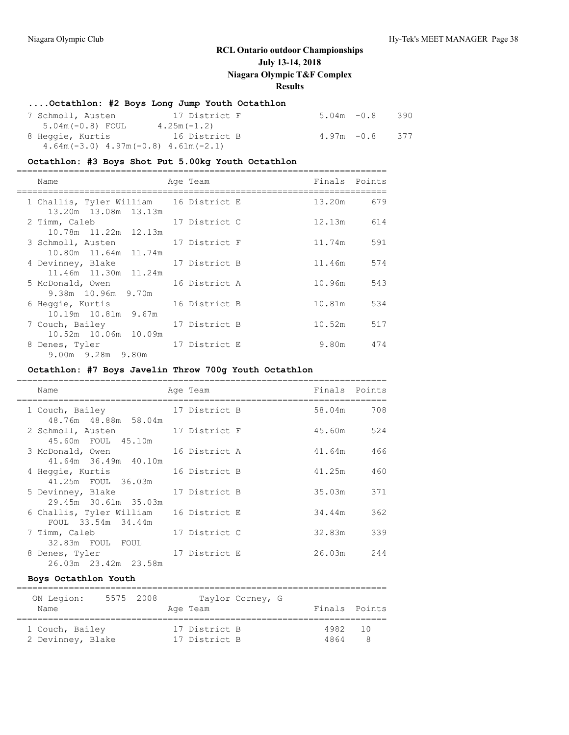## **....Octathlon: #2 Boys Long Jump Youth Octathlon**

| 7 Schmoll, Austen                         | 17 District F | $5.04m - 0.8$<br>390 |
|-------------------------------------------|---------------|----------------------|
| $5.04m(-0.8)$ FOUL                        | $4.25m(-1.2)$ |                      |
| 8 Heggie, Kurtis                          | 16 District B | $4.97m - 0.8$<br>377 |
| $4.64m(-3.0)$ $4.97m(-0.8)$ $4.61m(-2.1)$ |               |                      |

# **Octathlon: #3 Boys Shot Put 5.00kg Youth Octathlon**

| Name                                      | Age Team      | Finals Points |     |
|-------------------------------------------|---------------|---------------|-----|
| 1 Challis, Tyler William 16 District E    |               | 13.20m 679    |     |
| 13.20m 13.08m 13.13m<br>2 Timm, Caleb     | 17 District C | 12.13m        | 614 |
| 10.78m 11.22m 12.13m<br>3 Schmoll, Austen | 17 District F | 11.74m        | 591 |
| 10.80m 11.64m 11.74m<br>4 Devinney, Blake | 17 District B | 11.46m        | 574 |
| 11.46m 11.30m 11.24m                      | 16 District A | 10.96m        | 543 |
| 5 McDonald, Owen<br>9.38m 10.96m 9.70m    |               |               |     |
| 6 Heggie, Kurtis<br>10.19m 10.81m 9.67m   | 16 District B | 10.81m        | 534 |
| 7 Couch, Bailey<br>10.52m 10.06m 10.09m   | 17 District B | 10.52m        | 517 |
| 8 Denes, Tyler<br>9.00m 9.28m 9.80m       | 17 District E | 9.80m         | 474 |

## **Octathlon: #7 Boys Javelin Throw 700g Youth Octathlon**

| Name                                                         | Age Team      | Finals | Points |
|--------------------------------------------------------------|---------------|--------|--------|
| 1 Couch, Bailey<br>48.76m 48.88m 58.04m                      | 17 District B | 58.04m | 708    |
| 2 Schmoll, Austen<br>45.60m FOUL 45.10m                      | 17 District F | 45.60m | 524    |
| 16 District A<br>3 McDonald, Owen<br>41.64m 36.49m 40.10m    |               | 41.64m | 466    |
| 4 Heggie, Kurtis<br>41.25m FOUL 36.03m                       | 16 District B | 41.25m | 460    |
| 5 Devinney, Blake<br>29.45m 30.61m 35.03m                    | 17 District B | 35.03m | 371    |
| 6 Challis, Tyler William 16 District E<br>FOUL 33.54m 34.44m |               | 34.44m | 362    |
| 7 Timm, Caleb<br>32.83m FOUL FOUL                            | 17 District C | 32.83m | 339    |
| 8 Denes, Tyler<br>26.03m 23.42m 23.58m                       | 17 District E | 26.03m | 244    |

### **Boys Octathlon Youth**

| ON Legion:        | 5575 2008 |  |               | Taylor Corney, G |               |  |
|-------------------|-----------|--|---------------|------------------|---------------|--|
| Name              |           |  | Age Team      |                  | Finals Points |  |
| 1 Couch, Bailey   |           |  | 17 District B |                  | 4982 10       |  |
| 2 Devinney, Blake |           |  | 17 District B |                  | 4864          |  |

=======================================================================